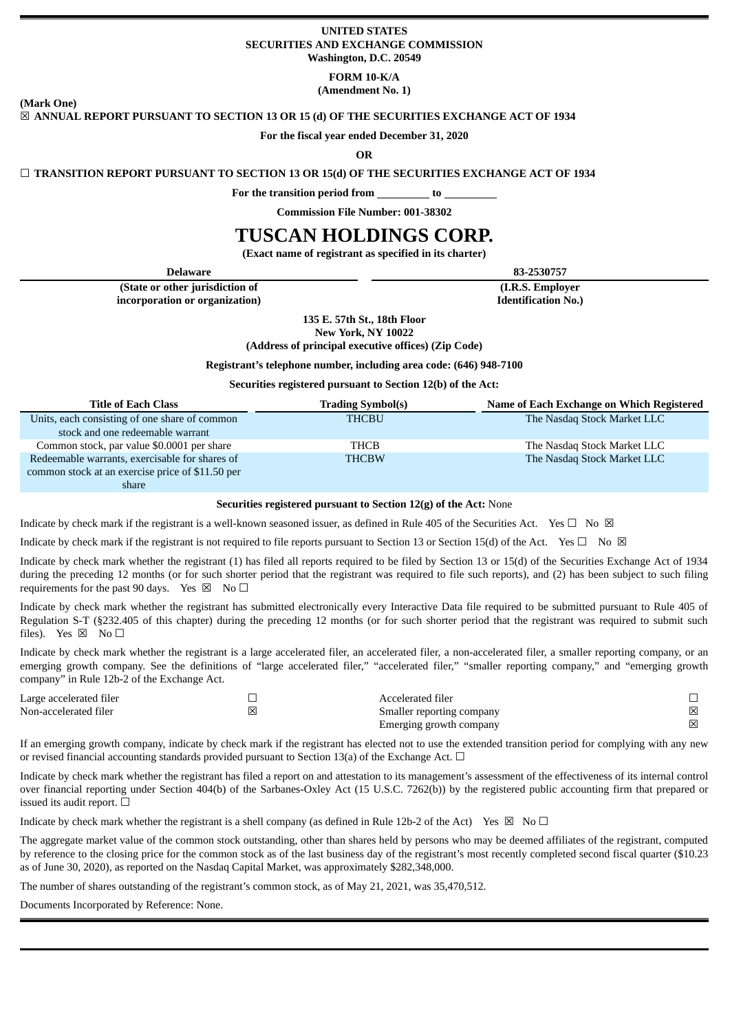### **UNITED STATES SECURITIES AND EXCHANGE COMMISSION Washington, D.C. 20549**

**FORM 10-K/A**

**(Amendment No. 1)**

**(Mark One)**

## ☒ **ANNUAL REPORT PURSUANT TO SECTION 13 OR 15 (d) OF THE SECURITIES EXCHANGE ACT OF 1934**

#### **For the fiscal year ended December 31, 2020**

**OR**

### ☐ **TRANSITION REPORT PURSUANT TO SECTION 13 OR 15(d) OF THE SECURITIES EXCHANGE ACT OF 1934**

**For the transition period from to**

**Commission File Number: 001-38302**

# **TUSCAN HOLDINGS CORP.**

**(Exact name of registrant as specified in its charter)**

**Delaware 83-2530757**

**(State or other jurisdiction of incorporation or organization)**

**(I.R.S. Employer Identification No.)**

**135 E. 57th St., 18th Floor**

**New York, NY 10022**

**(Address of principal executive offices) (Zip Code)**

## **Registrant's telephone number, including area code: (646) 948-7100**

## **Securities registered pursuant to Section 12(b) of the Act:**

| <b>Title of Each Class</b>                       | <b>Trading Symbol(s)</b> | Name of Each Exchange on Which Registered |
|--------------------------------------------------|--------------------------|-------------------------------------------|
| Units, each consisting of one share of common    | <b>THCBU</b>             | The Nasdaq Stock Market LLC               |
| stock and one redeemable warrant                 |                          |                                           |
| Common stock, par value \$0.0001 per share       | THCB                     | The Nasdaq Stock Market LLC               |
| Redeemable warrants, exercisable for shares of   | <b>THCBW</b>             | The Nasdaq Stock Market LLC               |
| common stock at an exercise price of \$11.50 per |                          |                                           |
| share                                            |                          |                                           |

#### **Securities registered pursuant to Section 12(g) of the Act:** None

Indicate by check mark if the registrant is a well-known seasoned issuer, as defined in Rule 405 of the Securities Act. Yes  $\Box$  No  $\boxtimes$ 

Indicate by check mark if the registrant is not required to file reports pursuant to Section 13 or Section 15(d) of the Act. Yes  $\square$  No  $\boxtimes$ 

Indicate by check mark whether the registrant (1) has filed all reports required to be filed by Section 13 or 15(d) of the Securities Exchange Act of 1934 during the preceding 12 months (or for such shorter period that the registrant was required to file such reports), and (2) has been subject to such filing requirements for the past 90 days. Yes  $\boxtimes$  No  $\Box$ 

Indicate by check mark whether the registrant has submitted electronically every Interactive Data file required to be submitted pursuant to Rule 405 of Regulation S-T (§232.405 of this chapter) during the preceding 12 months (or for such shorter period that the registrant was required to submit such files). Yes  $\boxtimes$  No  $\square$ 

Indicate by check mark whether the registrant is a large accelerated filer, an accelerated filer, a non-accelerated filer, a smaller reporting company, or an emerging growth company. See the definitions of "large accelerated filer," "accelerated filer," "smaller reporting company," and "emerging growth company" in Rule 12b-2 of the Exchange Act.

| Large accelerated filer |   | Accelerated filer         |   |
|-------------------------|---|---------------------------|---|
| Non-accelerated filer   | × | Smaller reporting company | 冈 |
|                         |   | Emerging growth company   | 冈 |

If an emerging growth company, indicate by check mark if the registrant has elected not to use the extended transition period for complying with any new or revised financial accounting standards provided pursuant to Section 13(a) of the Exchange Act.  $\Box$ 

Indicate by check mark whether the registrant has filed a report on and attestation to its management's assessment of the effectiveness of its internal control over financial reporting under Section 404(b) of the Sarbanes-Oxley Act (15 U.S.C. 7262(b)) by the registered public accounting firm that prepared or issued its audit report.  $□$ 

Indicate by check mark whether the registrant is a shell company (as defined in Rule 12b-2 of the Act) Yes  $\boxtimes$  No  $\Box$ 

The aggregate market value of the common stock outstanding, other than shares held by persons who may be deemed affiliates of the registrant, computed by reference to the closing price for the common stock as of the last business day of the registrant's most recently completed second fiscal quarter (\$10.23 as of June 30, 2020), as reported on the Nasdaq Capital Market, was approximately \$282,348,000.

The number of shares outstanding of the registrant's common stock, as of May 21, 2021, was 35,470,512.

Documents Incorporated by Reference: None.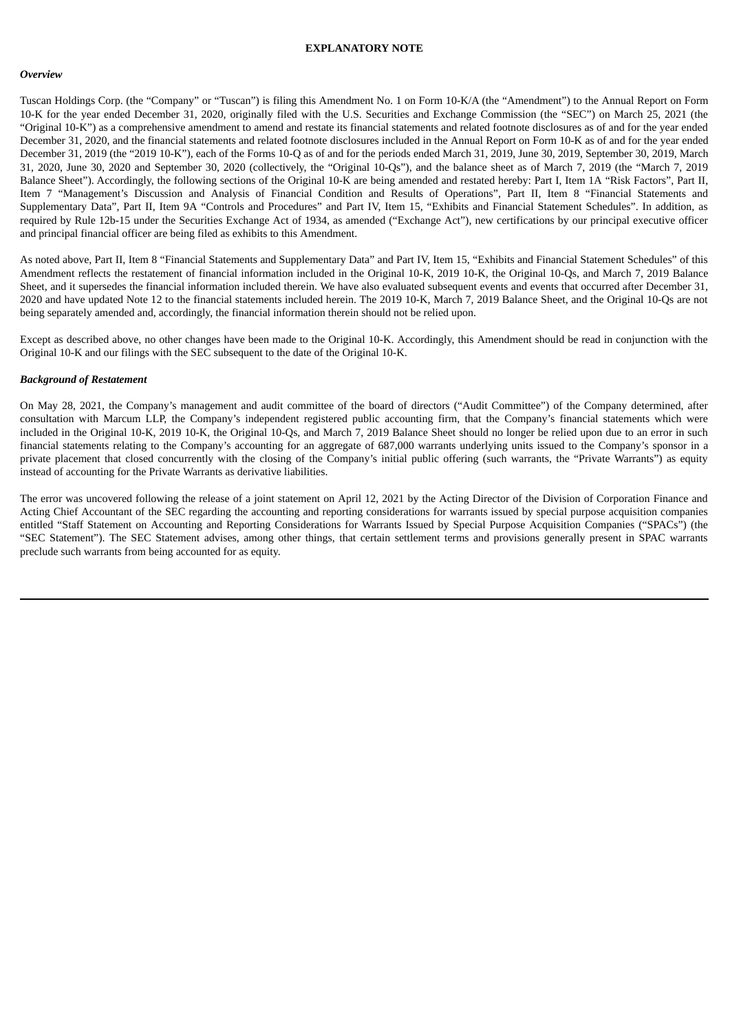#### **EXPLANATORY NOTE**

#### *Overview*

Tuscan Holdings Corp. (the "Company" or "Tuscan") is filing this Amendment No. 1 on Form 10-K/A (the "Amendment") to the Annual Report on Form 10-K for the year ended December 31, 2020, originally filed with the U.S. Securities and Exchange Commission (the "SEC") on March 25, 2021 (the "Original 10-K") as a comprehensive amendment to amend and restate its financial statements and related footnote disclosures as of and for the year ended December 31, 2020, and the financial statements and related footnote disclosures included in the Annual Report on Form 10-K as of and for the year ended December 31, 2019 (the "2019 10-K"), each of the Forms 10-Q as of and for the periods ended March 31, 2019, June 30, 2019, September 30, 2019, March 31, 2020, June 30, 2020 and September 30, 2020 (collectively, the "Original 10-Qs"), and the balance sheet as of March 7, 2019 (the "March 7, 2019 Balance Sheet"). Accordingly, the following sections of the Original 10-K are being amended and restated hereby: Part I, Item 1A "Risk Factors", Part II, Item 7 "Management's Discussion and Analysis of Financial Condition and Results of Operations", Part II, Item 8 "Financial Statements and Supplementary Data", Part II, Item 9A "Controls and Procedures" and Part IV, Item 15, "Exhibits and Financial Statement Schedules". In addition, as required by Rule 12b-15 under the Securities Exchange Act of 1934, as amended ("Exchange Act"), new certifications by our principal executive officer and principal financial officer are being filed as exhibits to this Amendment.

As noted above, Part II, Item 8 "Financial Statements and Supplementary Data" and Part IV, Item 15, "Exhibits and Financial Statement Schedules" of this Amendment reflects the restatement of financial information included in the Original 10-K, 2019 10-K, the Original 10-Qs, and March 7, 2019 Balance Sheet, and it supersedes the financial information included therein. We have also evaluated subsequent events and events that occurred after December 31, 2020 and have updated Note 12 to the financial statements included herein. The 2019 10-K, March 7, 2019 Balance Sheet, and the Original 10-Qs are not being separately amended and, accordingly, the financial information therein should not be relied upon.

Except as described above, no other changes have been made to the Original 10-K. Accordingly, this Amendment should be read in conjunction with the Original 10-K and our filings with the SEC subsequent to the date of the Original 10-K.

### *Background of Restatement*

On May 28, 2021, the Company's management and audit committee of the board of directors ("Audit Committee") of the Company determined, after consultation with Marcum LLP, the Company's independent registered public accounting firm, that the Company's financial statements which were included in the Original 10-K, 2019 10-K, the Original 10-Qs, and March 7, 2019 Balance Sheet should no longer be relied upon due to an error in such financial statements relating to the Company's accounting for an aggregate of 687,000 warrants underlying units issued to the Company's sponsor in a private placement that closed concurrently with the closing of the Company's initial public offering (such warrants, the "Private Warrants") as equity instead of accounting for the Private Warrants as derivative liabilities.

The error was uncovered following the release of a joint statement on April 12, 2021 by the Acting Director of the Division of Corporation Finance and Acting Chief Accountant of the SEC regarding the accounting and reporting considerations for warrants issued by special purpose acquisition companies entitled "Staff Statement on Accounting and Reporting Considerations for Warrants Issued by Special Purpose Acquisition Companies ("SPACs") (the "SEC Statement"). The SEC Statement advises, among other things, that certain settlement terms and provisions generally present in SPAC warrants preclude such warrants from being accounted for as equity.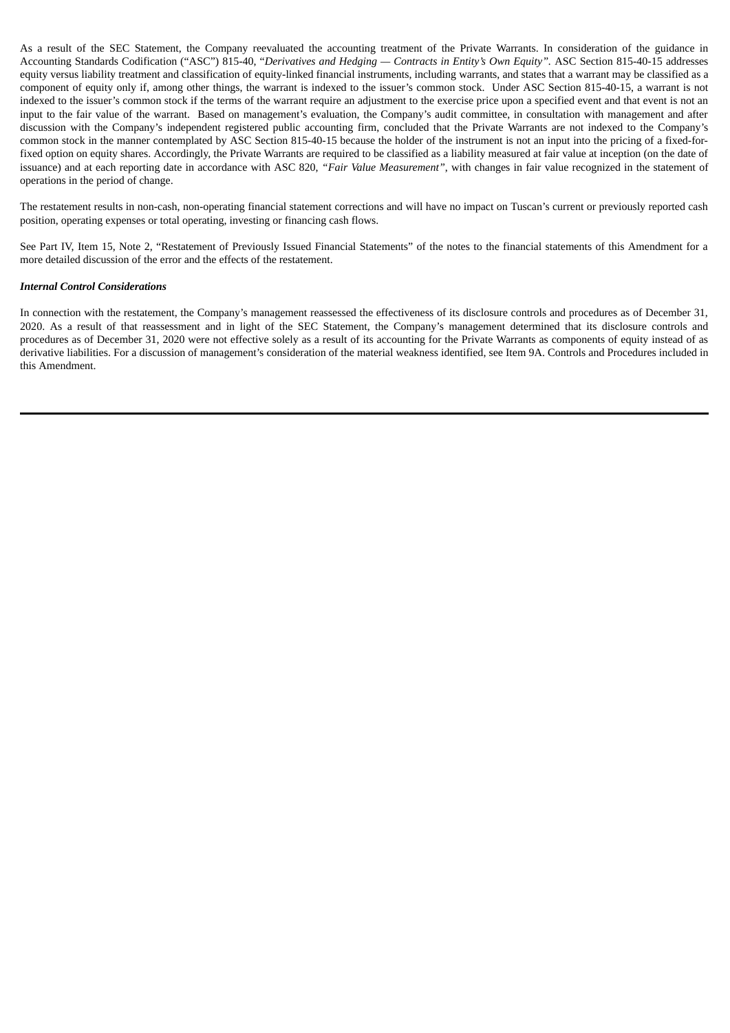As a result of the SEC Statement, the Company reevaluated the accounting treatment of the Private Warrants. In consideration of the guidance in Accounting Standards Codification ("ASC") 815-40, "*Derivatives and Hedging — Contracts in Entity's Own Equity".* ASC Section 815-40-15 addresses equity versus liability treatment and classification of equity-linked financial instruments, including warrants, and states that a warrant may be classified as a component of equity only if, among other things, the warrant is indexed to the issuer's common stock. Under ASC Section 815-40-15, a warrant is not indexed to the issuer's common stock if the terms of the warrant require an adjustment to the exercise price upon a specified event and that event is not an input to the fair value of the warrant. Based on management's evaluation, the Company's audit committee, in consultation with management and after discussion with the Company's independent registered public accounting firm, concluded that the Private Warrants are not indexed to the Company's common stock in the manner contemplated by ASC Section 815-40-15 because the holder of the instrument is not an input into the pricing of a fixed-forfixed option on equity shares. Accordingly, the Private Warrants are required to be classified as a liability measured at fair value at inception (on the date of issuance) and at each reporting date in accordance with ASC 820, *"Fair Value Measurement"*, with changes in fair value recognized in the statement of operations in the period of change.

The restatement results in non-cash, non-operating financial statement corrections and will have no impact on Tuscan's current or previously reported cash position, operating expenses or total operating, investing or financing cash flows.

See Part IV, Item 15, Note 2, "Restatement of Previously Issued Financial Statements" of the notes to the financial statements of this Amendment for a more detailed discussion of the error and the effects of the restatement.

### *Internal Control Considerations*

In connection with the restatement, the Company's management reassessed the effectiveness of its disclosure controls and procedures as of December 31, 2020. As a result of that reassessment and in light of the SEC Statement, the Company's management determined that its disclosure controls and procedures as of December 31, 2020 were not effective solely as a result of its accounting for the Private Warrants as components of equity instead of as derivative liabilities. For a discussion of management's consideration of the material weakness identified, see Item 9A. Controls and Procedures included in this Amendment.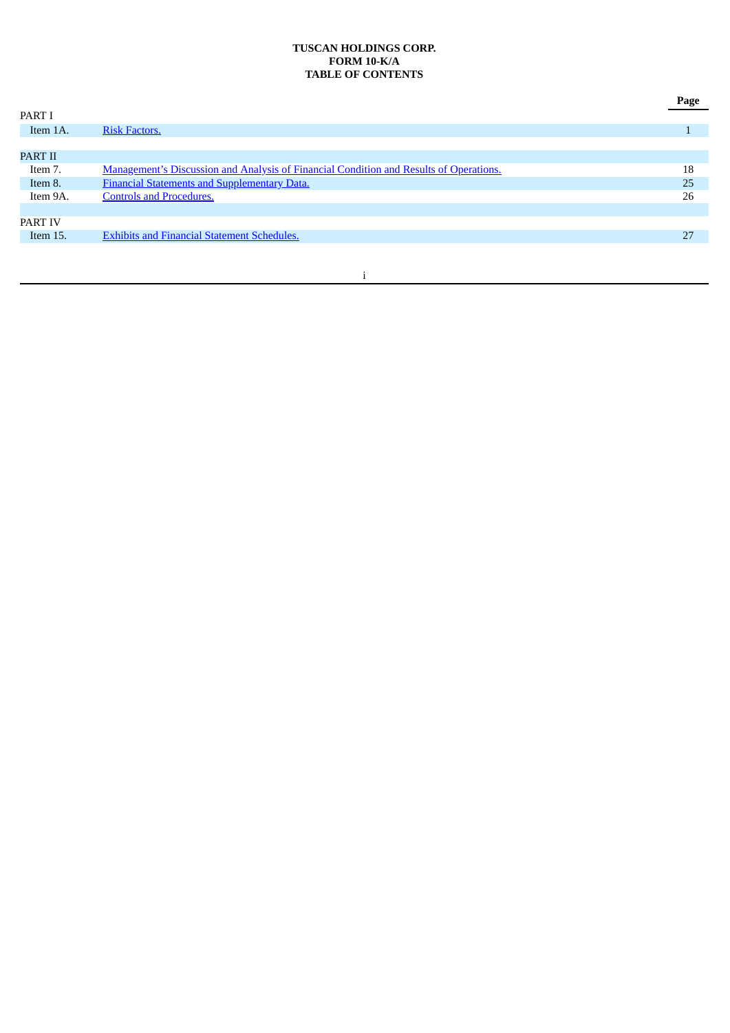## **TUSCAN HOLDINGS CORP. FORM 10-K/A TABLE OF CONTENTS**

|                |                                                                                               | Page |
|----------------|-----------------------------------------------------------------------------------------------|------|
| PART I         |                                                                                               |      |
| Item 1A.       | <b>Risk Factors.</b>                                                                          |      |
|                |                                                                                               |      |
| <b>PART II</b> |                                                                                               |      |
| Item 7.        | <b>Management's Discussion and Analysis of Financial Condition and Results of Operations.</b> | 18   |
| Item 8.        | Financial Statements and Supplementary Data.                                                  | 25   |
| Item 9A.       | <b>Controls and Procedures.</b>                                                               | 26   |
|                |                                                                                               |      |
| <b>PART IV</b> |                                                                                               |      |
| Item 15.       | <b>Exhibits and Financial Statement Schedules.</b>                                            | 27   |
|                |                                                                                               |      |

## i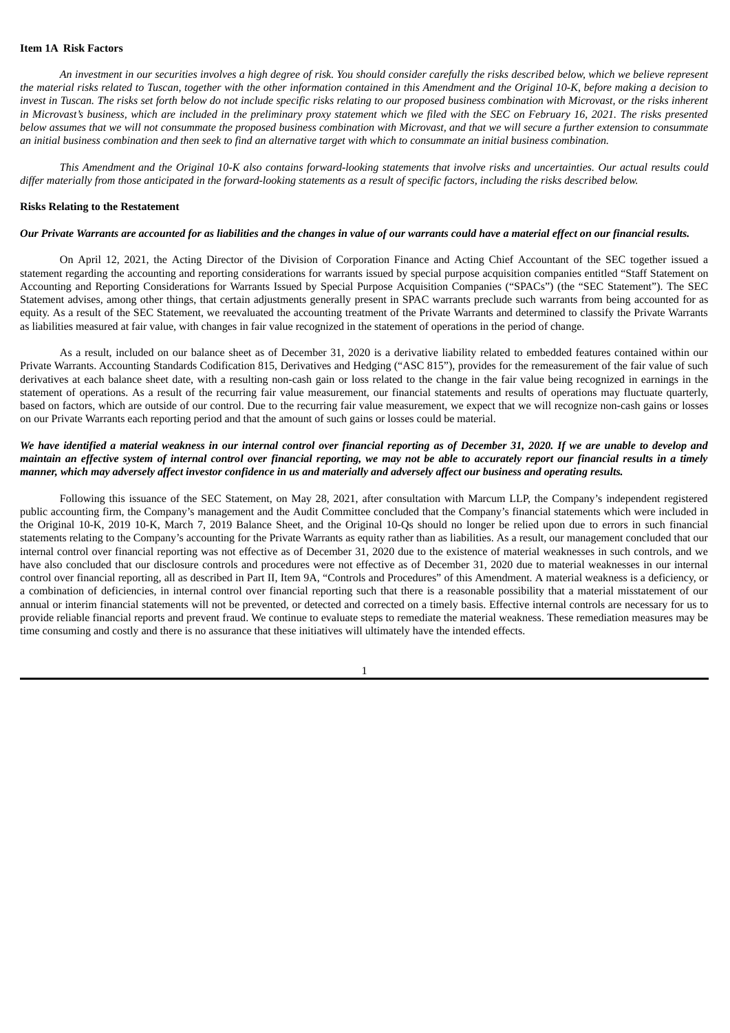#### <span id="page-4-0"></span>**Item 1A Risk Factors**

An investment in our securities involves a high degree of risk. You should consider carefully the risks described below, which we believe represent the material risks related to Tuscan, together with the other information contained in this Amendment and the Original 10-K, before making a decision to invest in Tuscan. The risks set forth below do not include specific risks relating to our proposed business combination with Microvast, or the risks inherent in Microvast's business, which are included in the preliminary proxy statement which we filed with the SEC on February 16, 2021. The risks presented below assumes that we will not consummate the proposed business combination with Microvast, and that we will secure a further extension to consummate an initial business combination and then seek to find an alternative target with which to consummate an initial business combination.

This Amendment and the Original 10-K also contains forward-looking statements that involve risks and uncertainties. Our actual results could differ materially from those anticipated in the forward-looking statements as a result of specific factors, including the risks described below.

## **Risks Relating to the Restatement**

#### Our Private Warrants are accounted for as liabilities and the changes in value of our warrants could have a material effect on our financial results.

On April 12, 2021, the Acting Director of the Division of Corporation Finance and Acting Chief Accountant of the SEC together issued a statement regarding the accounting and reporting considerations for warrants issued by special purpose acquisition companies entitled "Staff Statement on Accounting and Reporting Considerations for Warrants Issued by Special Purpose Acquisition Companies ("SPACs") (the "SEC Statement"). The SEC Statement advises, among other things, that certain adjustments generally present in SPAC warrants preclude such warrants from being accounted for as equity. As a result of the SEC Statement, we reevaluated the accounting treatment of the Private Warrants and determined to classify the Private Warrants as liabilities measured at fair value, with changes in fair value recognized in the statement of operations in the period of change.

As a result, included on our balance sheet as of December 31, 2020 is a derivative liability related to embedded features contained within our Private Warrants. Accounting Standards Codification 815, Derivatives and Hedging ("ASC 815"), provides for the remeasurement of the fair value of such derivatives at each balance sheet date, with a resulting non-cash gain or loss related to the change in the fair value being recognized in earnings in the statement of operations. As a result of the recurring fair value measurement, our financial statements and results of operations may fluctuate quarterly, based on factors, which are outside of our control. Due to the recurring fair value measurement, we expect that we will recognize non-cash gains or losses on our Private Warrants each reporting period and that the amount of such gains or losses could be material.

## We have identified a material weakness in our internal control over financial reporting as of December 31, 2020. If we are unable to develop and maintain an effective system of internal control over financial reporting, we may not be able to accurately report our financial results in a timely manner, which may adversely affect investor confidence in us and materially and adversely affect our business and operating results.

Following this issuance of the SEC Statement, on May 28, 2021, after consultation with Marcum LLP, the Company's independent registered public accounting firm, the Company's management and the Audit Committee concluded that the Company's financial statements which were included in the Original 10-K, 2019 10-K, March 7, 2019 Balance Sheet, and the Original 10-Qs should no longer be relied upon due to errors in such financial statements relating to the Company's accounting for the Private Warrants as equity rather than as liabilities. As a result, our management concluded that our internal control over financial reporting was not effective as of December 31, 2020 due to the existence of material weaknesses in such controls, and we have also concluded that our disclosure controls and procedures were not effective as of December 31, 2020 due to material weaknesses in our internal control over financial reporting, all as described in Part II, Item 9A, "Controls and Procedures" of this Amendment. A material weakness is a deficiency, or a combination of deficiencies, in internal control over financial reporting such that there is a reasonable possibility that a material misstatement of our annual or interim financial statements will not be prevented, or detected and corrected on a timely basis. Effective internal controls are necessary for us to provide reliable financial reports and prevent fraud. We continue to evaluate steps to remediate the material weakness. These remediation measures may be time consuming and costly and there is no assurance that these initiatives will ultimately have the intended effects.

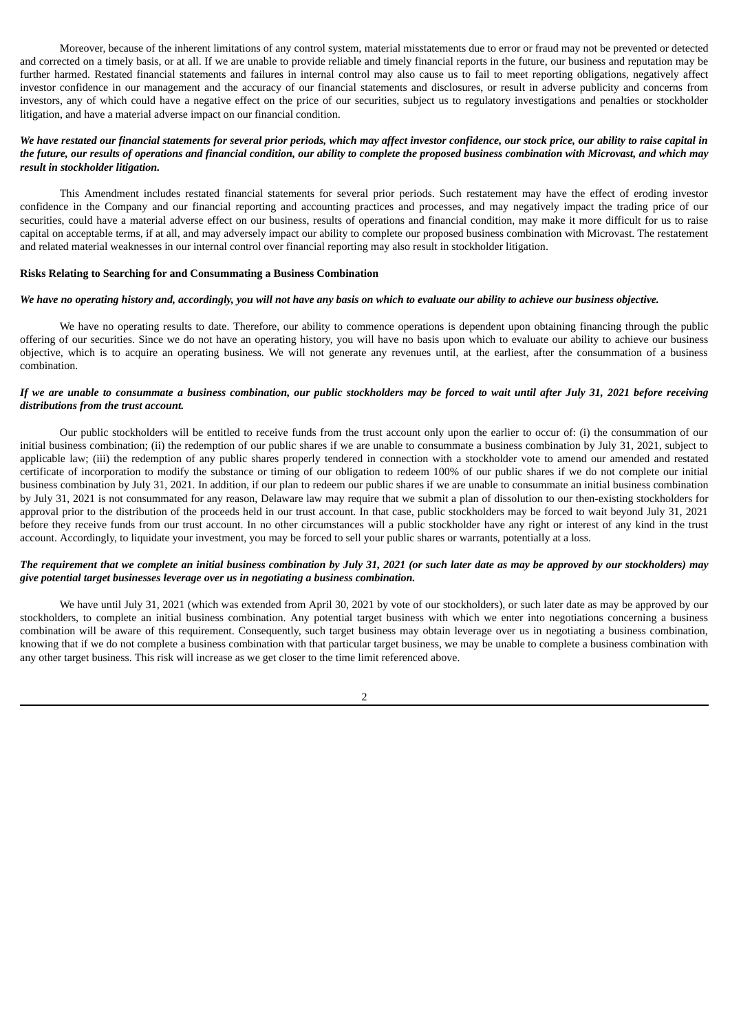Moreover, because of the inherent limitations of any control system, material misstatements due to error or fraud may not be prevented or detected and corrected on a timely basis, or at all. If we are unable to provide reliable and timely financial reports in the future, our business and reputation may be further harmed. Restated financial statements and failures in internal control may also cause us to fail to meet reporting obligations, negatively affect investor confidence in our management and the accuracy of our financial statements and disclosures, or result in adverse publicity and concerns from investors, any of which could have a negative effect on the price of our securities, subject us to regulatory investigations and penalties or stockholder litigation, and have a material adverse impact on our financial condition.

## We have restated our financial statements for several prior periods, which may affect investor confidence, our stock price, our ability to raise capital in the future, our results of operations and financial condition, our ability to complete the proposed business combination with Microvast, and which may *result in stockholder litigation.*

This Amendment includes restated financial statements for several prior periods. Such restatement may have the effect of eroding investor confidence in the Company and our financial reporting and accounting practices and processes, and may negatively impact the trading price of our securities, could have a material adverse effect on our business, results of operations and financial condition, may make it more difficult for us to raise capital on acceptable terms, if at all, and may adversely impact our ability to complete our proposed business combination with Microvast. The restatement and related material weaknesses in our internal control over financial reporting may also result in stockholder litigation.

### **Risks Relating to Searching for and Consummating a Business Combination**

#### We have no operating history and, accordingly, you will not have any basis on which to evaluate our ability to achieve our business objective.

We have no operating results to date. Therefore, our ability to commence operations is dependent upon obtaining financing through the public offering of our securities. Since we do not have an operating history, you will have no basis upon which to evaluate our ability to achieve our business objective, which is to acquire an operating business. We will not generate any revenues until, at the earliest, after the consummation of a business combination.

### If we are unable to consummate a business combination, our public stockholders may be forced to wait until after July 31, 2021 before receiving *distributions from the trust account.*

Our public stockholders will be entitled to receive funds from the trust account only upon the earlier to occur of: (i) the consummation of our initial business combination; (ii) the redemption of our public shares if we are unable to consummate a business combination by July 31, 2021, subject to applicable law; (iii) the redemption of any public shares properly tendered in connection with a stockholder vote to amend our amended and restated certificate of incorporation to modify the substance or timing of our obligation to redeem 100% of our public shares if we do not complete our initial business combination by July 31, 2021. In addition, if our plan to redeem our public shares if we are unable to consummate an initial business combination by July 31, 2021 is not consummated for any reason, Delaware law may require that we submit a plan of dissolution to our then-existing stockholders for approval prior to the distribution of the proceeds held in our trust account. In that case, public stockholders may be forced to wait beyond July 31, 2021 before they receive funds from our trust account. In no other circumstances will a public stockholder have any right or interest of any kind in the trust account. Accordingly, to liquidate your investment, you may be forced to sell your public shares or warrants, potentially at a loss.

## The requirement that we complete an initial business combination by July 31, 2021 (or such later date as may be approved by our stockholders) may *give potential target businesses leverage over us in negotiating a business combination.*

We have until July 31, 2021 (which was extended from April 30, 2021 by vote of our stockholders), or such later date as may be approved by our stockholders, to complete an initial business combination. Any potential target business with which we enter into negotiations concerning a business combination will be aware of this requirement. Consequently, such target business may obtain leverage over us in negotiating a business combination, knowing that if we do not complete a business combination with that particular target business, we may be unable to complete a business combination with any other target business. This risk will increase as we get closer to the time limit referenced above.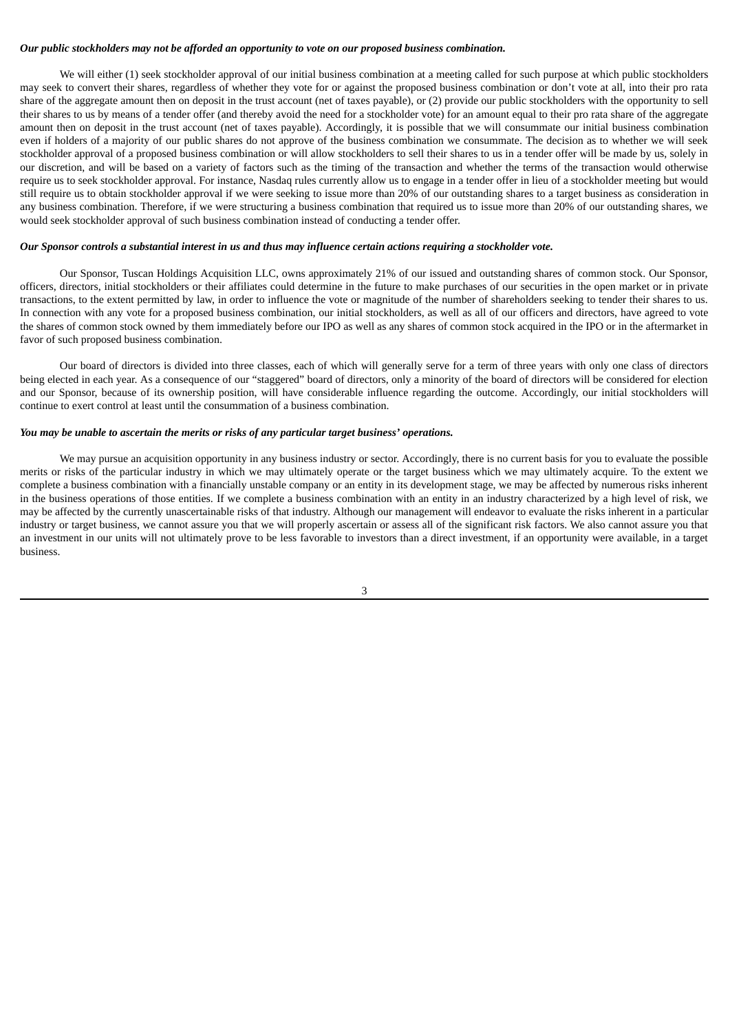## *Our public stockholders may not be afforded an opportunity to vote on our proposed business combination.*

We will either (1) seek stockholder approval of our initial business combination at a meeting called for such purpose at which public stockholders may seek to convert their shares, regardless of whether they vote for or against the proposed business combination or don't vote at all, into their pro rata share of the aggregate amount then on deposit in the trust account (net of taxes payable), or (2) provide our public stockholders with the opportunity to sell their shares to us by means of a tender offer (and thereby avoid the need for a stockholder vote) for an amount equal to their pro rata share of the aggregate amount then on deposit in the trust account (net of taxes payable). Accordingly, it is possible that we will consummate our initial business combination even if holders of a majority of our public shares do not approve of the business combination we consummate. The decision as to whether we will seek stockholder approval of a proposed business combination or will allow stockholders to sell their shares to us in a tender offer will be made by us, solely in our discretion, and will be based on a variety of factors such as the timing of the transaction and whether the terms of the transaction would otherwise require us to seek stockholder approval. For instance, Nasdaq rules currently allow us to engage in a tender offer in lieu of a stockholder meeting but would still require us to obtain stockholder approval if we were seeking to issue more than 20% of our outstanding shares to a target business as consideration in any business combination. Therefore, if we were structuring a business combination that required us to issue more than 20% of our outstanding shares, we would seek stockholder approval of such business combination instead of conducting a tender offer.

#### Our Sponsor controls a substantial interest in us and thus may influence certain actions requiring a stockholder vote.

Our Sponsor, Tuscan Holdings Acquisition LLC, owns approximately 21% of our issued and outstanding shares of common stock. Our Sponsor, officers, directors, initial stockholders or their affiliates could determine in the future to make purchases of our securities in the open market or in private transactions, to the extent permitted by law, in order to influence the vote or magnitude of the number of shareholders seeking to tender their shares to us. In connection with any vote for a proposed business combination, our initial stockholders, as well as all of our officers and directors, have agreed to vote the shares of common stock owned by them immediately before our IPO as well as any shares of common stock acquired in the IPO or in the aftermarket in favor of such proposed business combination.

Our board of directors is divided into three classes, each of which will generally serve for a term of three years with only one class of directors being elected in each year. As a consequence of our "staggered" board of directors, only a minority of the board of directors will be considered for election and our Sponsor, because of its ownership position, will have considerable influence regarding the outcome. Accordingly, our initial stockholders will continue to exert control at least until the consummation of a business combination.

#### *You may be unable to ascertain the merits or risks of any particular target business' operations.*

We may pursue an acquisition opportunity in any business industry or sector. Accordingly, there is no current basis for you to evaluate the possible merits or risks of the particular industry in which we may ultimately operate or the target business which we may ultimately acquire. To the extent we complete a business combination with a financially unstable company or an entity in its development stage, we may be affected by numerous risks inherent in the business operations of those entities. If we complete a business combination with an entity in an industry characterized by a high level of risk, we may be affected by the currently unascertainable risks of that industry. Although our management will endeavor to evaluate the risks inherent in a particular industry or target business, we cannot assure you that we will properly ascertain or assess all of the significant risk factors. We also cannot assure you that an investment in our units will not ultimately prove to be less favorable to investors than a direct investment, if an opportunity were available, in a target business.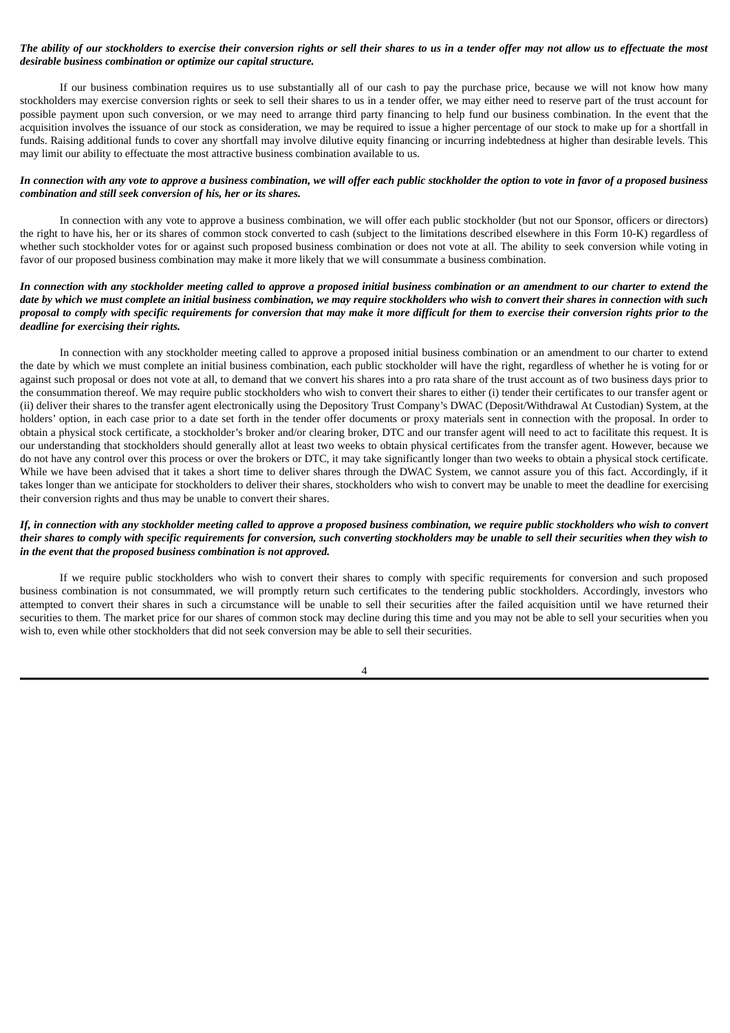## The ability of our stockholders to exercise their conversion rights or sell their shares to us in a tender offer may not allow us to effectuate the most *desirable business combination or optimize our capital structure.*

If our business combination requires us to use substantially all of our cash to pay the purchase price, because we will not know how many stockholders may exercise conversion rights or seek to sell their shares to us in a tender offer, we may either need to reserve part of the trust account for possible payment upon such conversion, or we may need to arrange third party financing to help fund our business combination. In the event that the acquisition involves the issuance of our stock as consideration, we may be required to issue a higher percentage of our stock to make up for a shortfall in funds. Raising additional funds to cover any shortfall may involve dilutive equity financing or incurring indebtedness at higher than desirable levels. This may limit our ability to effectuate the most attractive business combination available to us.

## In connection with any vote to approve a business combination, we will offer each public stockholder the option to vote in favor of a proposed business *combination and still seek conversion of his, her or its shares.*

In connection with any vote to approve a business combination, we will offer each public stockholder (but not our Sponsor, officers or directors) the right to have his, her or its shares of common stock converted to cash (subject to the limitations described elsewhere in this Form 10-K) regardless of whether such stockholder votes for or against such proposed business combination or does not vote at all. The ability to seek conversion while voting in favor of our proposed business combination may make it more likely that we will consummate a business combination.

## In connection with any stockholder meeting called to approve a proposed initial business combination or an amendment to our charter to extend the date by which we must complete an initial business combination, we may require stockholders who wish to convert their shares in connection with such proposal to comply with specific requirements for conversion that may make it more difficult for them to exercise their conversion rights prior to the *deadline for exercising their rights.*

In connection with any stockholder meeting called to approve a proposed initial business combination or an amendment to our charter to extend the date by which we must complete an initial business combination, each public stockholder will have the right, regardless of whether he is voting for or against such proposal or does not vote at all, to demand that we convert his shares into a pro rata share of the trust account as of two business days prior to the consummation thereof. We may require public stockholders who wish to convert their shares to either (i) tender their certificates to our transfer agent or (ii) deliver their shares to the transfer agent electronically using the Depository Trust Company's DWAC (Deposit/Withdrawal At Custodian) System, at the holders' option, in each case prior to a date set forth in the tender offer documents or proxy materials sent in connection with the proposal. In order to obtain a physical stock certificate, a stockholder's broker and/or clearing broker, DTC and our transfer agent will need to act to facilitate this request. It is our understanding that stockholders should generally allot at least two weeks to obtain physical certificates from the transfer agent. However, because we do not have any control over this process or over the brokers or DTC, it may take significantly longer than two weeks to obtain a physical stock certificate. While we have been advised that it takes a short time to deliver shares through the DWAC System, we cannot assure you of this fact. Accordingly, if it takes longer than we anticipate for stockholders to deliver their shares, stockholders who wish to convert may be unable to meet the deadline for exercising their conversion rights and thus may be unable to convert their shares.

## If, in connection with any stockholder meeting called to approve a proposed business combination, we require public stockholders who wish to convert their shares to comply with specific requirements for conversion, such converting stockholders may be unable to sell their securities when they wish to *in the event that the proposed business combination is not approved.*

If we require public stockholders who wish to convert their shares to comply with specific requirements for conversion and such proposed business combination is not consummated, we will promptly return such certificates to the tendering public stockholders. Accordingly, investors who attempted to convert their shares in such a circumstance will be unable to sell their securities after the failed acquisition until we have returned their securities to them. The market price for our shares of common stock may decline during this time and you may not be able to sell your securities when you wish to, even while other stockholders that did not seek conversion may be able to sell their securities.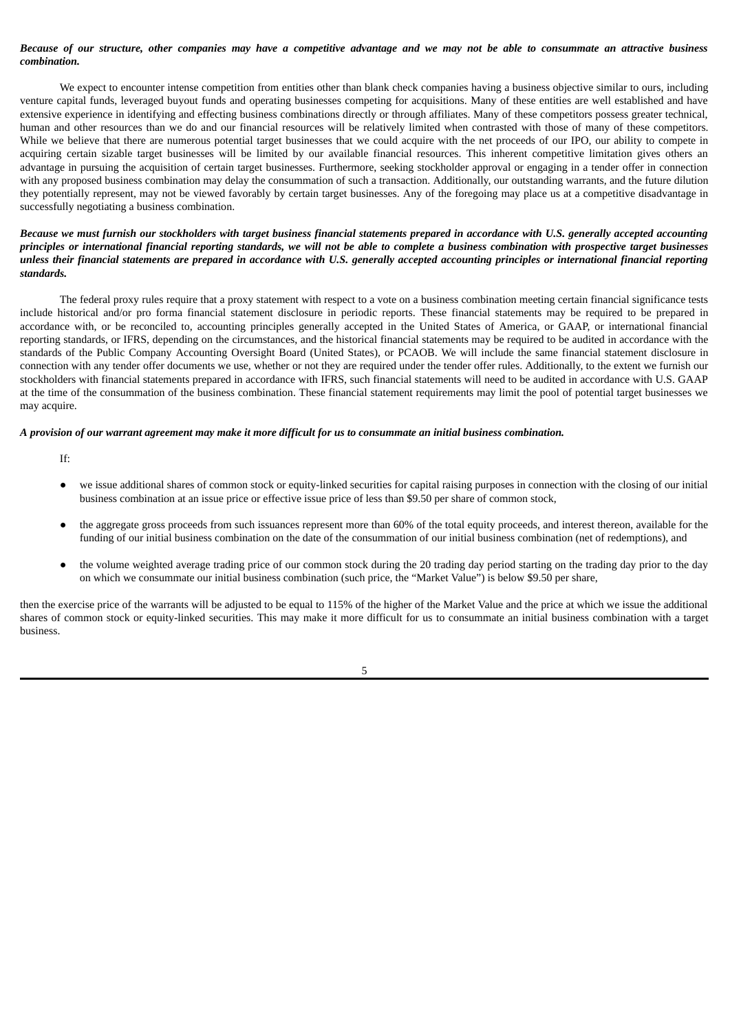## Because of our structure, other companies may have a competitive advantage and we may not be able to consummate an attractive business *combination.*

We expect to encounter intense competition from entities other than blank check companies having a business objective similar to ours, including venture capital funds, leveraged buyout funds and operating businesses competing for acquisitions. Many of these entities are well established and have extensive experience in identifying and effecting business combinations directly or through affiliates. Many of these competitors possess greater technical, human and other resources than we do and our financial resources will be relatively limited when contrasted with those of many of these competitors. While we believe that there are numerous potential target businesses that we could acquire with the net proceeds of our IPO, our ability to compete in acquiring certain sizable target businesses will be limited by our available financial resources. This inherent competitive limitation gives others an advantage in pursuing the acquisition of certain target businesses. Furthermore, seeking stockholder approval or engaging in a tender offer in connection with any proposed business combination may delay the consummation of such a transaction. Additionally, our outstanding warrants, and the future dilution they potentially represent, may not be viewed favorably by certain target businesses. Any of the foregoing may place us at a competitive disadvantage in successfully negotiating a business combination.

## Because we must furnish our stockholders with target business financial statements prepared in accordance with U.S. generally accepted accounting principles or international financial reporting standards, we will not be able to complete a business combination with prospective target businesses unless their financial statements are prepared in accordance with U.S. generally accepted accounting principles or international financial reporting *standards.*

The federal proxy rules require that a proxy statement with respect to a vote on a business combination meeting certain financial significance tests include historical and/or pro forma financial statement disclosure in periodic reports. These financial statements may be required to be prepared in accordance with, or be reconciled to, accounting principles generally accepted in the United States of America, or GAAP, or international financial reporting standards, or IFRS, depending on the circumstances, and the historical financial statements may be required to be audited in accordance with the standards of the Public Company Accounting Oversight Board (United States), or PCAOB. We will include the same financial statement disclosure in connection with any tender offer documents we use, whether or not they are required under the tender offer rules. Additionally, to the extent we furnish our stockholders with financial statements prepared in accordance with IFRS, such financial statements will need to be audited in accordance with U.S. GAAP at the time of the consummation of the business combination. These financial statement requirements may limit the pool of potential target businesses we may acquire.

### A provision of our warrant agreement may make it more difficult for us to consummate an initial business combination.

If:

- we issue additional shares of common stock or equity-linked securities for capital raising purposes in connection with the closing of our initial business combination at an issue price or effective issue price of less than \$9.50 per share of common stock,
- the aggregate gross proceeds from such issuances represent more than 60% of the total equity proceeds, and interest thereon, available for the funding of our initial business combination on the date of the consummation of our initial business combination (net of redemptions), and
- the volume weighted average trading price of our common stock during the 20 trading day period starting on the trading day prior to the day on which we consummate our initial business combination (such price, the "Market Value") is below \$9.50 per share,

then the exercise price of the warrants will be adjusted to be equal to 115% of the higher of the Market Value and the price at which we issue the additional shares of common stock or equity-linked securities. This may make it more difficult for us to consummate an initial business combination with a target business.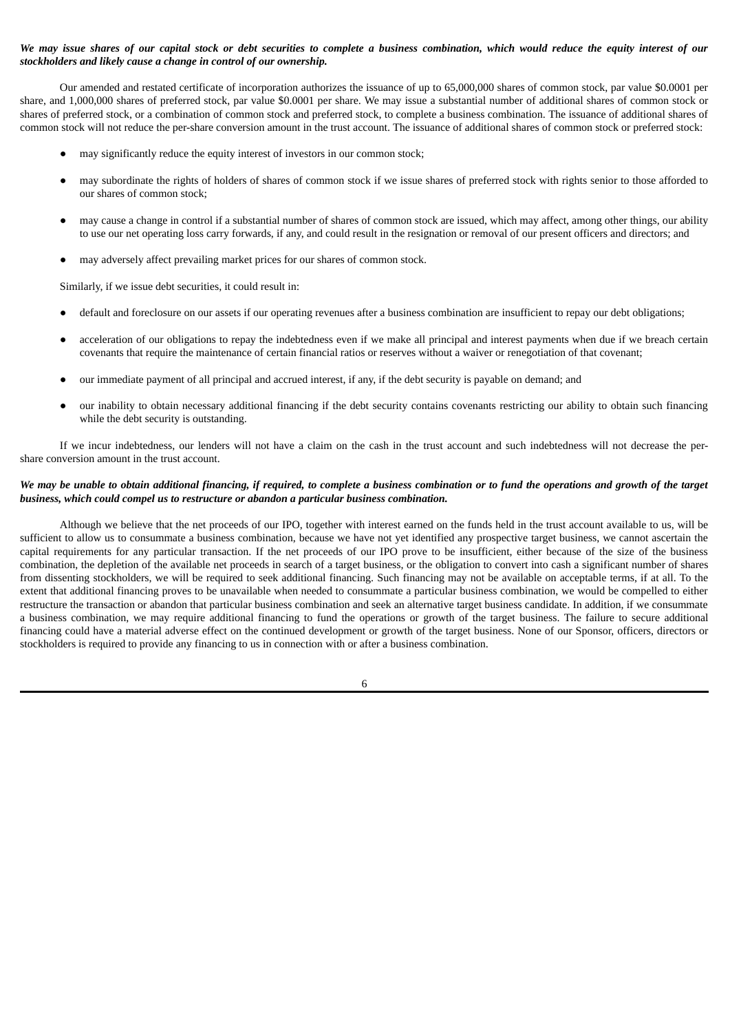## We may issue shares of our capital stock or debt securities to complete a business combination, which would reduce the equity interest of our *stockholders and likely cause a change in control of our ownership.*

Our amended and restated certificate of incorporation authorizes the issuance of up to 65,000,000 shares of common stock, par value \$0.0001 per share, and 1,000,000 shares of preferred stock, par value \$0.0001 per share. We may issue a substantial number of additional shares of common stock or shares of preferred stock, or a combination of common stock and preferred stock, to complete a business combination. The issuance of additional shares of common stock will not reduce the per-share conversion amount in the trust account. The issuance of additional shares of common stock or preferred stock:

- may significantly reduce the equity interest of investors in our common stock;
- may subordinate the rights of holders of shares of common stock if we issue shares of preferred stock with rights senior to those afforded to our shares of common stock;
- may cause a change in control if a substantial number of shares of common stock are issued, which may affect, among other things, our ability to use our net operating loss carry forwards, if any, and could result in the resignation or removal of our present officers and directors; and
- may adversely affect prevailing market prices for our shares of common stock.

Similarly, if we issue debt securities, it could result in:

- default and foreclosure on our assets if our operating revenues after a business combination are insufficient to repay our debt obligations;
- acceleration of our obligations to repay the indebtedness even if we make all principal and interest payments when due if we breach certain covenants that require the maintenance of certain financial ratios or reserves without a waiver or renegotiation of that covenant;
- our immediate payment of all principal and accrued interest, if any, if the debt security is payable on demand; and
- our inability to obtain necessary additional financing if the debt security contains covenants restricting our ability to obtain such financing while the debt security is outstanding.

If we incur indebtedness, our lenders will not have a claim on the cash in the trust account and such indebtedness will not decrease the pershare conversion amount in the trust account.

## We may be unable to obtain additional financing, if required, to complete a business combination or to fund the operations and growth of the target *business, which could compel us to restructure or abandon a particular business combination.*

Although we believe that the net proceeds of our IPO, together with interest earned on the funds held in the trust account available to us, will be sufficient to allow us to consummate a business combination, because we have not yet identified any prospective target business, we cannot ascertain the capital requirements for any particular transaction. If the net proceeds of our IPO prove to be insufficient, either because of the size of the business combination, the depletion of the available net proceeds in search of a target business, or the obligation to convert into cash a significant number of shares from dissenting stockholders, we will be required to seek additional financing. Such financing may not be available on acceptable terms, if at all. To the extent that additional financing proves to be unavailable when needed to consummate a particular business combination, we would be compelled to either restructure the transaction or abandon that particular business combination and seek an alternative target business candidate. In addition, if we consummate a business combination, we may require additional financing to fund the operations or growth of the target business. The failure to secure additional financing could have a material adverse effect on the continued development or growth of the target business. None of our Sponsor, officers, directors or stockholders is required to provide any financing to us in connection with or after a business combination.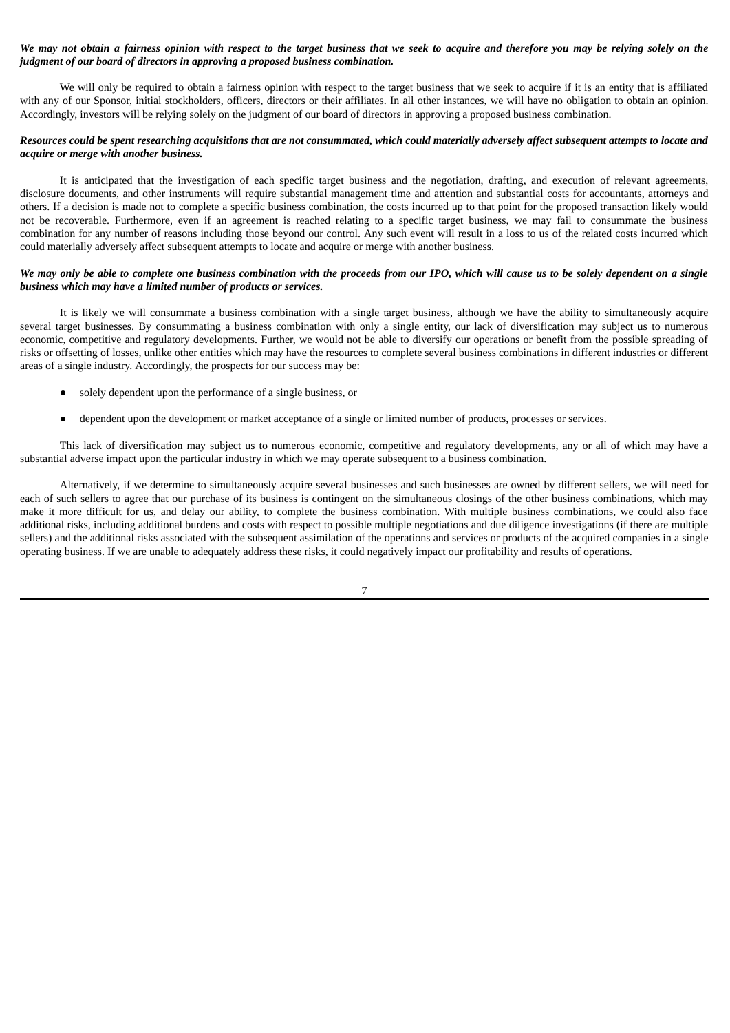## We may not obtain a fairness opinion with respect to the target business that we seek to acquire and therefore you may be relying solely on the *judgment of our board of directors in approving a proposed business combination.*

We will only be required to obtain a fairness opinion with respect to the target business that we seek to acquire if it is an entity that is affiliated with any of our Sponsor, initial stockholders, officers, directors or their affiliates. In all other instances, we will have no obligation to obtain an opinion. Accordingly, investors will be relying solely on the judgment of our board of directors in approving a proposed business combination.

## Resources could be spent researching acquisitions that are not consummated, which could materially adversely affect subsequent attempts to locate and *acquire or merge with another business.*

It is anticipated that the investigation of each specific target business and the negotiation, drafting, and execution of relevant agreements, disclosure documents, and other instruments will require substantial management time and attention and substantial costs for accountants, attorneys and others. If a decision is made not to complete a specific business combination, the costs incurred up to that point for the proposed transaction likely would not be recoverable. Furthermore, even if an agreement is reached relating to a specific target business, we may fail to consummate the business combination for any number of reasons including those beyond our control. Any such event will result in a loss to us of the related costs incurred which could materially adversely affect subsequent attempts to locate and acquire or merge with another business.

## We may only be able to complete one business combination with the proceeds from our IPO, which will cause us to be solely dependent on a single *business which may have a limited number of products or services.*

It is likely we will consummate a business combination with a single target business, although we have the ability to simultaneously acquire several target businesses. By consummating a business combination with only a single entity, our lack of diversification may subject us to numerous economic, competitive and regulatory developments. Further, we would not be able to diversify our operations or benefit from the possible spreading of risks or offsetting of losses, unlike other entities which may have the resources to complete several business combinations in different industries or different areas of a single industry. Accordingly, the prospects for our success may be:

- solely dependent upon the performance of a single business, or
- dependent upon the development or market acceptance of a single or limited number of products, processes or services.

This lack of diversification may subject us to numerous economic, competitive and regulatory developments, any or all of which may have a substantial adverse impact upon the particular industry in which we may operate subsequent to a business combination.

Alternatively, if we determine to simultaneously acquire several businesses and such businesses are owned by different sellers, we will need for each of such sellers to agree that our purchase of its business is contingent on the simultaneous closings of the other business combinations, which may make it more difficult for us, and delay our ability, to complete the business combination. With multiple business combinations, we could also face additional risks, including additional burdens and costs with respect to possible multiple negotiations and due diligence investigations (if there are multiple sellers) and the additional risks associated with the subsequent assimilation of the operations and services or products of the acquired companies in a single operating business. If we are unable to adequately address these risks, it could negatively impact our profitability and results of operations.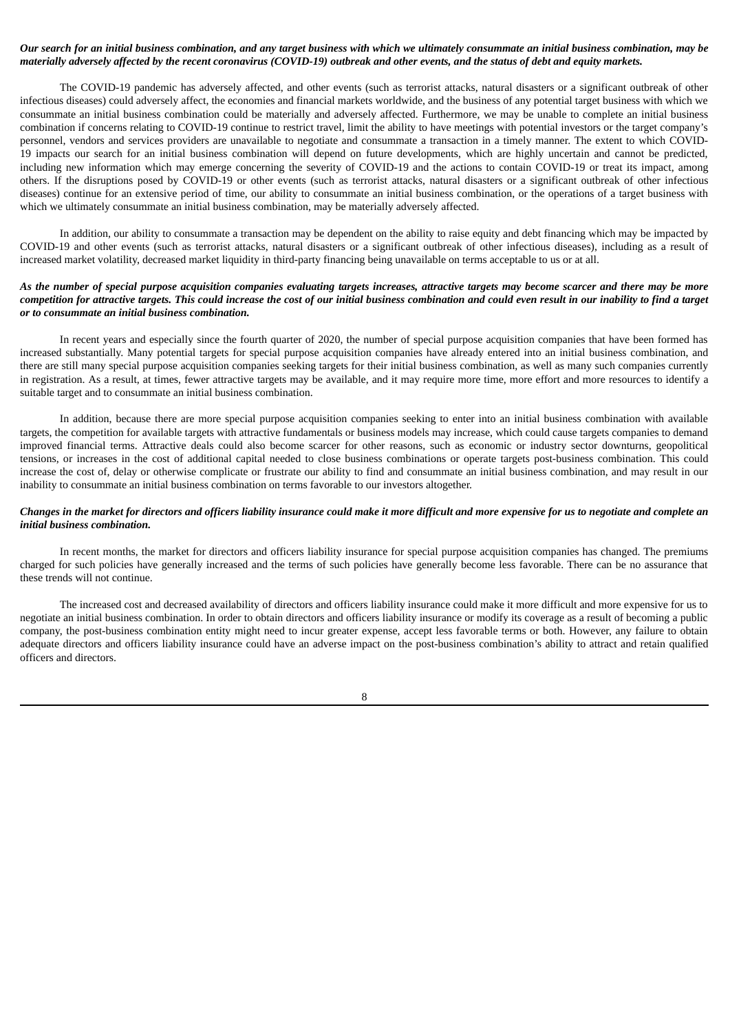## Our search for an initial business combination, and any target business with which we ultimately consummate an initial business combination, may be materially adversely affected by the recent coronavirus (COVID-19) outbreak and other events, and the status of debt and equity markets.

The COVID-19 pandemic has adversely affected, and other events (such as terrorist attacks, natural disasters or a significant outbreak of other infectious diseases) could adversely affect, the economies and financial markets worldwide, and the business of any potential target business with which we consummate an initial business combination could be materially and adversely affected. Furthermore, we may be unable to complete an initial business combination if concerns relating to COVID-19 continue to restrict travel, limit the ability to have meetings with potential investors or the target company's personnel, vendors and services providers are unavailable to negotiate and consummate a transaction in a timely manner. The extent to which COVID-19 impacts our search for an initial business combination will depend on future developments, which are highly uncertain and cannot be predicted, including new information which may emerge concerning the severity of COVID-19 and the actions to contain COVID-19 or treat its impact, among others. If the disruptions posed by COVID-19 or other events (such as terrorist attacks, natural disasters or a significant outbreak of other infectious diseases) continue for an extensive period of time, our ability to consummate an initial business combination, or the operations of a target business with which we ultimately consummate an initial business combination, may be materially adversely affected.

In addition, our ability to consummate a transaction may be dependent on the ability to raise equity and debt financing which may be impacted by COVID-19 and other events (such as terrorist attacks, natural disasters or a significant outbreak of other infectious diseases), including as a result of increased market volatility, decreased market liquidity in third-party financing being unavailable on terms acceptable to us or at all.

## As the number of special purpose acquisition companies evaluating targets increases, attractive targets may become scarcer and there may be more competition for attractive targets. This could increase the cost of our initial business combination and could even result in our inability to find a target *or to consummate an initial business combination.*

In recent years and especially since the fourth quarter of 2020, the number of special purpose acquisition companies that have been formed has increased substantially. Many potential targets for special purpose acquisition companies have already entered into an initial business combination, and there are still many special purpose acquisition companies seeking targets for their initial business combination, as well as many such companies currently in registration. As a result, at times, fewer attractive targets may be available, and it may require more time, more effort and more resources to identify a suitable target and to consummate an initial business combination.

In addition, because there are more special purpose acquisition companies seeking to enter into an initial business combination with available targets, the competition for available targets with attractive fundamentals or business models may increase, which could cause targets companies to demand improved financial terms. Attractive deals could also become scarcer for other reasons, such as economic or industry sector downturns, geopolitical tensions, or increases in the cost of additional capital needed to close business combinations or operate targets post-business combination. This could increase the cost of, delay or otherwise complicate or frustrate our ability to find and consummate an initial business combination, and may result in our inability to consummate an initial business combination on terms favorable to our investors altogether.

## Changes in the market for directors and officers liability insurance could make it more difficult and more expensive for us to negotiate and complete an *initial business combination.*

In recent months, the market for directors and officers liability insurance for special purpose acquisition companies has changed. The premiums charged for such policies have generally increased and the terms of such policies have generally become less favorable. There can be no assurance that these trends will not continue.

The increased cost and decreased availability of directors and officers liability insurance could make it more difficult and more expensive for us to negotiate an initial business combination. In order to obtain directors and officers liability insurance or modify its coverage as a result of becoming a public company, the post-business combination entity might need to incur greater expense, accept less favorable terms or both. However, any failure to obtain adequate directors and officers liability insurance could have an adverse impact on the post-business combination's ability to attract and retain qualified officers and directors.

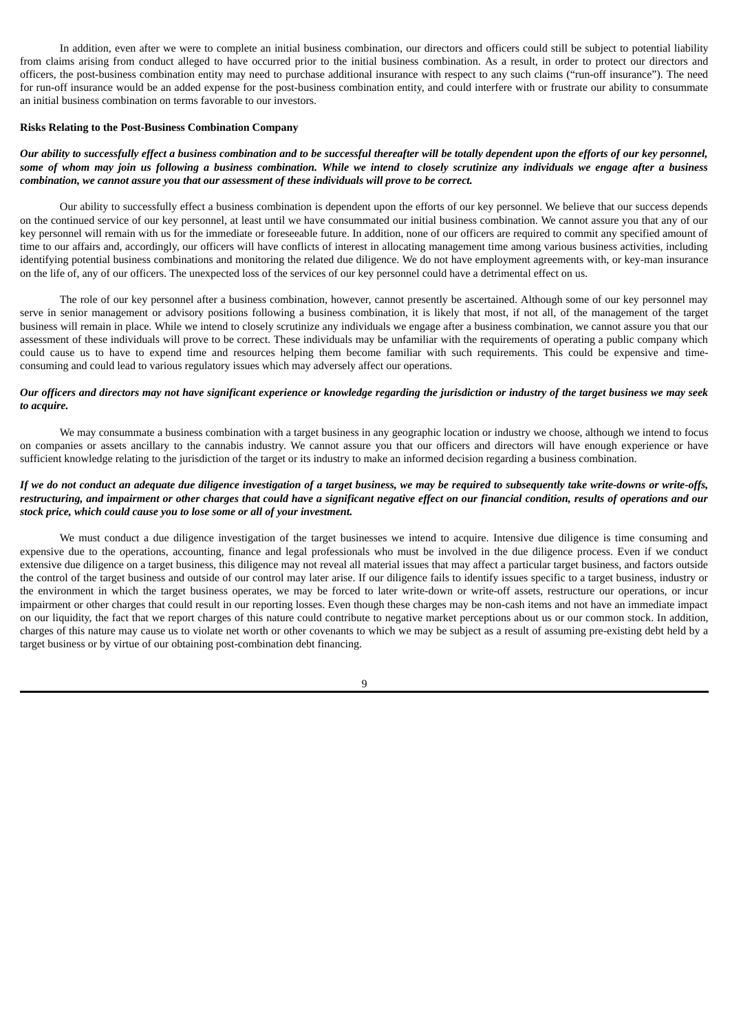In addition, even after we were to complete an initial business combination, our directors and officers could still be subject to potential liability from claims arising from conduct alleged to have occurred prior to the initial business combination. As a result, in order to protect our directors and officers, the post-business combination entity may need to purchase additional insurance with respect to any such claims ("run-off insurance"). The need for run-off insurance would be an added expense for the post-business combination entity, and could interfere with or frustrate our ability to consummate an initial business combination on terms favorable to our investors.

### **Risks Relating to the Post-Business Combination Company**

## Our ability to successfully effect a business combination and to be successful thereafter will be totally dependent upon the efforts of our key personnel, some of whom may join us following a business combination. While we intend to closely scrutinize any individuals we engage after a business *combination, we cannot assure you that our assessment of these individuals will prove to be correct.*

Our ability to successfully effect a business combination is dependent upon the efforts of our key personnel. We believe that our success depends on the continued service of our key personnel, at least until we have consummated our initial business combination. We cannot assure you that any of our key personnel will remain with us for the immediate or foreseeable future. In addition, none of our officers are required to commit any specified amount of time to our affairs and, accordingly, our officers will have conflicts of interest in allocating management time among various business activities, including identifying potential business combinations and monitoring the related due diligence. We do not have employment agreements with, or key-man insurance on the life of, any of our officers. The unexpected loss of the services of our key personnel could have a detrimental effect on us.

The role of our key personnel after a business combination, however, cannot presently be ascertained. Although some of our key personnel may serve in senior management or advisory positions following a business combination, it is likely that most, if not all, of the management of the target business will remain in place. While we intend to closely scrutinize any individuals we engage after a business combination, we cannot assure you that our assessment of these individuals will prove to be correct. These individuals may be unfamiliar with the requirements of operating a public company which could cause us to have to expend time and resources helping them become familiar with such requirements. This could be expensive and timeconsuming and could lead to various regulatory issues which may adversely affect our operations.

### Our officers and directors may not have significant experience or knowledge regarding the jurisdiction or industry of the target business we may seek *to acquire.*

We may consummate a business combination with a target business in any geographic location or industry we choose, although we intend to focus on companies or assets ancillary to the cannabis industry. We cannot assure you that our officers and directors will have enough experience or have sufficient knowledge relating to the jurisdiction of the target or its industry to make an informed decision regarding a business combination.

## If we do not conduct an adequate due diligence investigation of a target business, we may be required to subsequently take write-downs or write-offs, restructuring, and impairment or other charges that could have a significant negative effect on our financial condition, results of operations and our *stock price, which could cause you to lose some or all of your investment.*

We must conduct a due diligence investigation of the target businesses we intend to acquire. Intensive due diligence is time consuming and expensive due to the operations, accounting, finance and legal professionals who must be involved in the due diligence process. Even if we conduct extensive due diligence on a target business, this diligence may not reveal all material issues that may affect a particular target business, and factors outside the control of the target business and outside of our control may later arise. If our diligence fails to identify issues specific to a target business, industry or the environment in which the target business operates, we may be forced to later write-down or write-off assets, restructure our operations, or incur impairment or other charges that could result in our reporting losses. Even though these charges may be non-cash items and not have an immediate impact on our liquidity, the fact that we report charges of this nature could contribute to negative market perceptions about us or our common stock. In addition, charges of this nature may cause us to violate net worth or other covenants to which we may be subject as a result of assuming pre-existing debt held by a target business or by virtue of our obtaining post-combination debt financing.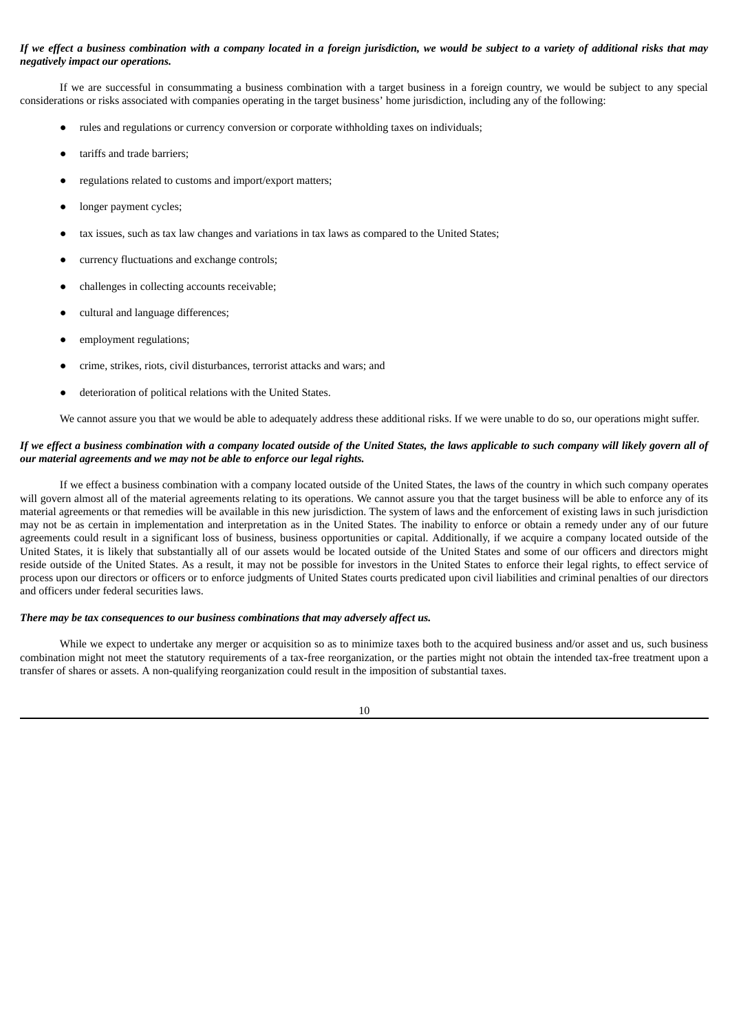## If we effect a business combination with a company located in a foreign jurisdiction, we would be subject to a variety of additional risks that may *negatively impact our operations.*

If we are successful in consummating a business combination with a target business in a foreign country, we would be subject to any special considerations or risks associated with companies operating in the target business' home jurisdiction, including any of the following:

- rules and regulations or currency conversion or corporate withholding taxes on individuals;
- tariffs and trade barriers;
- regulations related to customs and import/export matters;
- longer payment cycles;
- tax issues, such as tax law changes and variations in tax laws as compared to the United States;
- currency fluctuations and exchange controls;
- challenges in collecting accounts receivable:
- cultural and language differences;
- employment regulations;
- crime, strikes, riots, civil disturbances, terrorist attacks and wars; and
- deterioration of political relations with the United States.

We cannot assure you that we would be able to adequately address these additional risks. If we were unable to do so, our operations might suffer.

## If we effect a business combination with a company located outside of the United States, the laws applicable to such company will likely govern all of *our material agreements and we may not be able to enforce our legal rights.*

If we effect a business combination with a company located outside of the United States, the laws of the country in which such company operates will govern almost all of the material agreements relating to its operations. We cannot assure you that the target business will be able to enforce any of its material agreements or that remedies will be available in this new jurisdiction. The system of laws and the enforcement of existing laws in such jurisdiction may not be as certain in implementation and interpretation as in the United States. The inability to enforce or obtain a remedy under any of our future agreements could result in a significant loss of business, business opportunities or capital. Additionally, if we acquire a company located outside of the United States, it is likely that substantially all of our assets would be located outside of the United States and some of our officers and directors might reside outside of the United States. As a result, it may not be possible for investors in the United States to enforce their legal rights, to effect service of process upon our directors or officers or to enforce judgments of United States courts predicated upon civil liabilities and criminal penalties of our directors and officers under federal securities laws.

#### *There may be tax consequences to our business combinations that may adversely affect us.*

While we expect to undertake any merger or acquisition so as to minimize taxes both to the acquired business and/or asset and us, such business combination might not meet the statutory requirements of a tax-free reorganization, or the parties might not obtain the intended tax-free treatment upon a transfer of shares or assets. A non-qualifying reorganization could result in the imposition of substantial taxes.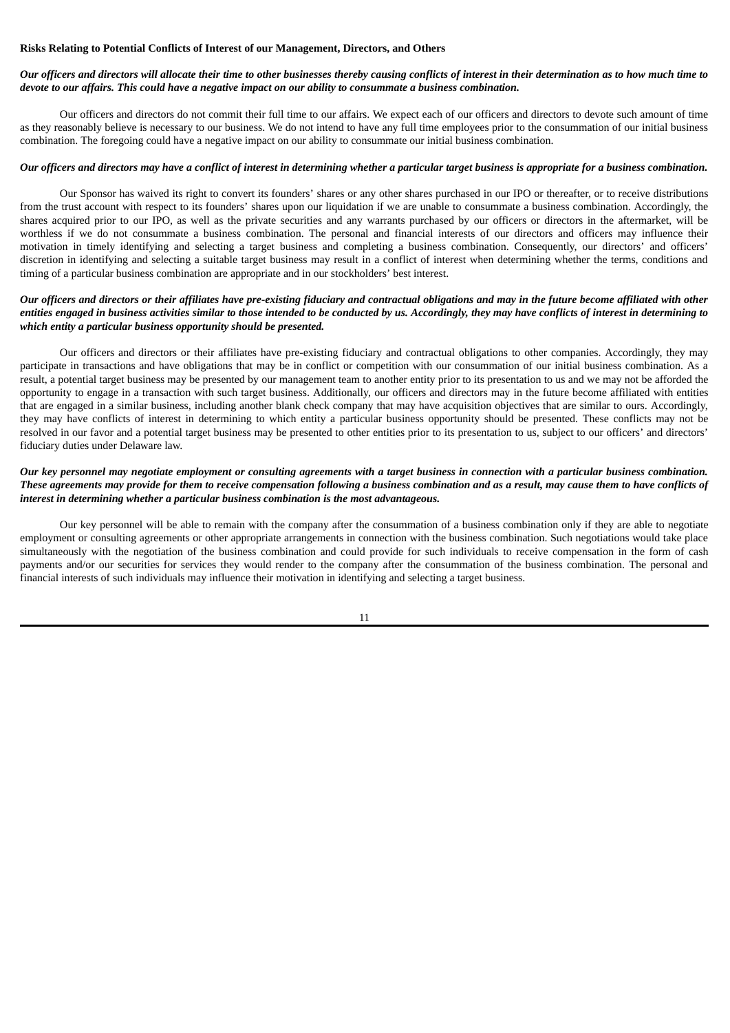### **Risks Relating to Potential Conflicts of Interest of our Management, Directors, and Others**

## Our officers and directors will allocate their time to other businesses thereby causing conflicts of interest in their determination as to how much time to devote to our affairs. This could have a negative impact on our ability to consummate a business combination.

Our officers and directors do not commit their full time to our affairs. We expect each of our officers and directors to devote such amount of time as they reasonably believe is necessary to our business. We do not intend to have any full time employees prior to the consummation of our initial business combination. The foregoing could have a negative impact on our ability to consummate our initial business combination.

#### Our officers and directors may have a conflict of interest in determining whether a particular target business is appropriate for a business combination.

Our Sponsor has waived its right to convert its founders' shares or any other shares purchased in our IPO or thereafter, or to receive distributions from the trust account with respect to its founders' shares upon our liquidation if we are unable to consummate a business combination. Accordingly, the shares acquired prior to our IPO, as well as the private securities and any warrants purchased by our officers or directors in the aftermarket, will be worthless if we do not consummate a business combination. The personal and financial interests of our directors and officers may influence their motivation in timely identifying and selecting a target business and completing a business combination. Consequently, our directors' and officers' discretion in identifying and selecting a suitable target business may result in a conflict of interest when determining whether the terms, conditions and timing of a particular business combination are appropriate and in our stockholders' best interest.

## Our officers and directors or their affiliates have pre-existing fiduciary and contractual obligations and may in the future become affiliated with other entities engaged in business activities similar to those intended to be conducted by us. Accordingly, they may have conflicts of interest in determining to *which entity a particular business opportunity should be presented.*

Our officers and directors or their affiliates have pre-existing fiduciary and contractual obligations to other companies. Accordingly, they may participate in transactions and have obligations that may be in conflict or competition with our consummation of our initial business combination. As a result, a potential target business may be presented by our management team to another entity prior to its presentation to us and we may not be afforded the opportunity to engage in a transaction with such target business. Additionally, our officers and directors may in the future become affiliated with entities that are engaged in a similar business, including another blank check company that may have acquisition objectives that are similar to ours. Accordingly, they may have conflicts of interest in determining to which entity a particular business opportunity should be presented. These conflicts may not be resolved in our favor and a potential target business may be presented to other entities prior to its presentation to us, subject to our officers' and directors' fiduciary duties under Delaware law.

## Our key personnel may negotiate employment or consulting agreements with a target business in connection with a particular business combination. These agreements may provide for them to receive compensation following a business combination and as a result, may cause them to have conflicts of *interest in determining whether a particular business combination is the most advantageous.*

Our key personnel will be able to remain with the company after the consummation of a business combination only if they are able to negotiate employment or consulting agreements or other appropriate arrangements in connection with the business combination. Such negotiations would take place simultaneously with the negotiation of the business combination and could provide for such individuals to receive compensation in the form of cash payments and/or our securities for services they would render to the company after the consummation of the business combination. The personal and financial interests of such individuals may influence their motivation in identifying and selecting a target business.

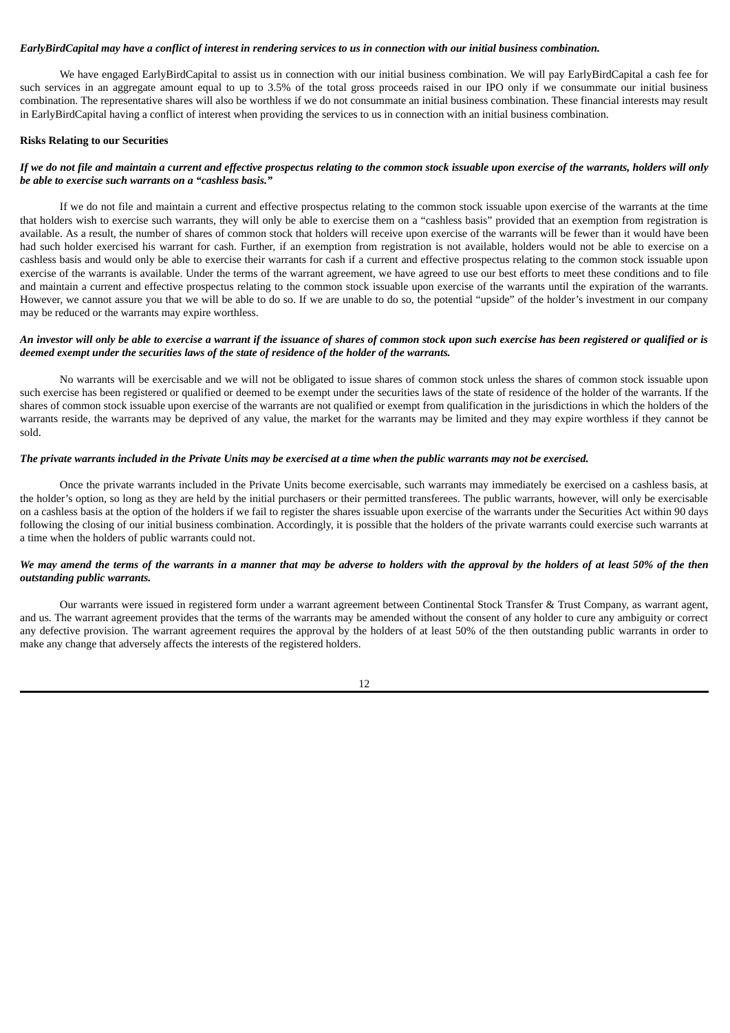## EarlyBirdCapital may have a conflict of interest in rendering services to us in connection with our initial business combination.

We have engaged EarlyBirdCapital to assist us in connection with our initial business combination. We will pay EarlyBirdCapital a cash fee for such services in an aggregate amount equal to up to 3.5% of the total gross proceeds raised in our IPO only if we consummate our initial business combination. The representative shares will also be worthless if we do not consummate an initial business combination. These financial interests may result in EarlyBirdCapital having a conflict of interest when providing the services to us in connection with an initial business combination.

#### **Risks Relating to our Securities**

#### If we do not file and maintain a current and effective prospectus relating to the common stock issuable upon exercise of the warrants, holders will only *be able to exercise such warrants on a "cashless basis."*

If we do not file and maintain a current and effective prospectus relating to the common stock issuable upon exercise of the warrants at the time that holders wish to exercise such warrants, they will only be able to exercise them on a "cashless basis" provided that an exemption from registration is available. As a result, the number of shares of common stock that holders will receive upon exercise of the warrants will be fewer than it would have been had such holder exercised his warrant for cash. Further, if an exemption from registration is not available, holders would not be able to exercise on a cashless basis and would only be able to exercise their warrants for cash if a current and effective prospectus relating to the common stock issuable upon exercise of the warrants is available. Under the terms of the warrant agreement, we have agreed to use our best efforts to meet these conditions and to file and maintain a current and effective prospectus relating to the common stock issuable upon exercise of the warrants until the expiration of the warrants. However, we cannot assure you that we will be able to do so. If we are unable to do so, the potential "upside" of the holder's investment in our company may be reduced or the warrants may expire worthless.

#### An investor will only be able to exercise a warrant if the issuance of shares of common stock upon such exercise has been registered or qualified or is *deemed exempt under the securities laws of the state of residence of the holder of the warrants.*

No warrants will be exercisable and we will not be obligated to issue shares of common stock unless the shares of common stock issuable upon such exercise has been registered or qualified or deemed to be exempt under the securities laws of the state of residence of the holder of the warrants. If the shares of common stock issuable upon exercise of the warrants are not qualified or exempt from qualification in the jurisdictions in which the holders of the warrants reside, the warrants may be deprived of any value, the market for the warrants may be limited and they may expire worthless if they cannot be sold.

#### The private warrants included in the Private Units may be exercised at a time when the public warrants may not be exercised.

Once the private warrants included in the Private Units become exercisable, such warrants may immediately be exercised on a cashless basis, at the holder's option, so long as they are held by the initial purchasers or their permitted transferees. The public warrants, however, will only be exercisable on a cashless basis at the option of the holders if we fail to register the shares issuable upon exercise of the warrants under the Securities Act within 90 days following the closing of our initial business combination. Accordingly, it is possible that the holders of the private warrants could exercise such warrants at a time when the holders of public warrants could not.

### We may amend the terms of the warrants in a manner that may be adverse to holders with the approval by the holders of at least 50% of the then *outstanding public warrants.*

Our warrants were issued in registered form under a warrant agreement between Continental Stock Transfer & Trust Company, as warrant agent, and us. The warrant agreement provides that the terms of the warrants may be amended without the consent of any holder to cure any ambiguity or correct any defective provision. The warrant agreement requires the approval by the holders of at least 50% of the then outstanding public warrants in order to make any change that adversely affects the interests of the registered holders.

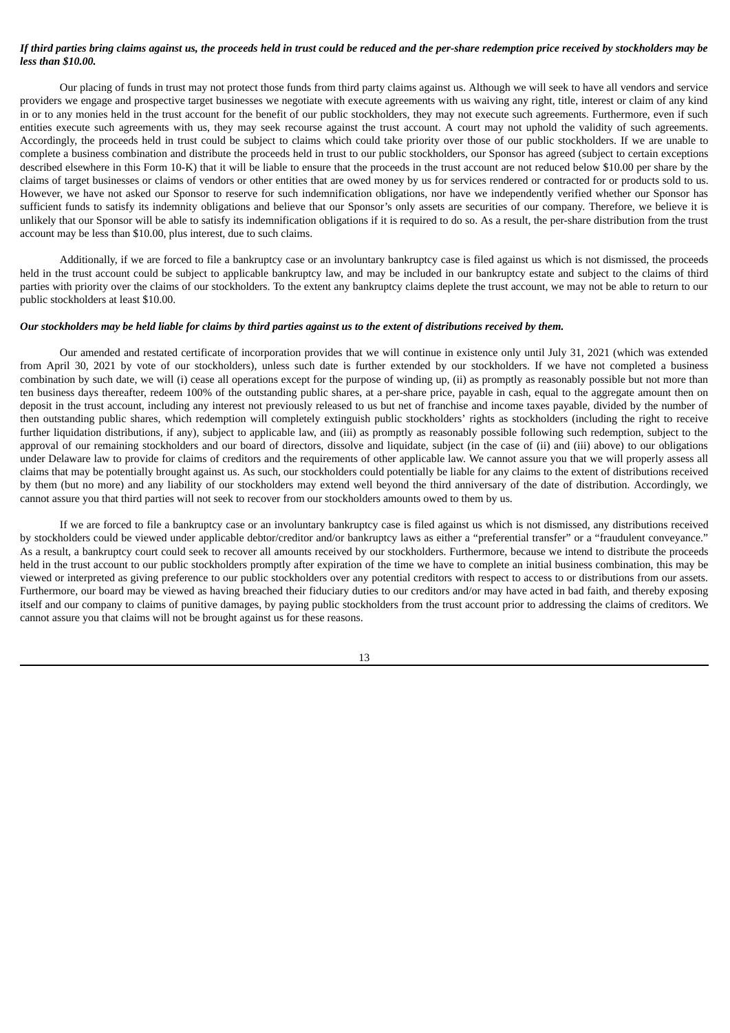## If third parties bring claims against us, the proceeds held in trust could be reduced and the per-share redemption price received by stockholders may be *less than \$10.00.*

Our placing of funds in trust may not protect those funds from third party claims against us. Although we will seek to have all vendors and service providers we engage and prospective target businesses we negotiate with execute agreements with us waiving any right, title, interest or claim of any kind in or to any monies held in the trust account for the benefit of our public stockholders, they may not execute such agreements. Furthermore, even if such entities execute such agreements with us, they may seek recourse against the trust account. A court may not uphold the validity of such agreements. Accordingly, the proceeds held in trust could be subject to claims which could take priority over those of our public stockholders. If we are unable to complete a business combination and distribute the proceeds held in trust to our public stockholders, our Sponsor has agreed (subject to certain exceptions described elsewhere in this Form 10-K) that it will be liable to ensure that the proceeds in the trust account are not reduced below \$10.00 per share by the claims of target businesses or claims of vendors or other entities that are owed money by us for services rendered or contracted for or products sold to us. However, we have not asked our Sponsor to reserve for such indemnification obligations, nor have we independently verified whether our Sponsor has sufficient funds to satisfy its indemnity obligations and believe that our Sponsor's only assets are securities of our company. Therefore, we believe it is unlikely that our Sponsor will be able to satisfy its indemnification obligations if it is required to do so. As a result, the per-share distribution from the trust account may be less than \$10.00, plus interest, due to such claims.

Additionally, if we are forced to file a bankruptcy case or an involuntary bankruptcy case is filed against us which is not dismissed, the proceeds held in the trust account could be subject to applicable bankruptcy law, and may be included in our bankruptcy estate and subject to the claims of third parties with priority over the claims of our stockholders. To the extent any bankruptcy claims deplete the trust account, we may not be able to return to our public stockholders at least \$10.00.

#### Our stockholders may be held liable for claims by third parties against us to the extent of distributions received by them.

Our amended and restated certificate of incorporation provides that we will continue in existence only until July 31, 2021 (which was extended from April 30, 2021 by vote of our stockholders), unless such date is further extended by our stockholders. If we have not completed a business combination by such date, we will (i) cease all operations except for the purpose of winding up, (ii) as promptly as reasonably possible but not more than ten business days thereafter, redeem 100% of the outstanding public shares, at a per-share price, payable in cash, equal to the aggregate amount then on deposit in the trust account, including any interest not previously released to us but net of franchise and income taxes payable, divided by the number of then outstanding public shares, which redemption will completely extinguish public stockholders' rights as stockholders (including the right to receive further liquidation distributions, if any), subject to applicable law, and (iii) as promptly as reasonably possible following such redemption, subject to the approval of our remaining stockholders and our board of directors, dissolve and liquidate, subject (in the case of (ii) and (iii) above) to our obligations under Delaware law to provide for claims of creditors and the requirements of other applicable law. We cannot assure you that we will properly assess all claims that may be potentially brought against us. As such, our stockholders could potentially be liable for any claims to the extent of distributions received by them (but no more) and any liability of our stockholders may extend well beyond the third anniversary of the date of distribution. Accordingly, we cannot assure you that third parties will not seek to recover from our stockholders amounts owed to them by us.

If we are forced to file a bankruptcy case or an involuntary bankruptcy case is filed against us which is not dismissed, any distributions received by stockholders could be viewed under applicable debtor/creditor and/or bankruptcy laws as either a "preferential transfer" or a "fraudulent conveyance." As a result, a bankruptcy court could seek to recover all amounts received by our stockholders. Furthermore, because we intend to distribute the proceeds held in the trust account to our public stockholders promptly after expiration of the time we have to complete an initial business combination, this may be viewed or interpreted as giving preference to our public stockholders over any potential creditors with respect to access to or distributions from our assets. Furthermore, our board may be viewed as having breached their fiduciary duties to our creditors and/or may have acted in bad faith, and thereby exposing itself and our company to claims of punitive damages, by paying public stockholders from the trust account prior to addressing the claims of creditors. We cannot assure you that claims will not be brought against us for these reasons.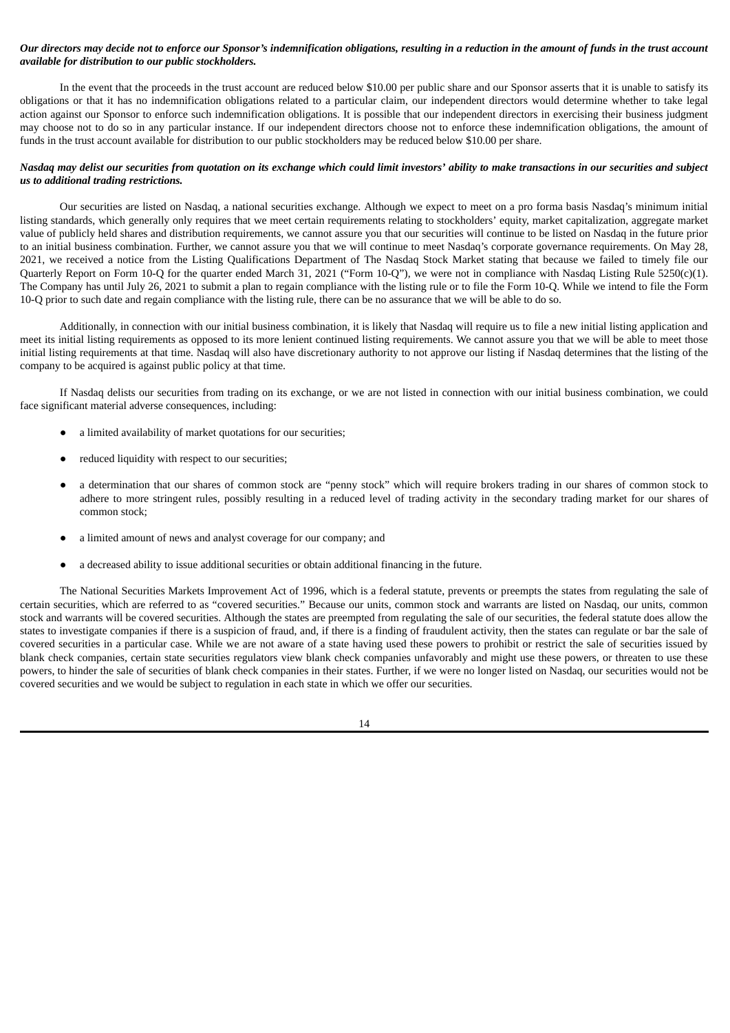## Our directors may decide not to enforce our Sponsor's indemnification obligations, resulting in a reduction in the amount of funds in the trust account *available for distribution to our public stockholders.*

In the event that the proceeds in the trust account are reduced below \$10.00 per public share and our Sponsor asserts that it is unable to satisfy its obligations or that it has no indemnification obligations related to a particular claim, our independent directors would determine whether to take legal action against our Sponsor to enforce such indemnification obligations. It is possible that our independent directors in exercising their business judgment may choose not to do so in any particular instance. If our independent directors choose not to enforce these indemnification obligations, the amount of funds in the trust account available for distribution to our public stockholders may be reduced below \$10.00 per share.

## Nasdaq may delist our securities from quotation on its exchange which could limit investors' ability to make transactions in our securities and subject *us to additional trading restrictions.*

Our securities are listed on Nasdaq, a national securities exchange. Although we expect to meet on a pro forma basis Nasdaq's minimum initial listing standards, which generally only requires that we meet certain requirements relating to stockholders' equity, market capitalization, aggregate market value of publicly held shares and distribution requirements, we cannot assure you that our securities will continue to be listed on Nasdaq in the future prior to an initial business combination. Further, we cannot assure you that we will continue to meet Nasdaq's corporate governance requirements. On May 28, 2021, we received a notice from the Listing Qualifications Department of The Nasdaq Stock Market stating that because we failed to timely file our Quarterly Report on Form 10-Q for the quarter ended March 31, 2021 ("Form 10-Q"), we were not in compliance with Nasdaq Listing Rule 5250(c)(1). The Company has until July 26, 2021 to submit a plan to regain compliance with the listing rule or to file the Form 10-Q. While we intend to file the Form 10-Q prior to such date and regain compliance with the listing rule, there can be no assurance that we will be able to do so.

Additionally, in connection with our initial business combination, it is likely that Nasdaq will require us to file a new initial listing application and meet its initial listing requirements as opposed to its more lenient continued listing requirements. We cannot assure you that we will be able to meet those initial listing requirements at that time. Nasdaq will also have discretionary authority to not approve our listing if Nasdaq determines that the listing of the company to be acquired is against public policy at that time.

If Nasdaq delists our securities from trading on its exchange, or we are not listed in connection with our initial business combination, we could face significant material adverse consequences, including:

- a limited availability of market quotations for our securities;
- reduced liquidity with respect to our securities;
- a determination that our shares of common stock are "penny stock" which will require brokers trading in our shares of common stock to adhere to more stringent rules, possibly resulting in a reduced level of trading activity in the secondary trading market for our shares of common stock;
- a limited amount of news and analyst coverage for our company; and
- a decreased ability to issue additional securities or obtain additional financing in the future.

The National Securities Markets Improvement Act of 1996, which is a federal statute, prevents or preempts the states from regulating the sale of certain securities, which are referred to as "covered securities." Because our units, common stock and warrants are listed on Nasdaq, our units, common stock and warrants will be covered securities. Although the states are preempted from regulating the sale of our securities, the federal statute does allow the states to investigate companies if there is a suspicion of fraud, and, if there is a finding of fraudulent activity, then the states can regulate or bar the sale of covered securities in a particular case. While we are not aware of a state having used these powers to prohibit or restrict the sale of securities issued by blank check companies, certain state securities regulators view blank check companies unfavorably and might use these powers, or threaten to use these powers, to hinder the sale of securities of blank check companies in their states. Further, if we were no longer listed on Nasdaq, our securities would not be covered securities and we would be subject to regulation in each state in which we offer our securities.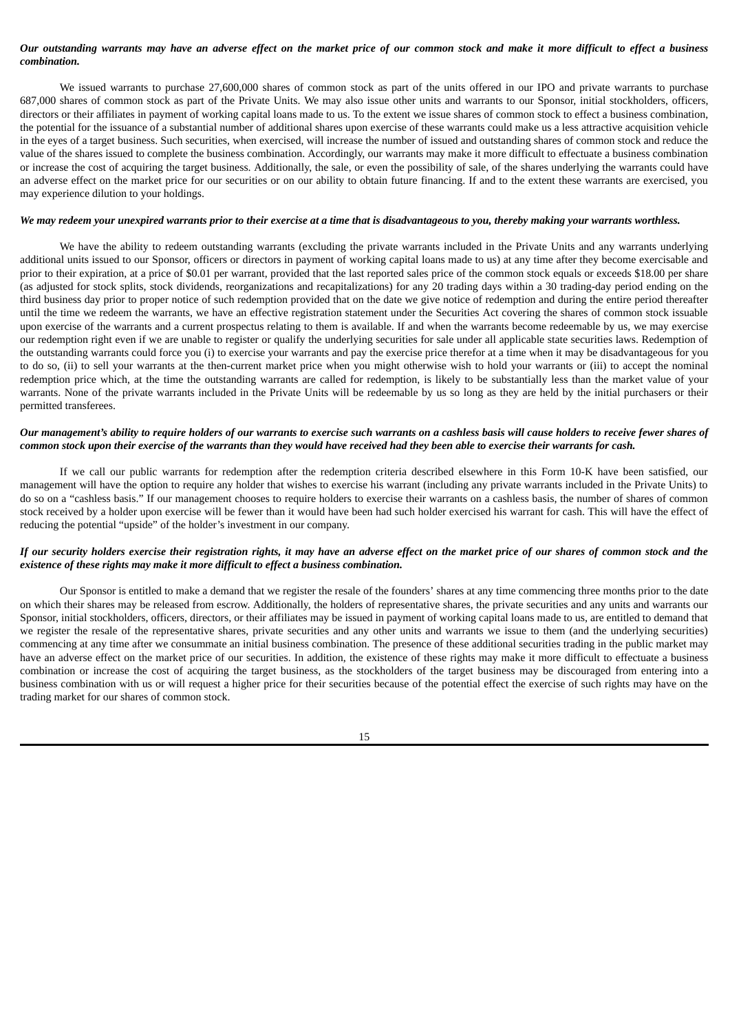## Our outstanding warrants may have an adverse effect on the market price of our common stock and make it more difficult to effect a business *combination.*

We issued warrants to purchase 27,600,000 shares of common stock as part of the units offered in our IPO and private warrants to purchase 687,000 shares of common stock as part of the Private Units. We may also issue other units and warrants to our Sponsor, initial stockholders, officers, directors or their affiliates in payment of working capital loans made to us. To the extent we issue shares of common stock to effect a business combination, the potential for the issuance of a substantial number of additional shares upon exercise of these warrants could make us a less attractive acquisition vehicle in the eyes of a target business. Such securities, when exercised, will increase the number of issued and outstanding shares of common stock and reduce the value of the shares issued to complete the business combination. Accordingly, our warrants may make it more difficult to effectuate a business combination or increase the cost of acquiring the target business. Additionally, the sale, or even the possibility of sale, of the shares underlying the warrants could have an adverse effect on the market price for our securities or on our ability to obtain future financing. If and to the extent these warrants are exercised, you may experience dilution to your holdings.

#### We may redeem your unexpired warrants prior to their exercise at a time that is disadvantageous to you, thereby making your warrants worthless.

We have the ability to redeem outstanding warrants (excluding the private warrants included in the Private Units and any warrants underlying additional units issued to our Sponsor, officers or directors in payment of working capital loans made to us) at any time after they become exercisable and prior to their expiration, at a price of \$0.01 per warrant, provided that the last reported sales price of the common stock equals or exceeds \$18.00 per share (as adjusted for stock splits, stock dividends, reorganizations and recapitalizations) for any 20 trading days within a 30 trading-day period ending on the third business day prior to proper notice of such redemption provided that on the date we give notice of redemption and during the entire period thereafter until the time we redeem the warrants, we have an effective registration statement under the Securities Act covering the shares of common stock issuable upon exercise of the warrants and a current prospectus relating to them is available. If and when the warrants become redeemable by us, we may exercise our redemption right even if we are unable to register or qualify the underlying securities for sale under all applicable state securities laws. Redemption of the outstanding warrants could force you (i) to exercise your warrants and pay the exercise price therefor at a time when it may be disadvantageous for you to do so, (ii) to sell your warrants at the then-current market price when you might otherwise wish to hold your warrants or (iii) to accept the nominal redemption price which, at the time the outstanding warrants are called for redemption, is likely to be substantially less than the market value of your warrants. None of the private warrants included in the Private Units will be redeemable by us so long as they are held by the initial purchasers or their permitted transferees.

### Our management's ability to require holders of our warrants to exercise such warrants on a cashless basis will cause holders to receive fewer shares of common stock upon their exercise of the warrants than they would have received had they been able to exercise their warrants for cash.

If we call our public warrants for redemption after the redemption criteria described elsewhere in this Form 10-K have been satisfied, our management will have the option to require any holder that wishes to exercise his warrant (including any private warrants included in the Private Units) to do so on a "cashless basis." If our management chooses to require holders to exercise their warrants on a cashless basis, the number of shares of common stock received by a holder upon exercise will be fewer than it would have been had such holder exercised his warrant for cash. This will have the effect of reducing the potential "upside" of the holder's investment in our company.

### If our security holders exercise their registration rights, it may have an adverse effect on the market price of our shares of common stock and the *existence of these rights may make it more difficult to effect a business combination.*

Our Sponsor is entitled to make a demand that we register the resale of the founders' shares at any time commencing three months prior to the date on which their shares may be released from escrow. Additionally, the holders of representative shares, the private securities and any units and warrants our Sponsor, initial stockholders, officers, directors, or their affiliates may be issued in payment of working capital loans made to us, are entitled to demand that we register the resale of the representative shares, private securities and any other units and warrants we issue to them (and the underlying securities) commencing at any time after we consummate an initial business combination. The presence of these additional securities trading in the public market may have an adverse effect on the market price of our securities. In addition, the existence of these rights may make it more difficult to effectuate a business combination or increase the cost of acquiring the target business, as the stockholders of the target business may be discouraged from entering into a business combination with us or will request a higher price for their securities because of the potential effect the exercise of such rights may have on the trading market for our shares of common stock.

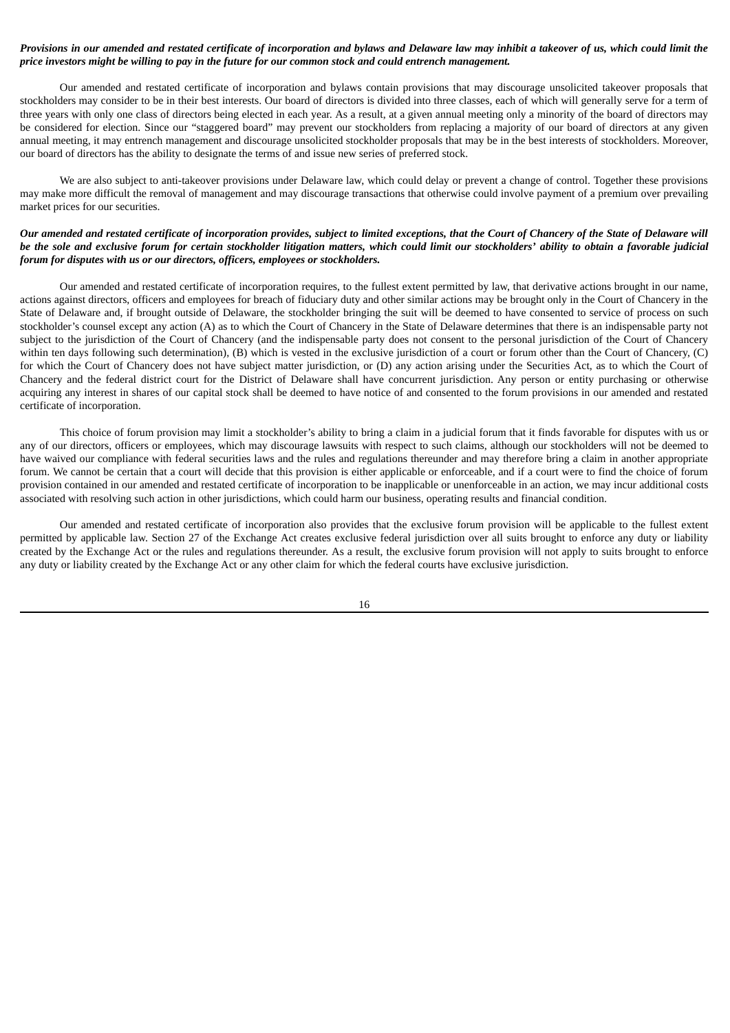## Provisions in our amended and restated certificate of incorporation and bylaws and Delaware law may inhibit a takeover of us, which could limit the price investors might be willing to pay in the future for our common stock and could entrench management.

Our amended and restated certificate of incorporation and bylaws contain provisions that may discourage unsolicited takeover proposals that stockholders may consider to be in their best interests. Our board of directors is divided into three classes, each of which will generally serve for a term of three years with only one class of directors being elected in each year. As a result, at a given annual meeting only a minority of the board of directors may be considered for election. Since our "staggered board" may prevent our stockholders from replacing a majority of our board of directors at any given annual meeting, it may entrench management and discourage unsolicited stockholder proposals that may be in the best interests of stockholders. Moreover, our board of directors has the ability to designate the terms of and issue new series of preferred stock.

We are also subject to anti-takeover provisions under Delaware law, which could delay or prevent a change of control. Together these provisions may make more difficult the removal of management and may discourage transactions that otherwise could involve payment of a premium over prevailing market prices for our securities.

## Our amended and restated certificate of incorporation provides, subject to limited exceptions, that the Court of Chancery of the State of Delaware will be the sole and exclusive forum for certain stockholder litigation matters, which could limit our stockholders' ability to obtain a favorable judicial *forum for disputes with us or our directors, officers, employees or stockholders.*

Our amended and restated certificate of incorporation requires, to the fullest extent permitted by law, that derivative actions brought in our name, actions against directors, officers and employees for breach of fiduciary duty and other similar actions may be brought only in the Court of Chancery in the State of Delaware and, if brought outside of Delaware, the stockholder bringing the suit will be deemed to have consented to service of process on such stockholder's counsel except any action (A) as to which the Court of Chancery in the State of Delaware determines that there is an indispensable party not subject to the jurisdiction of the Court of Chancery (and the indispensable party does not consent to the personal jurisdiction of the Court of Chancery within ten days following such determination), (B) which is vested in the exclusive jurisdiction of a court or forum other than the Court of Chancery, (C) for which the Court of Chancery does not have subject matter jurisdiction, or (D) any action arising under the Securities Act, as to which the Court of Chancery and the federal district court for the District of Delaware shall have concurrent jurisdiction. Any person or entity purchasing or otherwise acquiring any interest in shares of our capital stock shall be deemed to have notice of and consented to the forum provisions in our amended and restated certificate of incorporation.

This choice of forum provision may limit a stockholder's ability to bring a claim in a judicial forum that it finds favorable for disputes with us or any of our directors, officers or employees, which may discourage lawsuits with respect to such claims, although our stockholders will not be deemed to have waived our compliance with federal securities laws and the rules and regulations thereunder and may therefore bring a claim in another appropriate forum. We cannot be certain that a court will decide that this provision is either applicable or enforceable, and if a court were to find the choice of forum provision contained in our amended and restated certificate of incorporation to be inapplicable or unenforceable in an action, we may incur additional costs associated with resolving such action in other jurisdictions, which could harm our business, operating results and financial condition.

Our amended and restated certificate of incorporation also provides that the exclusive forum provision will be applicable to the fullest extent permitted by applicable law. Section 27 of the Exchange Act creates exclusive federal jurisdiction over all suits brought to enforce any duty or liability created by the Exchange Act or the rules and regulations thereunder. As a result, the exclusive forum provision will not apply to suits brought to enforce any duty or liability created by the Exchange Act or any other claim for which the federal courts have exclusive jurisdiction.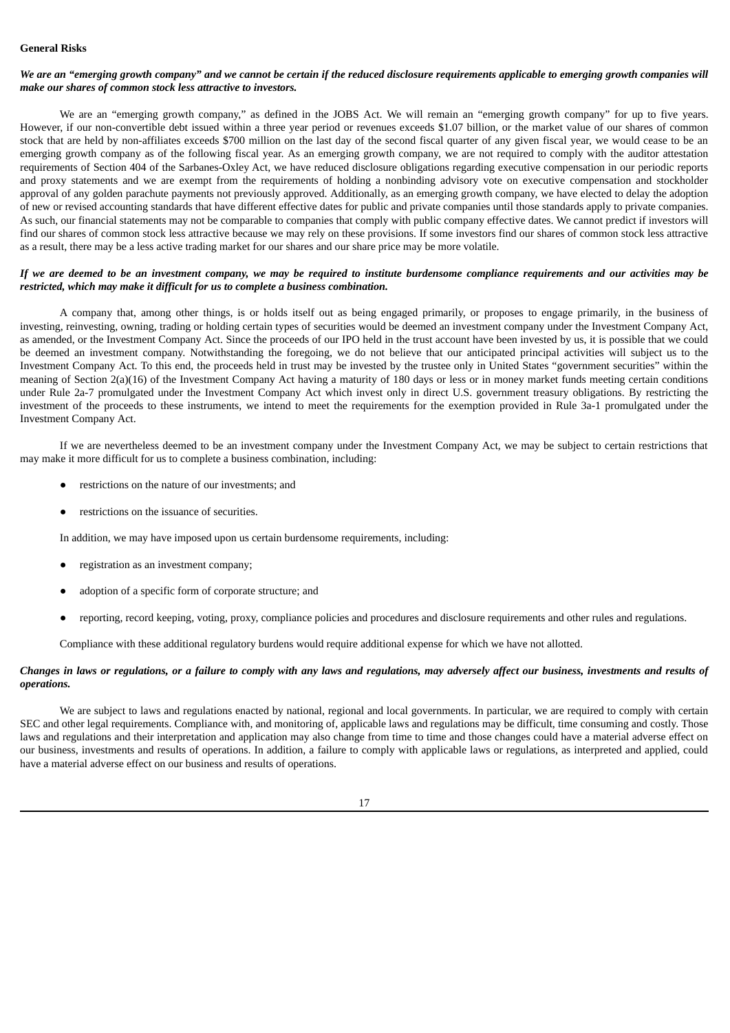## **General Risks**

## We are an "emerging growth company" and we cannot be certain if the reduced disclosure requirements applicable to emerging growth companies will *make our shares of common stock less attractive to investors.*

We are an "emerging growth company," as defined in the JOBS Act. We will remain an "emerging growth company" for up to five years. However, if our non-convertible debt issued within a three year period or revenues exceeds \$1.07 billion, or the market value of our shares of common stock that are held by non-affiliates exceeds \$700 million on the last day of the second fiscal quarter of any given fiscal year, we would cease to be an emerging growth company as of the following fiscal year. As an emerging growth company, we are not required to comply with the auditor attestation requirements of Section 404 of the Sarbanes-Oxley Act, we have reduced disclosure obligations regarding executive compensation in our periodic reports and proxy statements and we are exempt from the requirements of holding a nonbinding advisory vote on executive compensation and stockholder approval of any golden parachute payments not previously approved. Additionally, as an emerging growth company, we have elected to delay the adoption of new or revised accounting standards that have different effective dates for public and private companies until those standards apply to private companies. As such, our financial statements may not be comparable to companies that comply with public company effective dates. We cannot predict if investors will find our shares of common stock less attractive because we may rely on these provisions. If some investors find our shares of common stock less attractive as a result, there may be a less active trading market for our shares and our share price may be more volatile.

### If we are deemed to be an investment company, we may be required to institute burdensome compliance requirements and our activities may be *restricted, which may make it difficult for us to complete a business combination.*

A company that, among other things, is or holds itself out as being engaged primarily, or proposes to engage primarily, in the business of investing, reinvesting, owning, trading or holding certain types of securities would be deemed an investment company under the Investment Company Act, as amended, or the Investment Company Act. Since the proceeds of our IPO held in the trust account have been invested by us, it is possible that we could be deemed an investment company. Notwithstanding the foregoing, we do not believe that our anticipated principal activities will subject us to the Investment Company Act. To this end, the proceeds held in trust may be invested by the trustee only in United States "government securities" within the meaning of Section 2(a)(16) of the Investment Company Act having a maturity of 180 days or less or in money market funds meeting certain conditions under Rule 2a-7 promulgated under the Investment Company Act which invest only in direct U.S. government treasury obligations. By restricting the investment of the proceeds to these instruments, we intend to meet the requirements for the exemption provided in Rule 3a-1 promulgated under the Investment Company Act.

If we are nevertheless deemed to be an investment company under the Investment Company Act, we may be subject to certain restrictions that may make it more difficult for us to complete a business combination, including:

- restrictions on the nature of our investments; and
- restrictions on the issuance of securities.

In addition, we may have imposed upon us certain burdensome requirements, including:

- registration as an investment company;
- adoption of a specific form of corporate structure; and
- reporting, record keeping, voting, proxy, compliance policies and procedures and disclosure requirements and other rules and regulations.

Compliance with these additional regulatory burdens would require additional expense for which we have not allotted.

## Changes in laws or regulations, or a failure to comply with any laws and regulations, may adversely affect our business, investments and results of *operations.*

We are subject to laws and regulations enacted by national, regional and local governments. In particular, we are required to comply with certain SEC and other legal requirements. Compliance with, and monitoring of, applicable laws and regulations may be difficult, time consuming and costly. Those laws and regulations and their interpretation and application may also change from time to time and those changes could have a material adverse effect on our business, investments and results of operations. In addition, a failure to comply with applicable laws or regulations, as interpreted and applied, could have a material adverse effect on our business and results of operations.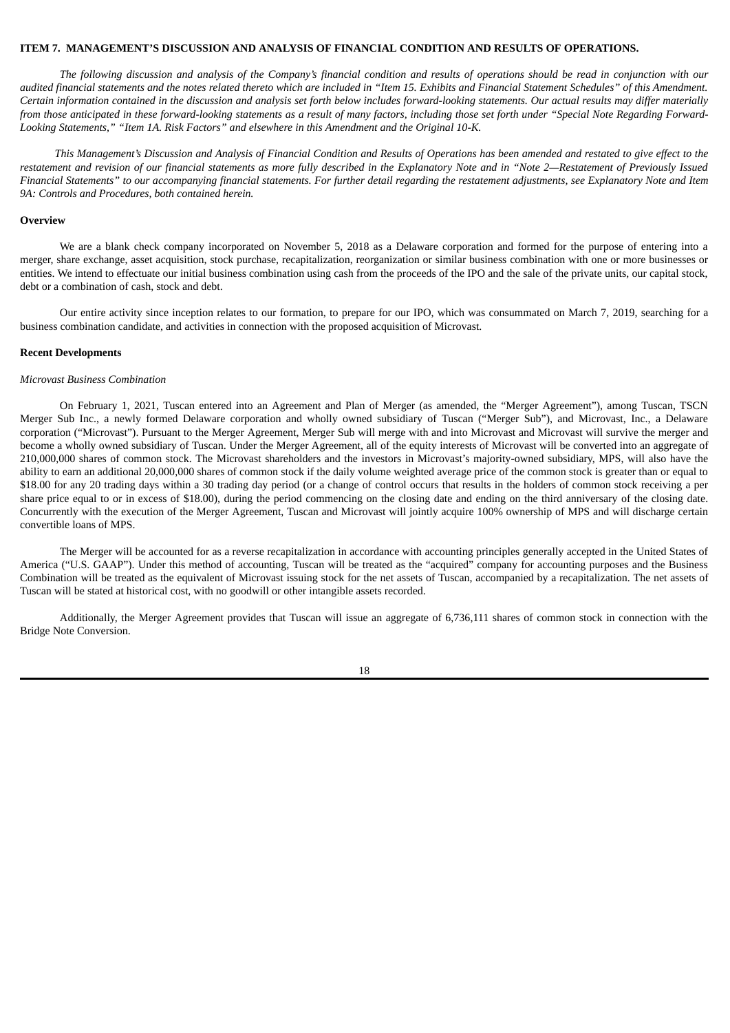#### <span id="page-21-0"></span>**ITEM 7. MANAGEMENT'S DISCUSSION AND ANALYSIS OF FINANCIAL CONDITION AND RESULTS OF OPERATIONS.**

The following discussion and analysis of the Company's financial condition and results of operations should be read in conjunction with our audited financial statements and the notes related thereto which are included in "Item 15. Exhibits and Financial Statement Schedules" of this Amendment. Certain information contained in the discussion and analysis set forth below includes forward-looking statements. Our actual results may differ materially from those anticipated in these forward-looking statements as a result of many factors, including those set forth under "Special Note Regarding Forward-*Looking Statements," "Item 1A. Risk Factors" and elsewhere in this Amendment and the Original 10-K.*

This Management's Discussion and Analysis of Financial Condition and Results of Operations has been amended and restated to give effect to the restatement and revision of our financial statements as more fully described in the Explanatory Note and in "Note 2-Restatement of Previously Issued Financial Statements" to our accompanying financial statements. For further detail regarding the restatement adjustments, see Explanatory Note and Item *9A: Controls and Procedures, both contained herein.*

### **Overview**

We are a blank check company incorporated on November 5, 2018 as a Delaware corporation and formed for the purpose of entering into a merger, share exchange, asset acquisition, stock purchase, recapitalization, reorganization or similar business combination with one or more businesses or entities. We intend to effectuate our initial business combination using cash from the proceeds of the IPO and the sale of the private units, our capital stock, debt or a combination of cash, stock and debt.

Our entire activity since inception relates to our formation, to prepare for our IPO, which was consummated on March 7, 2019, searching for a business combination candidate, and activities in connection with the proposed acquisition of Microvast.

#### **Recent Developments**

#### *Microvast Business Combination*

On February 1, 2021, Tuscan entered into an Agreement and Plan of Merger (as amended, the "Merger Agreement"), among Tuscan, TSCN Merger Sub Inc., a newly formed Delaware corporation and wholly owned subsidiary of Tuscan ("Merger Sub"), and Microvast, Inc., a Delaware corporation ("Microvast"). Pursuant to the Merger Agreement, Merger Sub will merge with and into Microvast and Microvast will survive the merger and become a wholly owned subsidiary of Tuscan. Under the Merger Agreement, all of the equity interests of Microvast will be converted into an aggregate of 210,000,000 shares of common stock. The Microvast shareholders and the investors in Microvast's majority-owned subsidiary, MPS, will also have the ability to earn an additional 20,000,000 shares of common stock if the daily volume weighted average price of the common stock is greater than or equal to \$18.00 for any 20 trading days within a 30 trading day period (or a change of control occurs that results in the holders of common stock receiving a per share price equal to or in excess of \$18.00), during the period commencing on the closing date and ending on the third anniversary of the closing date. Concurrently with the execution of the Merger Agreement, Tuscan and Microvast will jointly acquire 100% ownership of MPS and will discharge certain convertible loans of MPS.

The Merger will be accounted for as a reverse recapitalization in accordance with accounting principles generally accepted in the United States of America ("U.S. GAAP"). Under this method of accounting, Tuscan will be treated as the "acquired" company for accounting purposes and the Business Combination will be treated as the equivalent of Microvast issuing stock for the net assets of Tuscan, accompanied by a recapitalization. The net assets of Tuscan will be stated at historical cost, with no goodwill or other intangible assets recorded.

Additionally, the Merger Agreement provides that Tuscan will issue an aggregate of 6,736,111 shares of common stock in connection with the Bridge Note Conversion.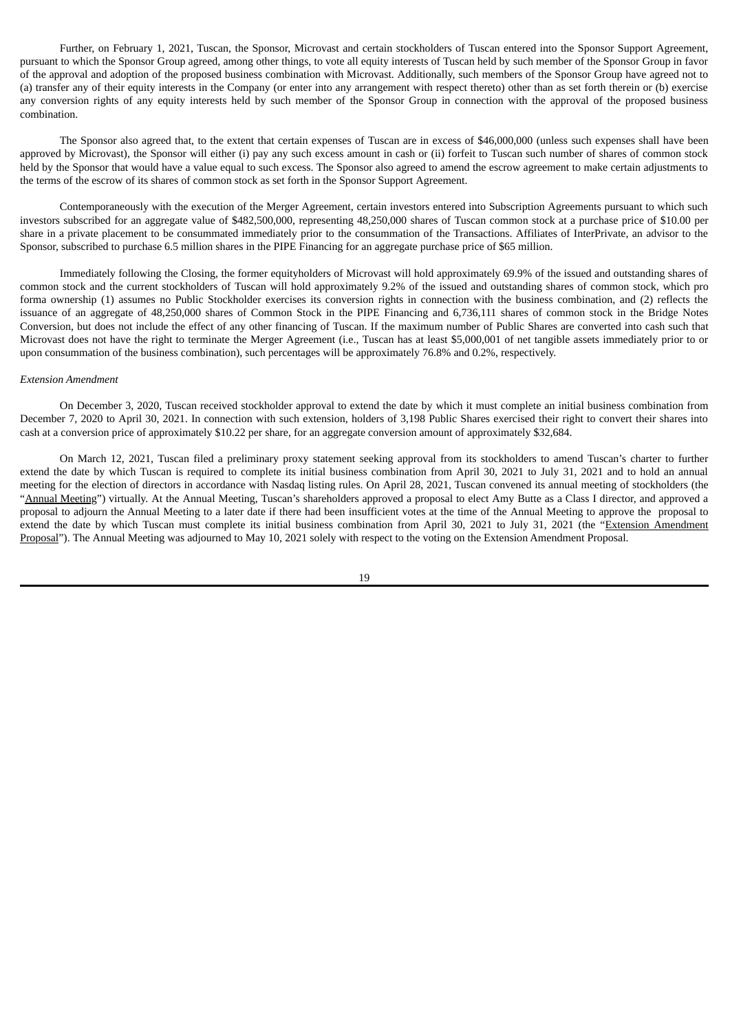Further, on February 1, 2021, Tuscan, the Sponsor, Microvast and certain stockholders of Tuscan entered into the Sponsor Support Agreement, pursuant to which the Sponsor Group agreed, among other things, to vote all equity interests of Tuscan held by such member of the Sponsor Group in favor of the approval and adoption of the proposed business combination with Microvast. Additionally, such members of the Sponsor Group have agreed not to (a) transfer any of their equity interests in the Company (or enter into any arrangement with respect thereto) other than as set forth therein or (b) exercise any conversion rights of any equity interests held by such member of the Sponsor Group in connection with the approval of the proposed business combination.

The Sponsor also agreed that, to the extent that certain expenses of Tuscan are in excess of \$46,000,000 (unless such expenses shall have been approved by Microvast), the Sponsor will either (i) pay any such excess amount in cash or (ii) forfeit to Tuscan such number of shares of common stock held by the Sponsor that would have a value equal to such excess. The Sponsor also agreed to amend the escrow agreement to make certain adjustments to the terms of the escrow of its shares of common stock as set forth in the Sponsor Support Agreement.

Contemporaneously with the execution of the Merger Agreement, certain investors entered into Subscription Agreements pursuant to which such investors subscribed for an aggregate value of \$482,500,000, representing 48,250,000 shares of Tuscan common stock at a purchase price of \$10.00 per share in a private placement to be consummated immediately prior to the consummation of the Transactions. Affiliates of InterPrivate, an advisor to the Sponsor, subscribed to purchase 6.5 million shares in the PIPE Financing for an aggregate purchase price of \$65 million.

Immediately following the Closing, the former equityholders of Microvast will hold approximately 69.9% of the issued and outstanding shares of common stock and the current stockholders of Tuscan will hold approximately 9.2% of the issued and outstanding shares of common stock, which pro forma ownership (1) assumes no Public Stockholder exercises its conversion rights in connection with the business combination, and (2) reflects the issuance of an aggregate of 48,250,000 shares of Common Stock in the PIPE Financing and 6,736,111 shares of common stock in the Bridge Notes Conversion, but does not include the effect of any other financing of Tuscan. If the maximum number of Public Shares are converted into cash such that Microvast does not have the right to terminate the Merger Agreement (i.e., Tuscan has at least \$5,000,001 of net tangible assets immediately prior to or upon consummation of the business combination), such percentages will be approximately 76.8% and 0.2%, respectively.

#### *Extension Amendment*

On December 3, 2020, Tuscan received stockholder approval to extend the date by which it must complete an initial business combination from December 7, 2020 to April 30, 2021. In connection with such extension, holders of 3,198 Public Shares exercised their right to convert their shares into cash at a conversion price of approximately \$10.22 per share, for an aggregate conversion amount of approximately \$32,684.

On March 12, 2021, Tuscan filed a preliminary proxy statement seeking approval from its stockholders to amend Tuscan's charter to further extend the date by which Tuscan is required to complete its initial business combination from April 30, 2021 to July 31, 2021 and to hold an annual meeting for the election of directors in accordance with Nasdaq listing rules. On April 28, 2021, Tuscan convened its annual meeting of stockholders (the "Annual Meeting") virtually. At the Annual Meeting, Tuscan's shareholders approved a proposal to elect Amy Butte as a Class I director, and approved a proposal to adjourn the Annual Meeting to a later date if there had been insufficient votes at the time of the Annual Meeting to approve the proposal to extend the date by which Tuscan must complete its initial business combination from April 30, 2021 to July 31, 2021 (the "Extension Amendment Proposal"). The Annual Meeting was adjourned to May 10, 2021 solely with respect to the voting on the Extension Amendment Proposal.

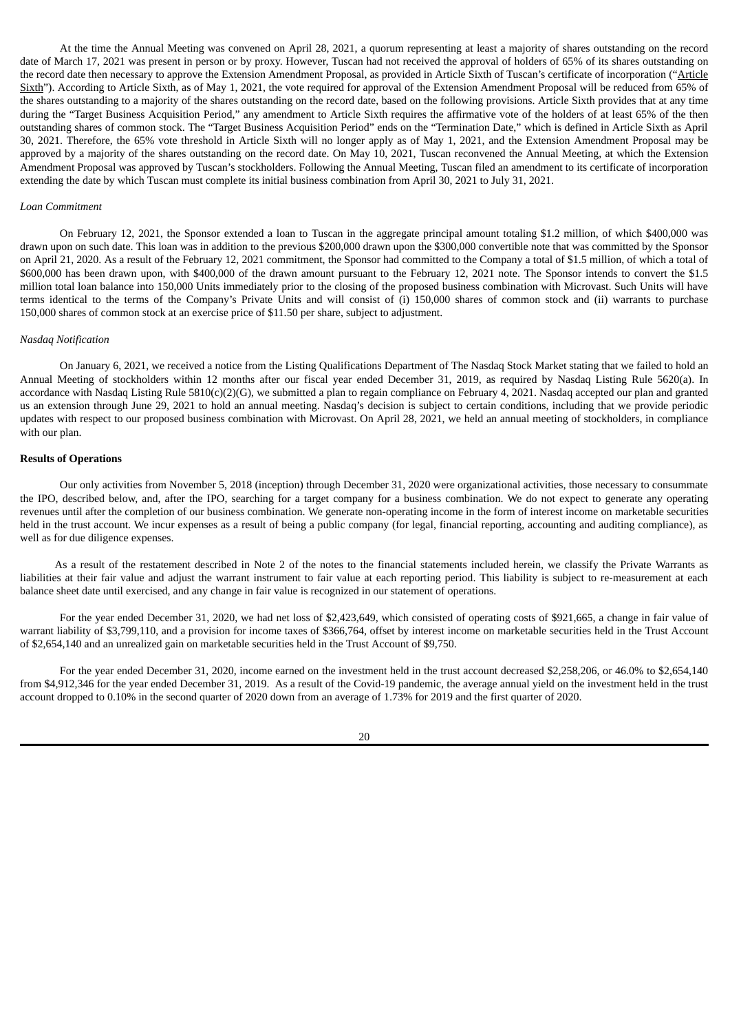At the time the Annual Meeting was convened on April 28, 2021, a quorum representing at least a majority of shares outstanding on the record date of March 17, 2021 was present in person or by proxy. However, Tuscan had not received the approval of holders of 65% of its shares outstanding on the record date then necessary to approve the Extension Amendment Proposal, as provided in Article Sixth of Tuscan's certificate of incorporation ("Article Sixth"). According to Article Sixth, as of May 1, 2021, the vote required for approval of the Extension Amendment Proposal will be reduced from 65% of the shares outstanding to a majority of the shares outstanding on the record date, based on the following provisions. Article Sixth provides that at any time during the "Target Business Acquisition Period," any amendment to Article Sixth requires the affirmative vote of the holders of at least 65% of the then outstanding shares of common stock. The "Target Business Acquisition Period" ends on the "Termination Date," which is defined in Article Sixth as April 30, 2021. Therefore, the 65% vote threshold in Article Sixth will no longer apply as of May 1, 2021, and the Extension Amendment Proposal may be approved by a majority of the shares outstanding on the record date. On May 10, 2021, Tuscan reconvened the Annual Meeting, at which the Extension Amendment Proposal was approved by Tuscan's stockholders. Following the Annual Meeting, Tuscan filed an amendment to its certificate of incorporation extending the date by which Tuscan must complete its initial business combination from April 30, 2021 to July 31, 2021.

#### *Loan Commitment*

On February 12, 2021, the Sponsor extended a loan to Tuscan in the aggregate principal amount totaling \$1.2 million, of which \$400,000 was drawn upon on such date. This loan was in addition to the previous \$200,000 drawn upon the \$300,000 convertible note that was committed by the Sponsor on April 21, 2020. As a result of the February 12, 2021 commitment, the Sponsor had committed to the Company a total of \$1.5 million, of which a total of \$600,000 has been drawn upon, with \$400,000 of the drawn amount pursuant to the February 12, 2021 note. The Sponsor intends to convert the \$1.5 million total loan balance into 150,000 Units immediately prior to the closing of the proposed business combination with Microvast. Such Units will have terms identical to the terms of the Company's Private Units and will consist of (i) 150,000 shares of common stock and (ii) warrants to purchase 150,000 shares of common stock at an exercise price of \$11.50 per share, subject to adjustment.

#### *Nasdaq Notification*

On January 6, 2021, we received a notice from the Listing Qualifications Department of The Nasdaq Stock Market stating that we failed to hold an Annual Meeting of stockholders within 12 months after our fiscal year ended December 31, 2019, as required by Nasdaq Listing Rule 5620(a). In accordance with Nasdaq Listing Rule  $5810(c)(2)(G)$ , we submitted a plan to regain compliance on February 4, 2021. Nasdaq accepted our plan and granted us an extension through June 29, 2021 to hold an annual meeting. Nasdaq's decision is subject to certain conditions, including that we provide periodic updates with respect to our proposed business combination with Microvast. On April 28, 2021, we held an annual meeting of stockholders, in compliance with our plan.

## **Results of Operations**

Our only activities from November 5, 2018 (inception) through December 31, 2020 were organizational activities, those necessary to consummate the IPO, described below, and, after the IPO, searching for a target company for a business combination. We do not expect to generate any operating revenues until after the completion of our business combination. We generate non-operating income in the form of interest income on marketable securities held in the trust account. We incur expenses as a result of being a public company (for legal, financial reporting, accounting and auditing compliance), as well as for due diligence expenses.

As a result of the restatement described in Note 2 of the notes to the financial statements included herein, we classify the Private Warrants as liabilities at their fair value and adjust the warrant instrument to fair value at each reporting period. This liability is subject to re-measurement at each balance sheet date until exercised, and any change in fair value is recognized in our statement of operations.

For the year ended December 31, 2020, we had net loss of \$2,423,649, which consisted of operating costs of \$921,665, a change in fair value of warrant liability of \$3,799,110, and a provision for income taxes of \$366,764, offset by interest income on marketable securities held in the Trust Account of \$2,654,140 and an unrealized gain on marketable securities held in the Trust Account of \$9,750.

For the year ended December 31, 2020, income earned on the investment held in the trust account decreased \$2,258,206, or 46.0% to \$2,654,140 from \$4,912,346 for the year ended December 31, 2019. As a result of the Covid-19 pandemic, the average annual yield on the investment held in the trust account dropped to 0.10% in the second quarter of 2020 down from an average of 1.73% for 2019 and the first quarter of 2020.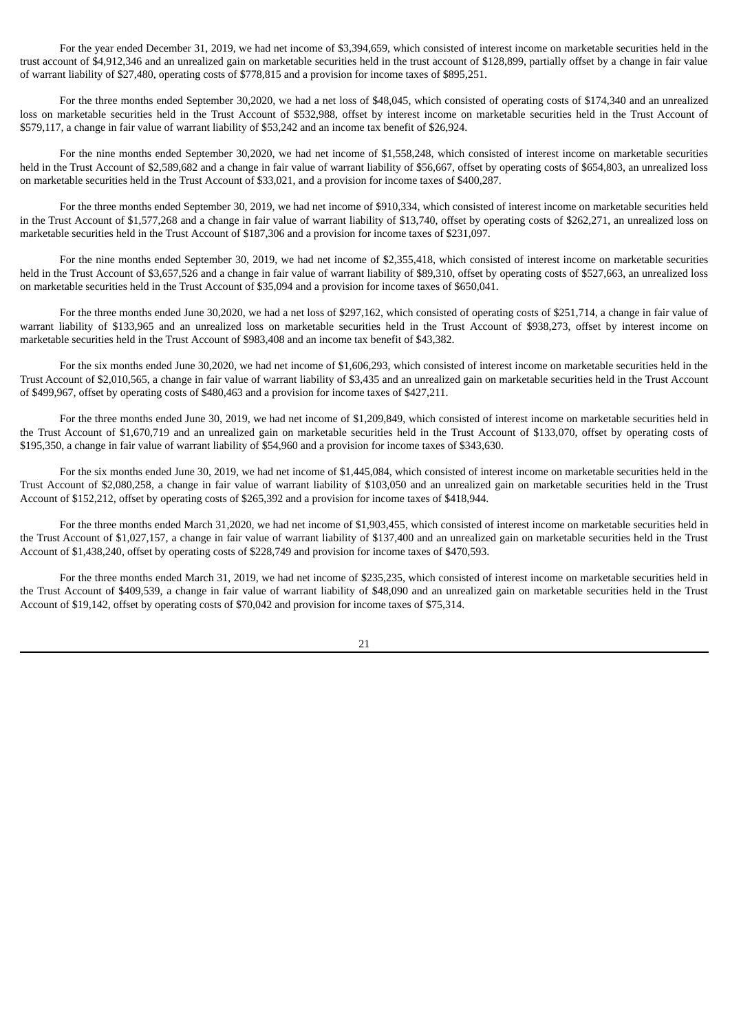For the year ended December 31, 2019, we had net income of \$3,394,659, which consisted of interest income on marketable securities held in the trust account of \$4,912,346 and an unrealized gain on marketable securities held in the trust account of \$128,899, partially offset by a change in fair value of warrant liability of \$27,480, operating costs of \$778,815 and a provision for income taxes of \$895,251.

For the three months ended September 30,2020, we had a net loss of \$48,045, which consisted of operating costs of \$174,340 and an unrealized loss on marketable securities held in the Trust Account of \$532,988, offset by interest income on marketable securities held in the Trust Account of \$579,117, a change in fair value of warrant liability of \$53,242 and an income tax benefit of \$26,924.

For the nine months ended September 30,2020, we had net income of \$1,558,248, which consisted of interest income on marketable securities held in the Trust Account of \$2,589,682 and a change in fair value of warrant liability of \$56,667, offset by operating costs of \$654,803, an unrealized loss on marketable securities held in the Trust Account of \$33,021, and a provision for income taxes of \$400,287.

For the three months ended September 30, 2019, we had net income of \$910,334, which consisted of interest income on marketable securities held in the Trust Account of \$1,577,268 and a change in fair value of warrant liability of \$13,740, offset by operating costs of \$262,271, an unrealized loss on marketable securities held in the Trust Account of \$187,306 and a provision for income taxes of \$231,097.

For the nine months ended September 30, 2019, we had net income of \$2,355,418, which consisted of interest income on marketable securities held in the Trust Account of \$3,657,526 and a change in fair value of warrant liability of \$89,310, offset by operating costs of \$527,663, an unrealized loss on marketable securities held in the Trust Account of \$35,094 and a provision for income taxes of \$650,041.

For the three months ended June 30,2020, we had a net loss of \$297,162, which consisted of operating costs of \$251,714, a change in fair value of warrant liability of \$133,965 and an unrealized loss on marketable securities held in the Trust Account of \$938,273, offset by interest income on marketable securities held in the Trust Account of \$983,408 and an income tax benefit of \$43,382.

For the six months ended June 30,2020, we had net income of \$1,606,293, which consisted of interest income on marketable securities held in the Trust Account of \$2,010,565, a change in fair value of warrant liability of \$3,435 and an unrealized gain on marketable securities held in the Trust Account of \$499,967, offset by operating costs of \$480,463 and a provision for income taxes of \$427,211.

For the three months ended June 30, 2019, we had net income of \$1,209,849, which consisted of interest income on marketable securities held in the Trust Account of \$1,670,719 and an unrealized gain on marketable securities held in the Trust Account of \$133,070, offset by operating costs of \$195,350, a change in fair value of warrant liability of \$54,960 and a provision for income taxes of \$343,630.

For the six months ended June 30, 2019, we had net income of \$1,445,084, which consisted of interest income on marketable securities held in the Trust Account of \$2,080,258, a change in fair value of warrant liability of \$103,050 and an unrealized gain on marketable securities held in the Trust Account of \$152,212, offset by operating costs of \$265,392 and a provision for income taxes of \$418,944.

For the three months ended March 31,2020, we had net income of \$1,903,455, which consisted of interest income on marketable securities held in the Trust Account of \$1,027,157, a change in fair value of warrant liability of \$137,400 and an unrealized gain on marketable securities held in the Trust Account of \$1,438,240, offset by operating costs of \$228,749 and provision for income taxes of \$470,593.

For the three months ended March 31, 2019, we had net income of \$235,235, which consisted of interest income on marketable securities held in the Trust Account of \$409,539, a change in fair value of warrant liability of \$48,090 and an unrealized gain on marketable securities held in the Trust Account of \$19,142, offset by operating costs of \$70,042 and provision for income taxes of \$75,314.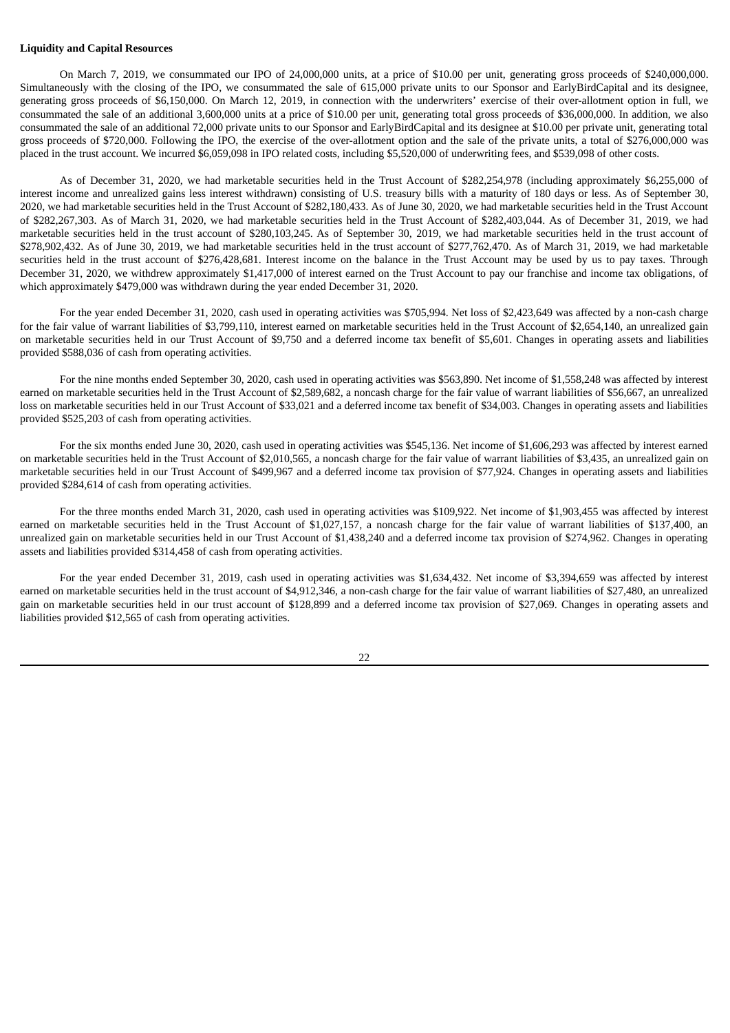## **Liquidity and Capital Resources**

On March 7, 2019, we consummated our IPO of 24,000,000 units, at a price of \$10.00 per unit, generating gross proceeds of \$240,000,000. Simultaneously with the closing of the IPO, we consummated the sale of 615,000 private units to our Sponsor and EarlyBirdCapital and its designee, generating gross proceeds of \$6,150,000. On March 12, 2019, in connection with the underwriters' exercise of their over-allotment option in full, we consummated the sale of an additional 3,600,000 units at a price of \$10.00 per unit, generating total gross proceeds of \$36,000,000. In addition, we also consummated the sale of an additional 72,000 private units to our Sponsor and EarlyBirdCapital and its designee at \$10.00 per private unit, generating total gross proceeds of \$720,000. Following the IPO, the exercise of the over-allotment option and the sale of the private units, a total of \$276,000,000 was placed in the trust account. We incurred \$6,059,098 in IPO related costs, including \$5,520,000 of underwriting fees, and \$539,098 of other costs.

As of December 31, 2020, we had marketable securities held in the Trust Account of \$282,254,978 (including approximately \$6,255,000 of interest income and unrealized gains less interest withdrawn) consisting of U.S. treasury bills with a maturity of 180 days or less. As of September 30, 2020, we had marketable securities held in the Trust Account of \$282,180,433. As of June 30, 2020, we had marketable securities held in the Trust Account of \$282,267,303. As of March 31, 2020, we had marketable securities held in the Trust Account of \$282,403,044. As of December 31, 2019, we had marketable securities held in the trust account of \$280,103,245. As of September 30, 2019, we had marketable securities held in the trust account of \$278,902,432. As of June 30, 2019, we had marketable securities held in the trust account of \$277,762,470. As of March 31, 2019, we had marketable securities held in the trust account of \$276,428,681. Interest income on the balance in the Trust Account may be used by us to pay taxes. Through December 31, 2020, we withdrew approximately \$1,417,000 of interest earned on the Trust Account to pay our franchise and income tax obligations, of which approximately \$479,000 was withdrawn during the year ended December 31, 2020.

For the year ended December 31, 2020, cash used in operating activities was \$705,994. Net loss of \$2,423,649 was affected by a non-cash charge for the fair value of warrant liabilities of \$3,799,110, interest earned on marketable securities held in the Trust Account of \$2,654,140, an unrealized gain on marketable securities held in our Trust Account of \$9,750 and a deferred income tax benefit of \$5,601. Changes in operating assets and liabilities provided \$588,036 of cash from operating activities.

For the nine months ended September 30, 2020, cash used in operating activities was \$563,890. Net income of \$1,558,248 was affected by interest earned on marketable securities held in the Trust Account of \$2,589,682, a noncash charge for the fair value of warrant liabilities of \$56,667, an unrealized loss on marketable securities held in our Trust Account of \$33,021 and a deferred income tax benefit of \$34,003. Changes in operating assets and liabilities provided \$525,203 of cash from operating activities.

For the six months ended June 30, 2020, cash used in operating activities was \$545,136. Net income of \$1,606,293 was affected by interest earned on marketable securities held in the Trust Account of \$2,010,565, a noncash charge for the fair value of warrant liabilities of \$3,435, an unrealized gain on marketable securities held in our Trust Account of \$499,967 and a deferred income tax provision of \$77,924. Changes in operating assets and liabilities provided \$284,614 of cash from operating activities.

For the three months ended March 31, 2020, cash used in operating activities was \$109,922. Net income of \$1,903,455 was affected by interest earned on marketable securities held in the Trust Account of \$1,027,157, a noncash charge for the fair value of warrant liabilities of \$137,400, an unrealized gain on marketable securities held in our Trust Account of \$1,438,240 and a deferred income tax provision of \$274,962. Changes in operating assets and liabilities provided \$314,458 of cash from operating activities.

For the year ended December 31, 2019, cash used in operating activities was \$1,634,432. Net income of \$3,394,659 was affected by interest earned on marketable securities held in the trust account of \$4,912,346, a non-cash charge for the fair value of warrant liabilities of \$27,480, an unrealized gain on marketable securities held in our trust account of \$128,899 and a deferred income tax provision of \$27,069. Changes in operating assets and liabilities provided \$12,565 of cash from operating activities.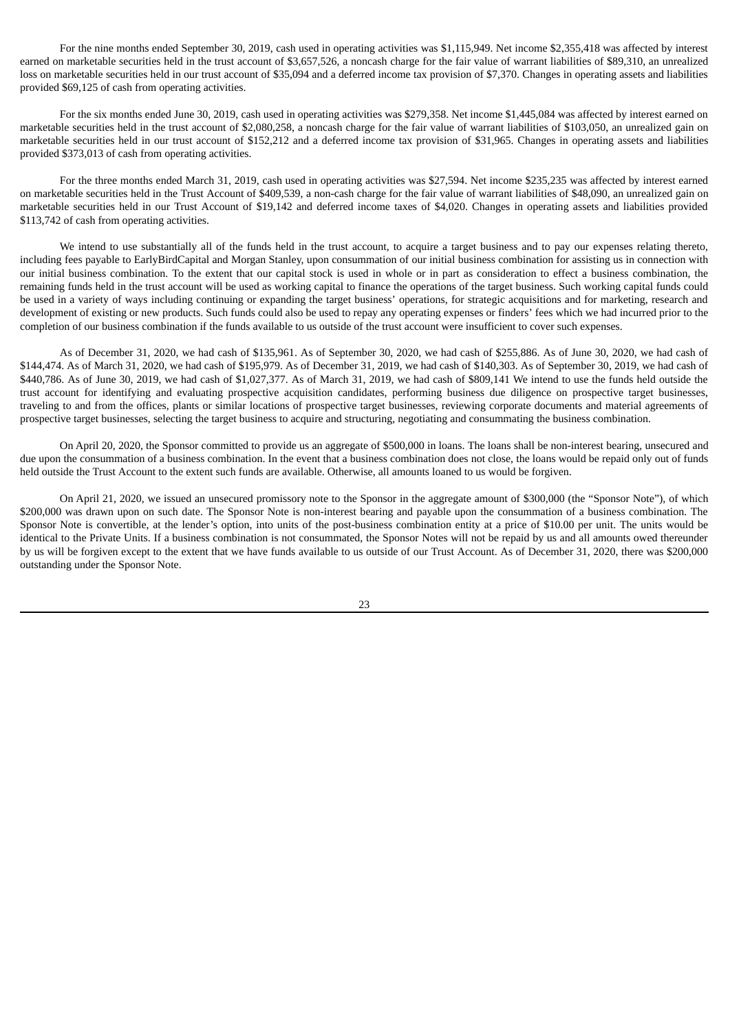For the nine months ended September 30, 2019, cash used in operating activities was \$1,115,949. Net income \$2,355,418 was affected by interest earned on marketable securities held in the trust account of \$3,657,526, a noncash charge for the fair value of warrant liabilities of \$89,310, an unrealized loss on marketable securities held in our trust account of \$35,094 and a deferred income tax provision of \$7,370. Changes in operating assets and liabilities provided \$69,125 of cash from operating activities.

For the six months ended June 30, 2019, cash used in operating activities was \$279,358. Net income \$1,445,084 was affected by interest earned on marketable securities held in the trust account of \$2,080,258, a noncash charge for the fair value of warrant liabilities of \$103,050, an unrealized gain on marketable securities held in our trust account of \$152,212 and a deferred income tax provision of \$31,965. Changes in operating assets and liabilities provided \$373,013 of cash from operating activities.

For the three months ended March 31, 2019, cash used in operating activities was \$27,594. Net income \$235,235 was affected by interest earned on marketable securities held in the Trust Account of \$409,539, a non-cash charge for the fair value of warrant liabilities of \$48,090, an unrealized gain on marketable securities held in our Trust Account of \$19,142 and deferred income taxes of \$4,020. Changes in operating assets and liabilities provided \$113,742 of cash from operating activities.

We intend to use substantially all of the funds held in the trust account, to acquire a target business and to pay our expenses relating thereto, including fees payable to EarlyBirdCapital and Morgan Stanley, upon consummation of our initial business combination for assisting us in connection with our initial business combination. To the extent that our capital stock is used in whole or in part as consideration to effect a business combination, the remaining funds held in the trust account will be used as working capital to finance the operations of the target business. Such working capital funds could be used in a variety of ways including continuing or expanding the target business' operations, for strategic acquisitions and for marketing, research and development of existing or new products. Such funds could also be used to repay any operating expenses or finders' fees which we had incurred prior to the completion of our business combination if the funds available to us outside of the trust account were insufficient to cover such expenses.

As of December 31, 2020, we had cash of \$135,961. As of September 30, 2020, we had cash of \$255,886. As of June 30, 2020, we had cash of \$144,474. As of March 31, 2020, we had cash of \$195,979. As of December 31, 2019, we had cash of \$140,303. As of September 30, 2019, we had cash of \$440,786. As of June 30, 2019, we had cash of \$1,027,377. As of March 31, 2019, we had cash of \$809,141 We intend to use the funds held outside the trust account for identifying and evaluating prospective acquisition candidates, performing business due diligence on prospective target businesses, traveling to and from the offices, plants or similar locations of prospective target businesses, reviewing corporate documents and material agreements of prospective target businesses, selecting the target business to acquire and structuring, negotiating and consummating the business combination.

On April 20, 2020, the Sponsor committed to provide us an aggregate of \$500,000 in loans. The loans shall be non-interest bearing, unsecured and due upon the consummation of a business combination. In the event that a business combination does not close, the loans would be repaid only out of funds held outside the Trust Account to the extent such funds are available. Otherwise, all amounts loaned to us would be forgiven.

On April 21, 2020, we issued an unsecured promissory note to the Sponsor in the aggregate amount of \$300,000 (the "Sponsor Note"), of which \$200,000 was drawn upon on such date. The Sponsor Note is non-interest bearing and payable upon the consummation of a business combination. The Sponsor Note is convertible, at the lender's option, into units of the post-business combination entity at a price of \$10.00 per unit. The units would be identical to the Private Units. If a business combination is not consummated, the Sponsor Notes will not be repaid by us and all amounts owed thereunder by us will be forgiven except to the extent that we have funds available to us outside of our Trust Account. As of December 31, 2020, there was \$200,000 outstanding under the Sponsor Note.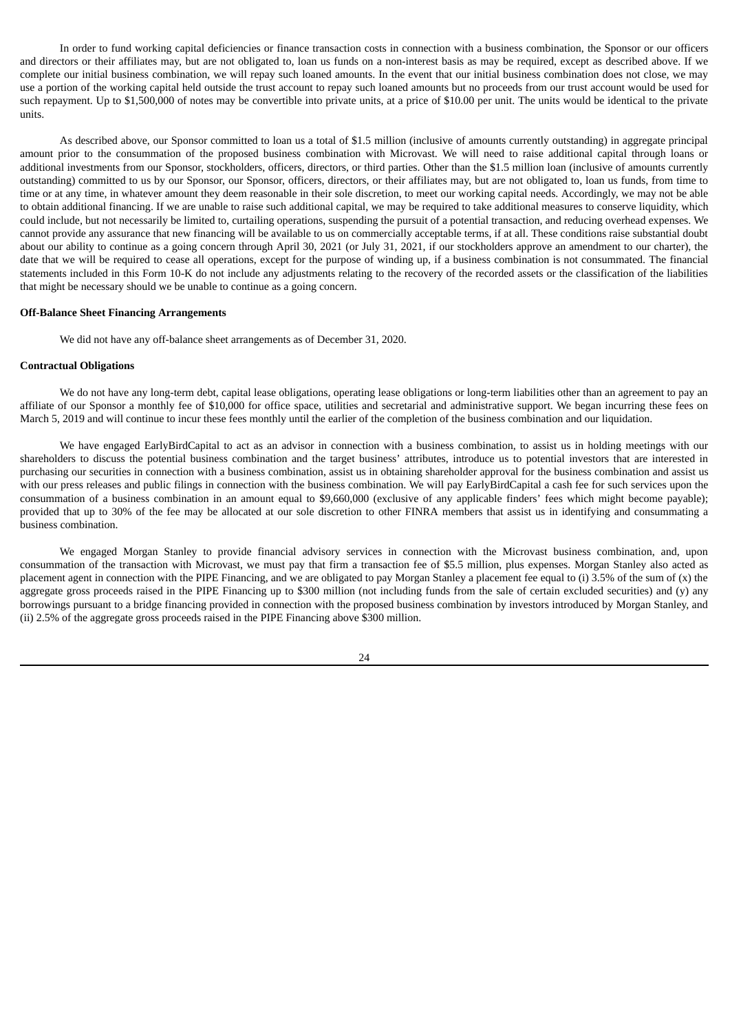In order to fund working capital deficiencies or finance transaction costs in connection with a business combination, the Sponsor or our officers and directors or their affiliates may, but are not obligated to, loan us funds on a non-interest basis as may be required, except as described above. If we complete our initial business combination, we will repay such loaned amounts. In the event that our initial business combination does not close, we may use a portion of the working capital held outside the trust account to repay such loaned amounts but no proceeds from our trust account would be used for such repayment. Up to \$1,500,000 of notes may be convertible into private units, at a price of \$10.00 per unit. The units would be identical to the private units.

As described above, our Sponsor committed to loan us a total of \$1.5 million (inclusive of amounts currently outstanding) in aggregate principal amount prior to the consummation of the proposed business combination with Microvast. We will need to raise additional capital through loans or additional investments from our Sponsor, stockholders, officers, directors, or third parties. Other than the \$1.5 million loan (inclusive of amounts currently outstanding) committed to us by our Sponsor, our Sponsor, officers, directors, or their affiliates may, but are not obligated to, loan us funds, from time to time or at any time, in whatever amount they deem reasonable in their sole discretion, to meet our working capital needs. Accordingly, we may not be able to obtain additional financing. If we are unable to raise such additional capital, we may be required to take additional measures to conserve liquidity, which could include, but not necessarily be limited to, curtailing operations, suspending the pursuit of a potential transaction, and reducing overhead expenses. We cannot provide any assurance that new financing will be available to us on commercially acceptable terms, if at all. These conditions raise substantial doubt about our ability to continue as a going concern through April 30, 2021 (or July 31, 2021, if our stockholders approve an amendment to our charter), the date that we will be required to cease all operations, except for the purpose of winding up, if a business combination is not consummated. The financial statements included in this Form 10-K do not include any adjustments relating to the recovery of the recorded assets or the classification of the liabilities that might be necessary should we be unable to continue as a going concern.

#### **Off-Balance Sheet Financing Arrangements**

We did not have any off-balance sheet arrangements as of December 31, 2020.

#### **Contractual Obligations**

We do not have any long-term debt, capital lease obligations, operating lease obligations or long-term liabilities other than an agreement to pay an affiliate of our Sponsor a monthly fee of \$10,000 for office space, utilities and secretarial and administrative support. We began incurring these fees on March 5, 2019 and will continue to incur these fees monthly until the earlier of the completion of the business combination and our liquidation.

We have engaged EarlyBirdCapital to act as an advisor in connection with a business combination, to assist us in holding meetings with our shareholders to discuss the potential business combination and the target business' attributes, introduce us to potential investors that are interested in purchasing our securities in connection with a business combination, assist us in obtaining shareholder approval for the business combination and assist us with our press releases and public filings in connection with the business combination. We will pay EarlyBirdCapital a cash fee for such services upon the consummation of a business combination in an amount equal to \$9,660,000 (exclusive of any applicable finders' fees which might become payable); provided that up to 30% of the fee may be allocated at our sole discretion to other FINRA members that assist us in identifying and consummating a business combination.

We engaged Morgan Stanley to provide financial advisory services in connection with the Microvast business combination, and, upon consummation of the transaction with Microvast, we must pay that firm a transaction fee of \$5.5 million, plus expenses. Morgan Stanley also acted as placement agent in connection with the PIPE Financing, and we are obligated to pay Morgan Stanley a placement fee equal to (i) 3.5% of the sum of (x) the aggregate gross proceeds raised in the PIPE Financing up to \$300 million (not including funds from the sale of certain excluded securities) and (y) any borrowings pursuant to a bridge financing provided in connection with the proposed business combination by investors introduced by Morgan Stanley, and (ii) 2.5% of the aggregate gross proceeds raised in the PIPE Financing above \$300 million.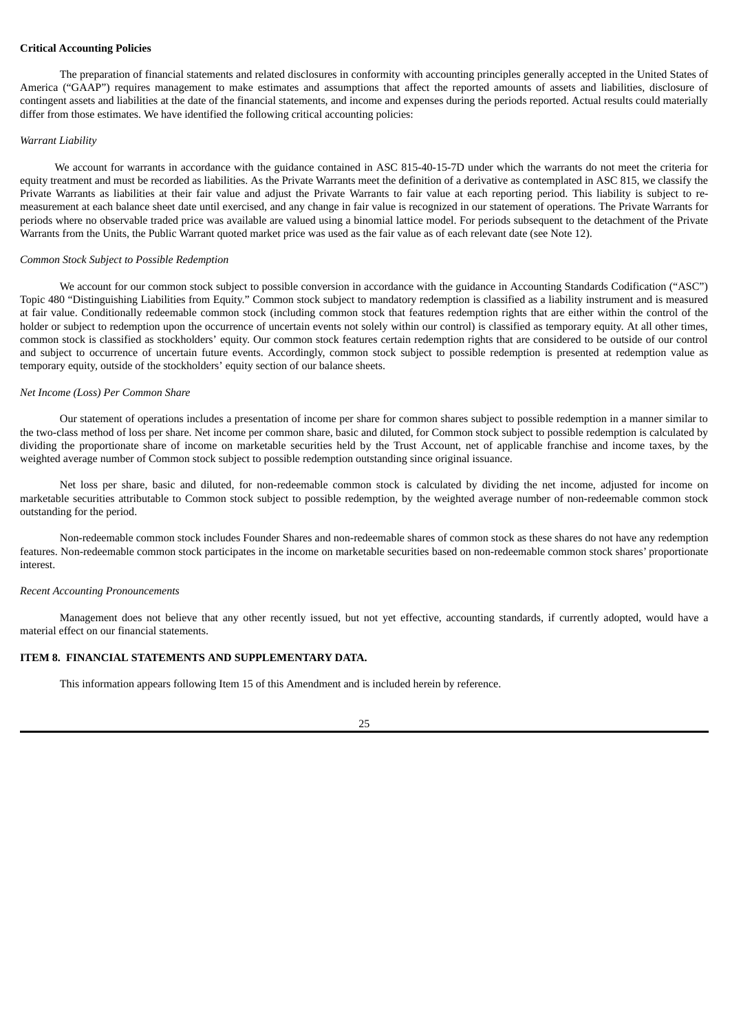## **Critical Accounting Policies**

The preparation of financial statements and related disclosures in conformity with accounting principles generally accepted in the United States of America ("GAAP") requires management to make estimates and assumptions that affect the reported amounts of assets and liabilities, disclosure of contingent assets and liabilities at the date of the financial statements, and income and expenses during the periods reported. Actual results could materially differ from those estimates. We have identified the following critical accounting policies:

#### *Warrant Liability*

We account for warrants in accordance with the guidance contained in ASC 815-40-15-7D under which the warrants do not meet the criteria for equity treatment and must be recorded as liabilities. As the Private Warrants meet the definition of a derivative as contemplated in ASC 815, we classify the Private Warrants as liabilities at their fair value and adjust the Private Warrants to fair value at each reporting period. This liability is subject to remeasurement at each balance sheet date until exercised, and any change in fair value is recognized in our statement of operations. The Private Warrants for periods where no observable traded price was available are valued using a binomial lattice model. For periods subsequent to the detachment of the Private Warrants from the Units, the Public Warrant quoted market price was used as the fair value as of each relevant date (see Note 12).

### *Common Stock Subject to Possible Redemption*

We account for our common stock subject to possible conversion in accordance with the guidance in Accounting Standards Codification ("ASC") Topic 480 "Distinguishing Liabilities from Equity." Common stock subject to mandatory redemption is classified as a liability instrument and is measured at fair value. Conditionally redeemable common stock (including common stock that features redemption rights that are either within the control of the holder or subject to redemption upon the occurrence of uncertain events not solely within our control) is classified as temporary equity. At all other times, common stock is classified as stockholders' equity. Our common stock features certain redemption rights that are considered to be outside of our control and subject to occurrence of uncertain future events. Accordingly, common stock subject to possible redemption is presented at redemption value as temporary equity, outside of the stockholders' equity section of our balance sheets.

#### *Net Income (Loss) Per Common Share*

Our statement of operations includes a presentation of income per share for common shares subject to possible redemption in a manner similar to the two-class method of loss per share. Net income per common share, basic and diluted, for Common stock subject to possible redemption is calculated by dividing the proportionate share of income on marketable securities held by the Trust Account, net of applicable franchise and income taxes, by the weighted average number of Common stock subject to possible redemption outstanding since original issuance.

Net loss per share, basic and diluted, for non-redeemable common stock is calculated by dividing the net income, adjusted for income on marketable securities attributable to Common stock subject to possible redemption, by the weighted average number of non-redeemable common stock outstanding for the period.

Non-redeemable common stock includes Founder Shares and non-redeemable shares of common stock as these shares do not have any redemption features. Non-redeemable common stock participates in the income on marketable securities based on non-redeemable common stock shares' proportionate interest.

#### *Recent Accounting Pronouncements*

Management does not believe that any other recently issued, but not yet effective, accounting standards, if currently adopted, would have a material effect on our financial statements.

## <span id="page-28-0"></span>**ITEM 8. FINANCIAL STATEMENTS AND SUPPLEMENTARY DATA.**

This information appears following Item 15 of this Amendment and is included herein by reference.

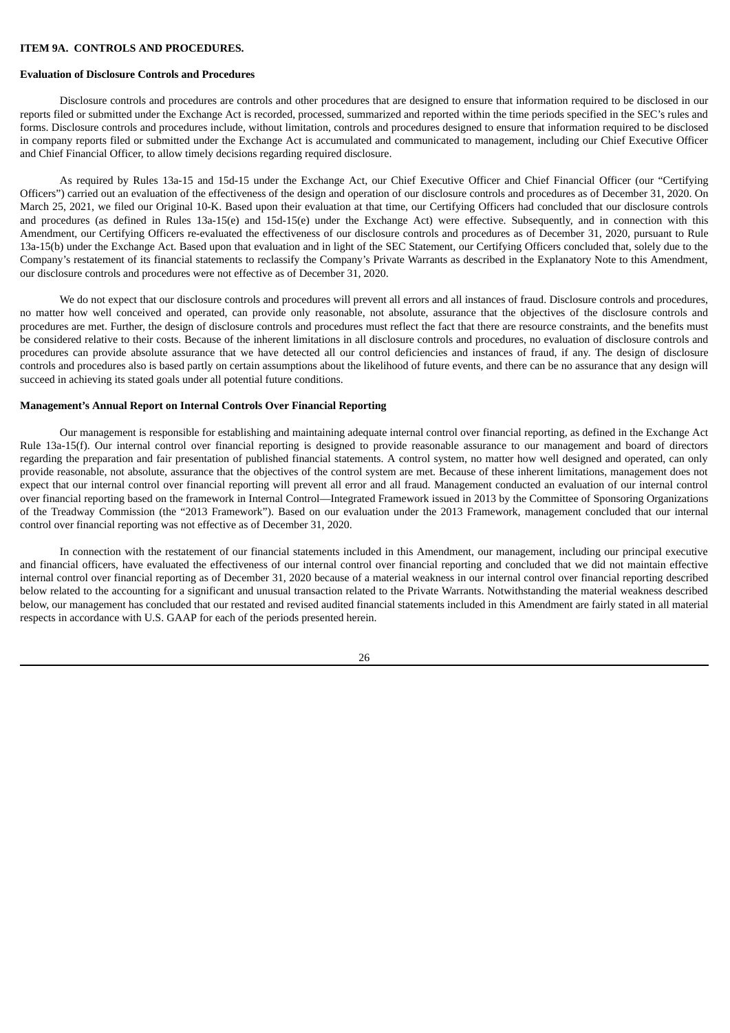### <span id="page-29-0"></span>**ITEM 9A. CONTROLS AND PROCEDURES.**

#### **Evaluation of Disclosure Controls and Procedures**

Disclosure controls and procedures are controls and other procedures that are designed to ensure that information required to be disclosed in our reports filed or submitted under the Exchange Act is recorded, processed, summarized and reported within the time periods specified in the SEC's rules and forms. Disclosure controls and procedures include, without limitation, controls and procedures designed to ensure that information required to be disclosed in company reports filed or submitted under the Exchange Act is accumulated and communicated to management, including our Chief Executive Officer and Chief Financial Officer, to allow timely decisions regarding required disclosure.

As required by Rules 13a-15 and 15d-15 under the Exchange Act, our Chief Executive Officer and Chief Financial Officer (our "Certifying Officers") carried out an evaluation of the effectiveness of the design and operation of our disclosure controls and procedures as of December 31, 2020. On March 25, 2021, we filed our Original 10-K. Based upon their evaluation at that time, our Certifying Officers had concluded that our disclosure controls and procedures (as defined in Rules 13a-15(e) and 15d-15(e) under the Exchange Act) were effective. Subsequently, and in connection with this Amendment, our Certifying Officers re-evaluated the effectiveness of our disclosure controls and procedures as of December 31, 2020, pursuant to Rule 13a-15(b) under the Exchange Act. Based upon that evaluation and in light of the SEC Statement, our Certifying Officers concluded that, solely due to the Company's restatement of its financial statements to reclassify the Company's Private Warrants as described in the Explanatory Note to this Amendment, our disclosure controls and procedures were not effective as of December 31, 2020.

We do not expect that our disclosure controls and procedures will prevent all errors and all instances of fraud. Disclosure controls and procedures, no matter how well conceived and operated, can provide only reasonable, not absolute, assurance that the objectives of the disclosure controls and procedures are met. Further, the design of disclosure controls and procedures must reflect the fact that there are resource constraints, and the benefits must be considered relative to their costs. Because of the inherent limitations in all disclosure controls and procedures, no evaluation of disclosure controls and procedures can provide absolute assurance that we have detected all our control deficiencies and instances of fraud, if any. The design of disclosure controls and procedures also is based partly on certain assumptions about the likelihood of future events, and there can be no assurance that any design will succeed in achieving its stated goals under all potential future conditions.

#### **Management's Annual Report on Internal Controls Over Financial Reporting**

Our management is responsible for establishing and maintaining adequate internal control over financial reporting, as defined in the Exchange Act Rule 13a-15(f). Our internal control over financial reporting is designed to provide reasonable assurance to our management and board of directors regarding the preparation and fair presentation of published financial statements. A control system, no matter how well designed and operated, can only provide reasonable, not absolute, assurance that the objectives of the control system are met. Because of these inherent limitations, management does not expect that our internal control over financial reporting will prevent all error and all fraud. Management conducted an evaluation of our internal control over financial reporting based on the framework in Internal Control—Integrated Framework issued in 2013 by the Committee of Sponsoring Organizations of the Treadway Commission (the "2013 Framework"). Based on our evaluation under the 2013 Framework, management concluded that our internal control over financial reporting was not effective as of December 31, 2020.

In connection with the restatement of our financial statements included in this Amendment, our management, including our principal executive and financial officers, have evaluated the effectiveness of our internal control over financial reporting and concluded that we did not maintain effective internal control over financial reporting as of December 31, 2020 because of a material weakness in our internal control over financial reporting described below related to the accounting for a significant and unusual transaction related to the Private Warrants. Notwithstanding the material weakness described below, our management has concluded that our restated and revised audited financial statements included in this Amendment are fairly stated in all material respects in accordance with U.S. GAAP for each of the periods presented herein.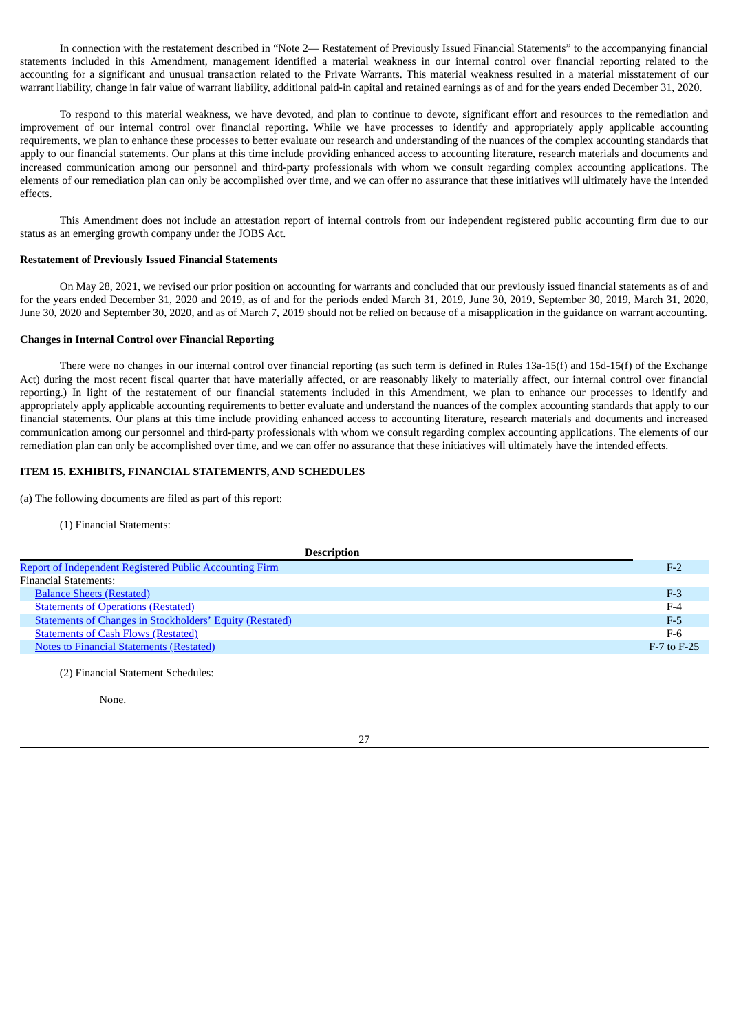In connection with the restatement described in "Note 2— Restatement of Previously Issued Financial Statements" to the accompanying financial statements included in this Amendment, management identified a material weakness in our internal control over financial reporting related to the accounting for a significant and unusual transaction related to the Private Warrants. This material weakness resulted in a material misstatement of our warrant liability, change in fair value of warrant liability, additional paid-in capital and retained earnings as of and for the years ended December 31, 2020.

To respond to this material weakness, we have devoted, and plan to continue to devote, significant effort and resources to the remediation and improvement of our internal control over financial reporting. While we have processes to identify and appropriately apply applicable accounting requirements, we plan to enhance these processes to better evaluate our research and understanding of the nuances of the complex accounting standards that apply to our financial statements. Our plans at this time include providing enhanced access to accounting literature, research materials and documents and increased communication among our personnel and third-party professionals with whom we consult regarding complex accounting applications. The elements of our remediation plan can only be accomplished over time, and we can offer no assurance that these initiatives will ultimately have the intended effects.

This Amendment does not include an attestation report of internal controls from our independent registered public accounting firm due to our status as an emerging growth company under the JOBS Act.

#### **Restatement of Previously Issued Financial Statements**

On May 28, 2021, we revised our prior position on accounting for warrants and concluded that our previously issued financial statements as of and for the years ended December 31, 2020 and 2019, as of and for the periods ended March 31, 2019, June 30, 2019, September 30, 2019, March 31, 2020, June 30, 2020 and September 30, 2020, and as of March 7, 2019 should not be relied on because of a misapplication in the guidance on warrant accounting.

#### **Changes in Internal Control over Financial Reporting**

There were no changes in our internal control over financial reporting (as such term is defined in Rules 13a-15(f) and 15d-15(f) of the Exchange Act) during the most recent fiscal quarter that have materially affected, or are reasonably likely to materially affect, our internal control over financial reporting.) In light of the restatement of our financial statements included in this Amendment, we plan to enhance our processes to identify and appropriately apply applicable accounting requirements to better evaluate and understand the nuances of the complex accounting standards that apply to our financial statements. Our plans at this time include providing enhanced access to accounting literature, research materials and documents and increased communication among our personnel and third-party professionals with whom we consult regarding complex accounting applications. The elements of our remediation plan can only be accomplished over time, and we can offer no assurance that these initiatives will ultimately have the intended effects.

## <span id="page-30-0"></span>**ITEM 15. EXHIBITS, FINANCIAL STATEMENTS, AND SCHEDULES**

(a) The following documents are filed as part of this report:

(1) Financial Statements:

| <b>Description</b>                                              |                 |
|-----------------------------------------------------------------|-----------------|
| <b>Report of Independent Registered Public Accounting Firm</b>  | $F-2$           |
| <b>Financial Statements:</b>                                    |                 |
| <b>Balance Sheets (Restated)</b>                                | $F-3$           |
| <b>Statements of Operations (Restated)</b>                      | $F-4$           |
| <b>Statements of Changes in Stockholders' Equity (Restated)</b> | $F-5$           |
| <b>Statements of Cash Flows (Restated)</b>                      | $F-6$           |
| <b>Notes to Financial Statements (Restated)</b>                 | $F-7$ to $F-25$ |

(2) Financial Statement Schedules:

None.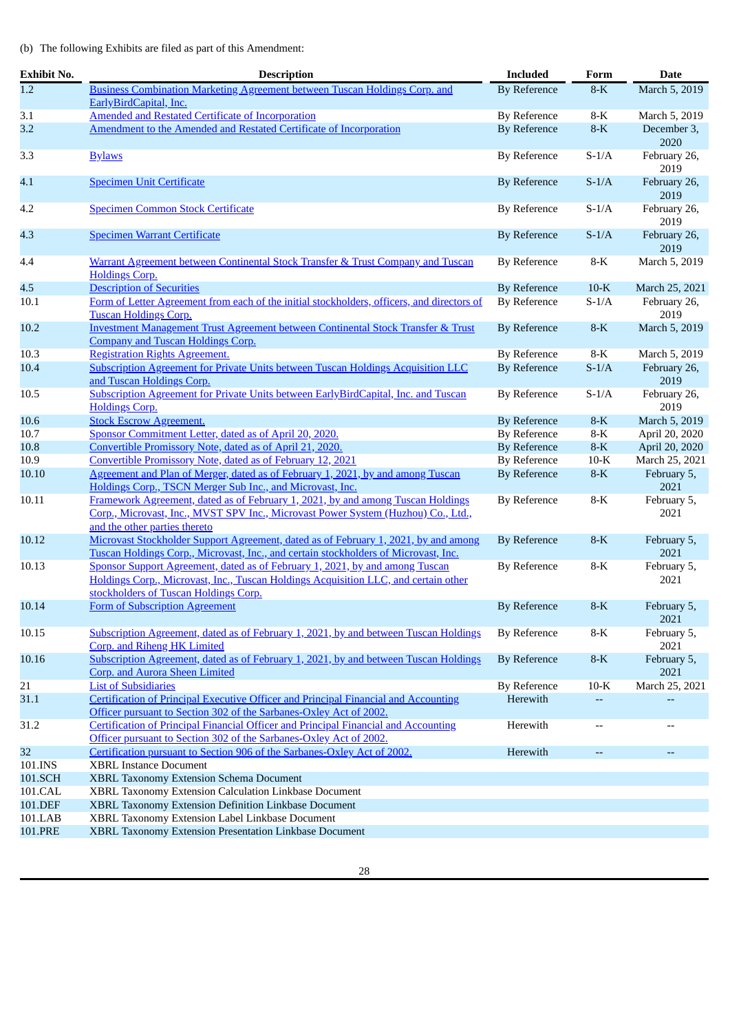## (b) The following Exhibits are filed as part of this Amendment:

| <b>Exhibit No.</b> | <b>Description</b>                                                                                                                                                                                           | <b>Included</b>     | Form                     | <b>Date</b>          |
|--------------------|--------------------------------------------------------------------------------------------------------------------------------------------------------------------------------------------------------------|---------------------|--------------------------|----------------------|
| $\overline{1.2}$   | Business Combination Marketing Agreement between Tuscan Holdings Corp. and<br>EarlyBirdCapital, Inc.                                                                                                         | <b>By Reference</b> | $8-K$                    | March 5, 2019        |
| 3.1                | <b>Amended and Restated Certificate of Incorporation</b>                                                                                                                                                     | <b>By Reference</b> | 8-K                      | March 5, 2019        |
| 3.2                | Amendment to the Amended and Restated Certificate of Incorporation                                                                                                                                           | <b>By Reference</b> | $8-K$                    | December 3,<br>2020  |
| 3.3                | <b>Bylaws</b>                                                                                                                                                                                                | <b>By Reference</b> | $S-1/A$                  | February 26,<br>2019 |
| 4.1                | <b>Specimen Unit Certificate</b>                                                                                                                                                                             | <b>By Reference</b> | $S-1/A$                  | February 26,<br>2019 |
| 4.2                | <b>Specimen Common Stock Certificate</b>                                                                                                                                                                     | <b>By Reference</b> | $S-1/A$                  | February 26,<br>2019 |
| 4.3                | <b>Specimen Warrant Certificate</b>                                                                                                                                                                          | <b>By Reference</b> | $S-1/A$                  | February 26,<br>2019 |
| 4.4                | Warrant Agreement between Continental Stock Transfer & Trust Company and Tuscan<br><b>Holdings Corp.</b>                                                                                                     | <b>By Reference</b> | $8-K$                    | March 5, 2019        |
| 4.5                | <b>Description of Securities</b>                                                                                                                                                                             | <b>By Reference</b> | $10-K$                   | March 25, 2021       |
| 10.1               | Form of Letter Agreement from each of the initial stockholders, officers, and directors of<br><b>Tuscan Holdings Corp.</b>                                                                                   | By Reference        | $S-1/A$                  | February 26,<br>2019 |
| 10.2               | <b>Investment Management Trust Agreement between Continental Stock Transfer &amp; Trust</b><br><b>Company and Tuscan Holdings Corp.</b>                                                                      | <b>By Reference</b> | $8-K$                    | March 5, 2019        |
| 10.3               | <b>Registration Rights Agreement.</b>                                                                                                                                                                        | <b>By Reference</b> | 8-K                      | March 5, 2019        |
| 10.4               | Subscription Agreement for Private Units between Tuscan Holdings Acquisition LLC<br>and Tuscan Holdings Corp.                                                                                                | <b>By Reference</b> | $S-1/A$                  | February 26,<br>2019 |
| 10.5               | Subscription Agreement for Private Units between EarlyBirdCapital, Inc. and Tuscan<br><b>Holdings Corp.</b>                                                                                                  | <b>By Reference</b> | $S-1/A$                  | February 26,<br>2019 |
| 10.6               | <b>Stock Escrow Agreement.</b>                                                                                                                                                                               | <b>By Reference</b> | $8-K$                    | March 5, 2019        |
| 10.7               | Sponsor Commitment Letter, dated as of April 20, 2020.                                                                                                                                                       | <b>By Reference</b> | $8-K$                    | April 20, 2020       |
| 10.8               | Convertible Promissory Note, dated as of April 21, 2020.                                                                                                                                                     | <b>By Reference</b> | $8-K$                    | April 20, 2020       |
| 10.9               | Convertible Promissory Note, dated as of February 12, 2021                                                                                                                                                   | <b>By Reference</b> | $10-K$                   | March 25, 2021       |
| 10.10              | Agreement and Plan of Merger, dated as of February 1, 2021, by and among Tuscan<br>Holdings Corp., TSCN Merger Sub Inc., and Microvast, Inc.                                                                 | <b>By Reference</b> | $8-K$                    | February 5,<br>2021  |
| 10.11              | Framework Agreement, dated as of February 1, 2021, by and among Tuscan Holdings<br>Corp., Microvast, Inc., MVST SPV Inc., Microvast Power System (Huzhou) Co., Ltd.,<br>and the other parties thereto        | <b>By Reference</b> | $8-K$                    | February 5,<br>2021  |
| 10.12              | Microvast Stockholder Support Agreement, dated as of February 1, 2021, by and among<br>Tuscan Holdings Corp., Microvast, Inc., and certain stockholders of Microvast, Inc.                                   | <b>By Reference</b> | $8-K$                    | February 5,<br>2021  |
| 10.13              | Sponsor Support Agreement, dated as of February 1, 2021, by and among Tuscan<br>Holdings Corp., Microvast, Inc., Tuscan Holdings Acquisition LLC, and certain other<br>stockholders of Tuscan Holdings Corp. | <b>By Reference</b> | $8-K$                    | February 5,<br>2021  |
| 10.14              | Form of Subscription Agreement                                                                                                                                                                               | <b>By Reference</b> | $8-K$                    | February 5,<br>2021  |
| 10.15              | Subscription Agreement, dated as of February 1, 2021, by and between Tuscan Holdings<br>Corp. and Riheng HK Limited                                                                                          | <b>By Reference</b> | $8-K$                    | February 5,<br>2021  |
| 10.16              | Subscription Agreement, dated as of February 1, 2021, by and between Tuscan Holdings<br><b>Corp.</b> and Aurora Sheen Limited                                                                                | <b>By Reference</b> | $8-K$                    | February 5,<br>2021  |
| 21                 | <b>List of Subsidiaries</b>                                                                                                                                                                                  | <b>By Reference</b> | $10-K$                   | March 25, 2021       |
| 31.1               | <b>Certification of Principal Executive Officer and Principal Financial and Accounting</b><br>Officer pursuant to Section 302 of the Sarbanes-Oxley Act of 2002.                                             | Herewith            | --                       |                      |
| 31.2               | Certification of Principal Financial Officer and Principal Financial and Accounting<br>Officer pursuant to Section 302 of the Sarbanes-Oxley Act of 2002.                                                    | Herewith            | $\overline{\phantom{0}}$ | $\overline{a}$       |
| 32                 | Certification pursuant to Section 906 of the Sarbanes-Oxley Act of 2002.                                                                                                                                     | Herewith            | --                       | --                   |
| 101.INS            | <b>XBRL Instance Document</b>                                                                                                                                                                                |                     |                          |                      |
| 101.SCH            | XBRL Taxonomy Extension Schema Document                                                                                                                                                                      |                     |                          |                      |
| 101.CAL            | XBRL Taxonomy Extension Calculation Linkbase Document                                                                                                                                                        |                     |                          |                      |
| 101.DEF            | XBRL Taxonomy Extension Definition Linkbase Document                                                                                                                                                         |                     |                          |                      |
| 101.LAB            | XBRL Taxonomy Extension Label Linkbase Document                                                                                                                                                              |                     |                          |                      |
| 101.PRE            | XBRL Taxonomy Extension Presentation Linkbase Document                                                                                                                                                       |                     |                          |                      |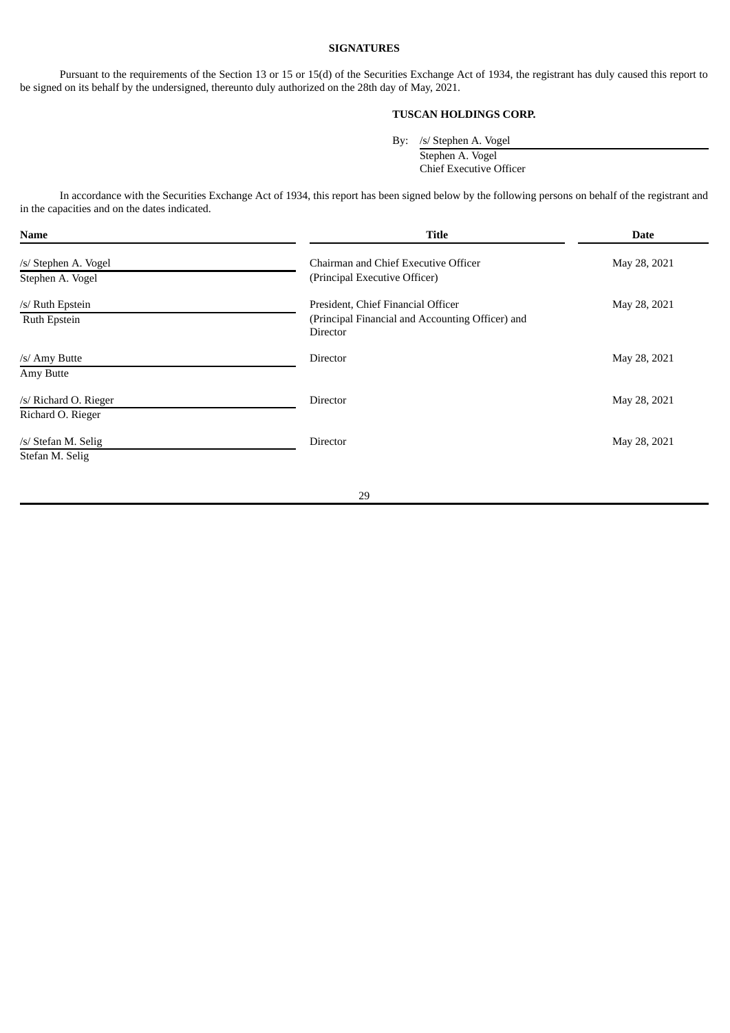## **SIGNATURES**

Pursuant to the requirements of the Section 13 or 15 or 15(d) of the Securities Exchange Act of 1934, the registrant has duly caused this report to be signed on its behalf by the undersigned, thereunto duly authorized on the 28th day of May, 2021.

## **TUSCAN HOLDINGS CORP.**

By: /s/ Stephen A. Vogel

Stephen A. Vogel Chief Executive Officer

In accordance with the Securities Exchange Act of 1934, this report has been signed below by the following persons on behalf of the registrant and in the capacities and on the dates indicated.

| <b>Name</b>                                | <b>Title</b>                                                                                       | <b>Date</b>  |
|--------------------------------------------|----------------------------------------------------------------------------------------------------|--------------|
| /s/ Stephen A. Vogel<br>Stephen A. Vogel   | Chairman and Chief Executive Officer<br>(Principal Executive Officer)                              | May 28, 2021 |
| /s/ Ruth Epstein<br>Ruth Epstein           | President, Chief Financial Officer<br>(Principal Financial and Accounting Officer) and<br>Director | May 28, 2021 |
| /s/ Amy Butte<br>Amy Butte                 | Director                                                                                           | May 28, 2021 |
| /s/ Richard O. Rieger<br>Richard O. Rieger | Director                                                                                           | May 28, 2021 |
| /s/ Stefan M. Selig<br>Stefan M. Selig     | <b>Director</b>                                                                                    | May 28, 2021 |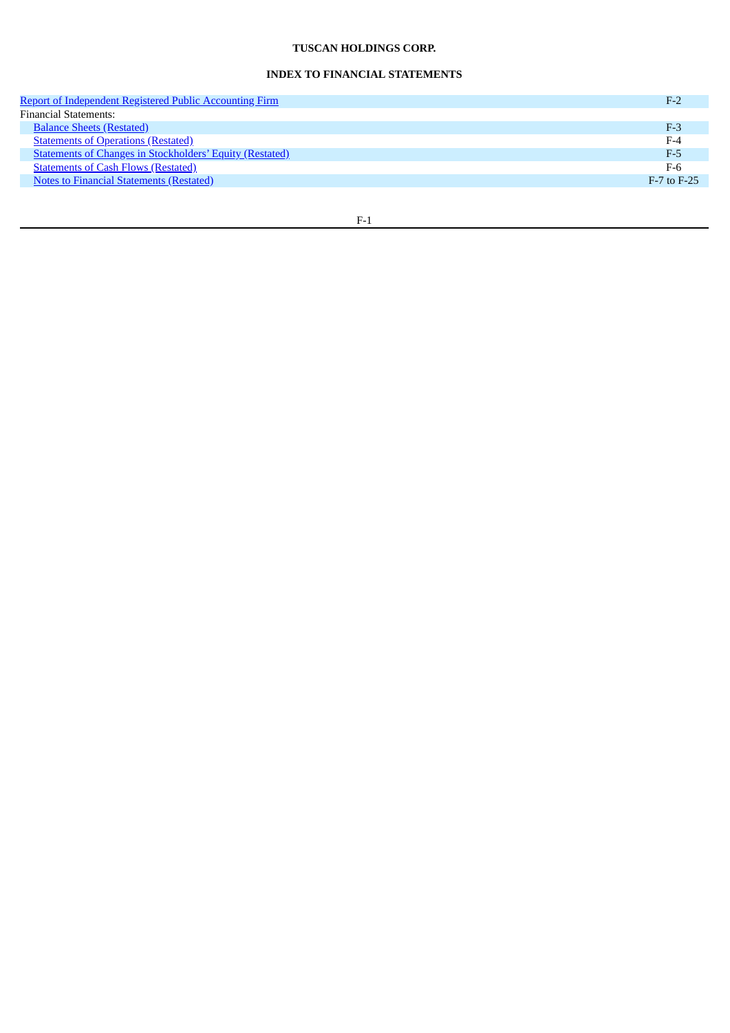## **TUSCAN HOLDINGS CORP.**

## **INDEX TO FINANCIAL STATEMENTS**

| <b>Report of Independent Registered Public Accounting Firm</b>  | $F-2$           |
|-----------------------------------------------------------------|-----------------|
| <b>Financial Statements:</b>                                    |                 |
| <b>Balance Sheets (Restated)</b>                                | $F-3$           |
| <b>Statements of Operations (Restated)</b>                      | $F-4$           |
| <b>Statements of Changes in Stockholders' Equity (Restated)</b> | $F-5$           |
| <b>Statements of Cash Flows (Restated)</b>                      | F-6             |
| <b>Notes to Financial Statements (Restated)</b>                 | $F-7$ to $F-25$ |
|                                                                 |                 |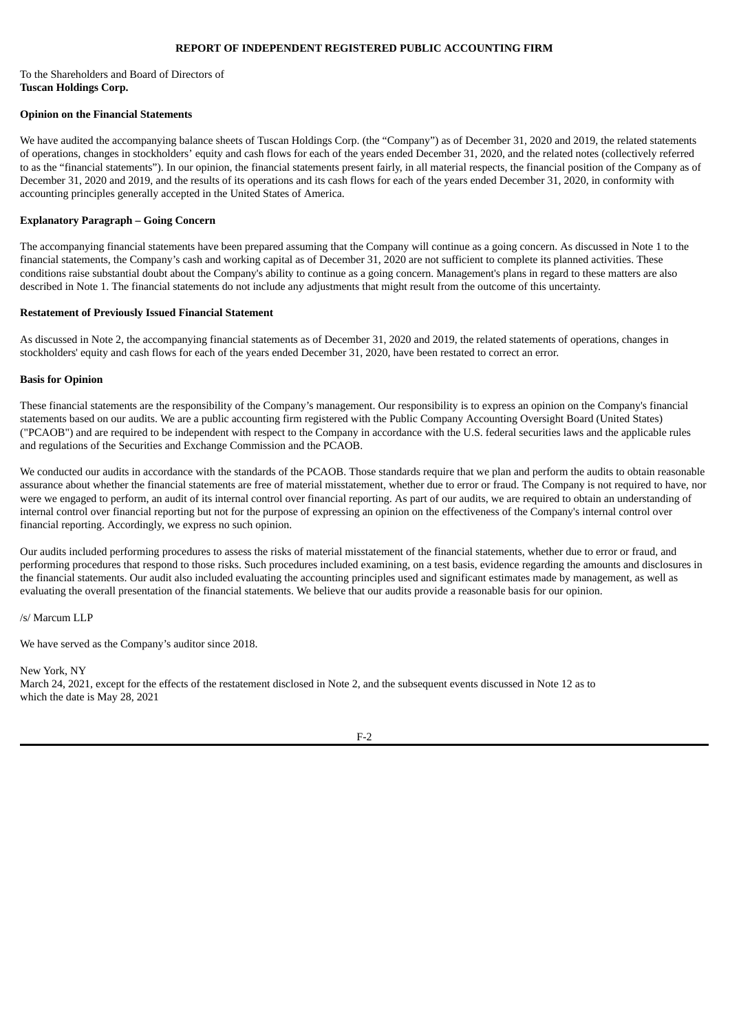## **REPORT OF INDEPENDENT REGISTERED PUBLIC ACCOUNTING FIRM**

### <span id="page-34-0"></span>To the Shareholders and Board of Directors of **Tuscan Holdings Corp.**

### **Opinion on the Financial Statements**

We have audited the accompanying balance sheets of Tuscan Holdings Corp. (the "Company") as of December 31, 2020 and 2019, the related statements of operations, changes in stockholders' equity and cash flows for each of the years ended December 31, 2020, and the related notes (collectively referred to as the "financial statements"). In our opinion, the financial statements present fairly, in all material respects, the financial position of the Company as of December 31, 2020 and 2019, and the results of its operations and its cash flows for each of the years ended December 31, 2020, in conformity with accounting principles generally accepted in the United States of America.

## **Explanatory Paragraph – Going Concern**

The accompanying financial statements have been prepared assuming that the Company will continue as a going concern. As discussed in Note 1 to the financial statements, the Company's cash and working capital as of December 31, 2020 are not sufficient to complete its planned activities. These conditions raise substantial doubt about the Company's ability to continue as a going concern. Management's plans in regard to these matters are also described in Note 1. The financial statements do not include any adjustments that might result from the outcome of this uncertainty.

#### **Restatement of Previously Issued Financial Statement**

As discussed in Note 2, the accompanying financial statements as of December 31, 2020 and 2019, the related statements of operations, changes in stockholders' equity and cash flows for each of the years ended December 31, 2020, have been restated to correct an error.

### **Basis for Opinion**

These financial statements are the responsibility of the Company's management. Our responsibility is to express an opinion on the Company's financial statements based on our audits. We are a public accounting firm registered with the Public Company Accounting Oversight Board (United States) ("PCAOB") and are required to be independent with respect to the Company in accordance with the U.S. federal securities laws and the applicable rules and regulations of the Securities and Exchange Commission and the PCAOB.

We conducted our audits in accordance with the standards of the PCAOB. Those standards require that we plan and perform the audits to obtain reasonable assurance about whether the financial statements are free of material misstatement, whether due to error or fraud. The Company is not required to have, nor were we engaged to perform, an audit of its internal control over financial reporting. As part of our audits, we are required to obtain an understanding of internal control over financial reporting but not for the purpose of expressing an opinion on the effectiveness of the Company's internal control over financial reporting. Accordingly, we express no such opinion.

Our audits included performing procedures to assess the risks of material misstatement of the financial statements, whether due to error or fraud, and performing procedures that respond to those risks. Such procedures included examining, on a test basis, evidence regarding the amounts and disclosures in the financial statements. Our audit also included evaluating the accounting principles used and significant estimates made by management, as well as evaluating the overall presentation of the financial statements. We believe that our audits provide a reasonable basis for our opinion.

/s/ Marcum LLP

We have served as the Company's auditor since 2018.

New York, NY March 24, 2021, except for the effects of the restatement disclosed in Note 2, and the subsequent events discussed in Note 12 as to which the date is May 28, 2021

F-2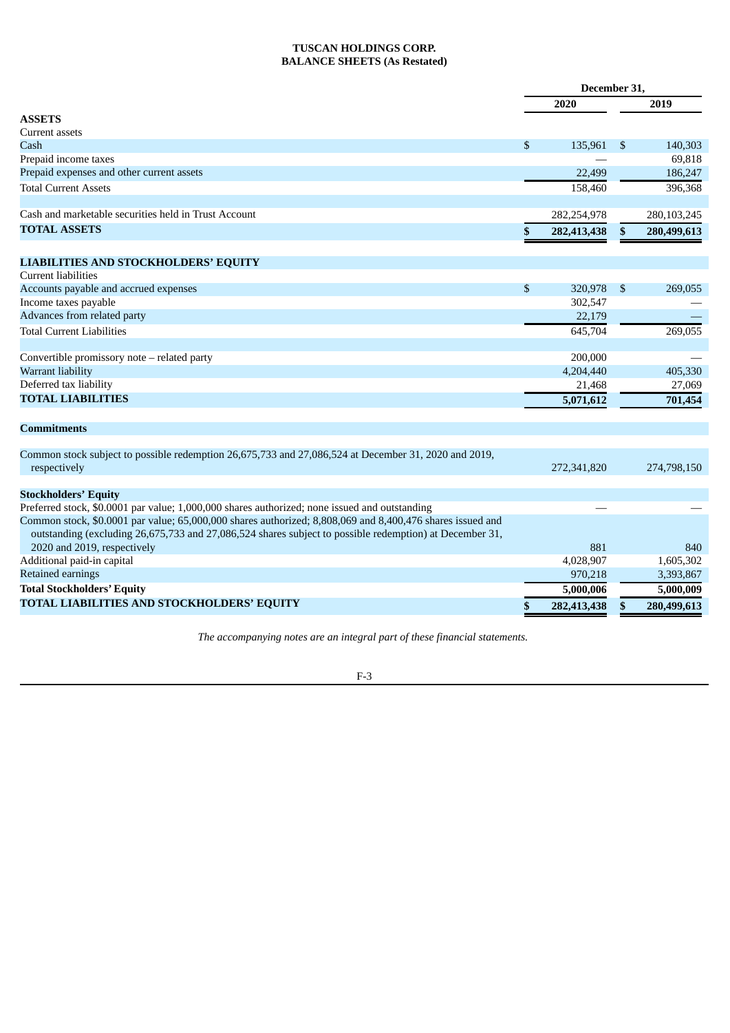## **TUSCAN HOLDINGS CORP. BALANCE SHEETS (As Restated)**

<span id="page-35-0"></span>

|                                                                                                                                                                                                                      | December 31, |             |               |             |
|----------------------------------------------------------------------------------------------------------------------------------------------------------------------------------------------------------------------|--------------|-------------|---------------|-------------|
|                                                                                                                                                                                                                      |              | 2020        |               | 2019        |
| <b>ASSETS</b>                                                                                                                                                                                                        |              |             |               |             |
| Current assets                                                                                                                                                                                                       |              |             |               |             |
| Cash                                                                                                                                                                                                                 | \$           | 135,961     | \$            | 140,303     |
| Prepaid income taxes                                                                                                                                                                                                 |              |             |               | 69,818      |
| Prepaid expenses and other current assets                                                                                                                                                                            |              | 22,499      |               | 186,247     |
| <b>Total Current Assets</b>                                                                                                                                                                                          |              | 158,460     |               | 396,368     |
| Cash and marketable securities held in Trust Account                                                                                                                                                                 |              | 282,254,978 |               | 280,103,245 |
| <b>TOTAL ASSETS</b>                                                                                                                                                                                                  | \$           | 282,413,438 | <sup>\$</sup> | 280,499,613 |
|                                                                                                                                                                                                                      |              |             |               |             |
| LIABILITIES AND STOCKHOLDERS' EQUITY                                                                                                                                                                                 |              |             |               |             |
| <b>Current liabilities</b>                                                                                                                                                                                           |              |             |               |             |
| Accounts payable and accrued expenses                                                                                                                                                                                | \$           | 320,978     | \$            | 269,055     |
| Income taxes payable                                                                                                                                                                                                 |              | 302,547     |               |             |
| Advances from related party                                                                                                                                                                                          |              | 22,179      |               |             |
| <b>Total Current Liabilities</b>                                                                                                                                                                                     |              | 645,704     |               | 269,055     |
| Convertible promissory note – related party                                                                                                                                                                          |              | 200,000     |               |             |
| Warrant liability                                                                                                                                                                                                    |              | 4,204,440   |               | 405,330     |
| Deferred tax liability                                                                                                                                                                                               |              | 21,468      |               | 27,069      |
| <b>TOTAL LIABILITIES</b>                                                                                                                                                                                             |              | 5,071,612   |               | 701,454     |
| Commitments                                                                                                                                                                                                          |              |             |               |             |
|                                                                                                                                                                                                                      |              |             |               |             |
| Common stock subject to possible redemption 26,675,733 and 27,086,524 at December 31, 2020 and 2019,<br>respectively                                                                                                 |              | 272,341,820 |               | 274,798,150 |
| <b>Stockholders' Equity</b>                                                                                                                                                                                          |              |             |               |             |
| Preferred stock, \$0.0001 par value; 1,000,000 shares authorized; none issued and outstanding                                                                                                                        |              |             |               |             |
| Common stock, \$0.0001 par value; 65,000,000 shares authorized; 8,808,069 and 8,400,476 shares issued and<br>outstanding (excluding 26,675,733 and 27,086,524 shares subject to possible redemption) at December 31, |              |             |               |             |
| 2020 and 2019, respectively                                                                                                                                                                                          |              | 881         |               | 840         |
| Additional paid-in capital                                                                                                                                                                                           |              | 4,028,907   |               | 1,605,302   |
| Retained earnings                                                                                                                                                                                                    |              | 970,218     |               | 3,393,867   |
| <b>Total Stockholders' Equity</b>                                                                                                                                                                                    |              | 5,000,006   |               | 5,000,009   |
| TOTAL LIABILITIES AND STOCKHOLDERS' EQUITY                                                                                                                                                                           |              | 282,413,438 |               | 280,499,613 |
|                                                                                                                                                                                                                      |              |             |               |             |

*The accompanying notes are an integral part of these financial statements.*

## F-3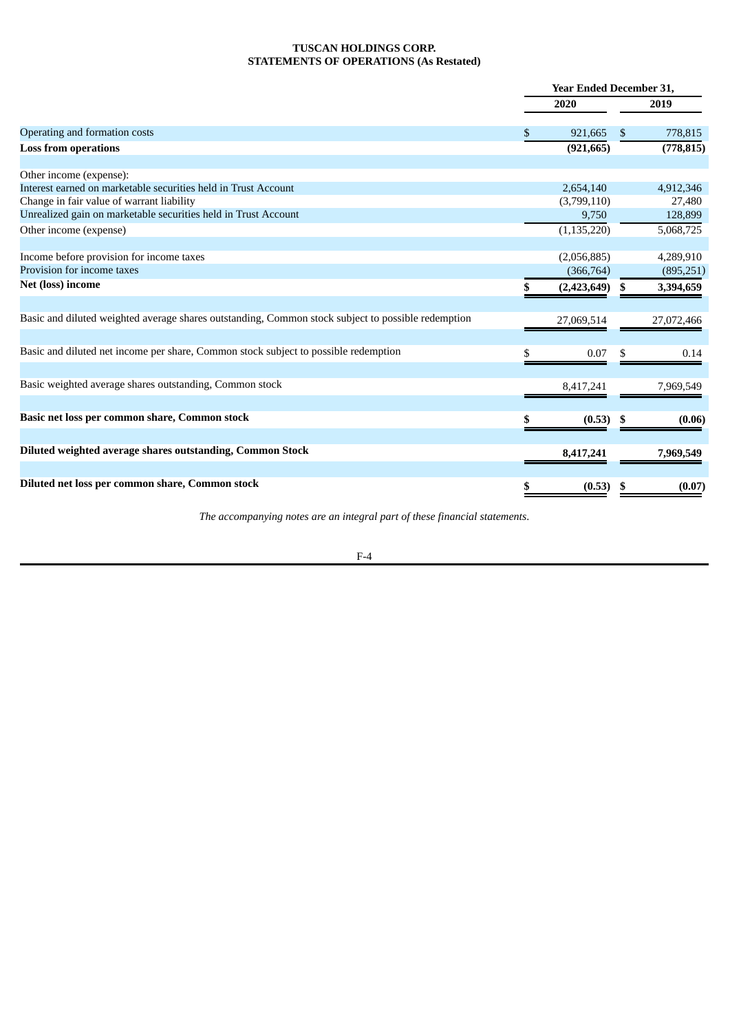## **TUSCAN HOLDINGS CORP. STATEMENTS OF OPERATIONS (As Restated)**

<span id="page-36-1"></span><span id="page-36-0"></span>

|                                                                                                    | <b>Year Ended December 31,</b> |               |               |            |  |
|----------------------------------------------------------------------------------------------------|--------------------------------|---------------|---------------|------------|--|
|                                                                                                    |                                | 2020          |               | 2019       |  |
| Operating and formation costs                                                                      | \$                             | 921,665       | <sup>\$</sup> | 778,815    |  |
| <b>Loss from operations</b>                                                                        |                                | (921, 665)    |               | (778, 815) |  |
|                                                                                                    |                                |               |               |            |  |
| Other income (expense):                                                                            |                                |               |               |            |  |
| Interest earned on marketable securities held in Trust Account                                     |                                | 2,654,140     |               | 4,912,346  |  |
| Change in fair value of warrant liability                                                          |                                | (3,799,110)   |               | 27,480     |  |
| Unrealized gain on marketable securities held in Trust Account                                     |                                | 9,750         |               | 128,899    |  |
| Other income (expense)                                                                             |                                | (1, 135, 220) |               | 5,068,725  |  |
|                                                                                                    |                                |               |               |            |  |
| Income before provision for income taxes                                                           |                                | (2,056,885)   |               | 4,289,910  |  |
| Provision for income taxes                                                                         |                                | (366, 764)    |               | (895,251)  |  |
| Net (loss) income                                                                                  |                                | (2,423,649)   |               | 3,394,659  |  |
|                                                                                                    |                                |               |               |            |  |
| Basic and diluted weighted average shares outstanding, Common stock subject to possible redemption |                                | 27,069,514    |               | 27,072,466 |  |
|                                                                                                    |                                |               |               |            |  |
| Basic and diluted net income per share, Common stock subject to possible redemption                |                                | 0.07          |               | 0.14       |  |
| Basic weighted average shares outstanding, Common stock                                            |                                | 8,417,241     |               | 7,969,549  |  |
|                                                                                                    |                                |               |               |            |  |
| Basic net loss per common share, Common stock                                                      |                                | (0.53)        | - 56          | (0.06)     |  |
|                                                                                                    |                                |               |               |            |  |
| Diluted weighted average shares outstanding, Common Stock                                          |                                | 8,417,241     |               | 7,969,549  |  |
|                                                                                                    |                                |               |               |            |  |
| Diluted net loss per common share, Common stock                                                    | \$                             | (0.53)        | S             | (0.07)     |  |

*The accompanying notes are an integral part of these financial statements*.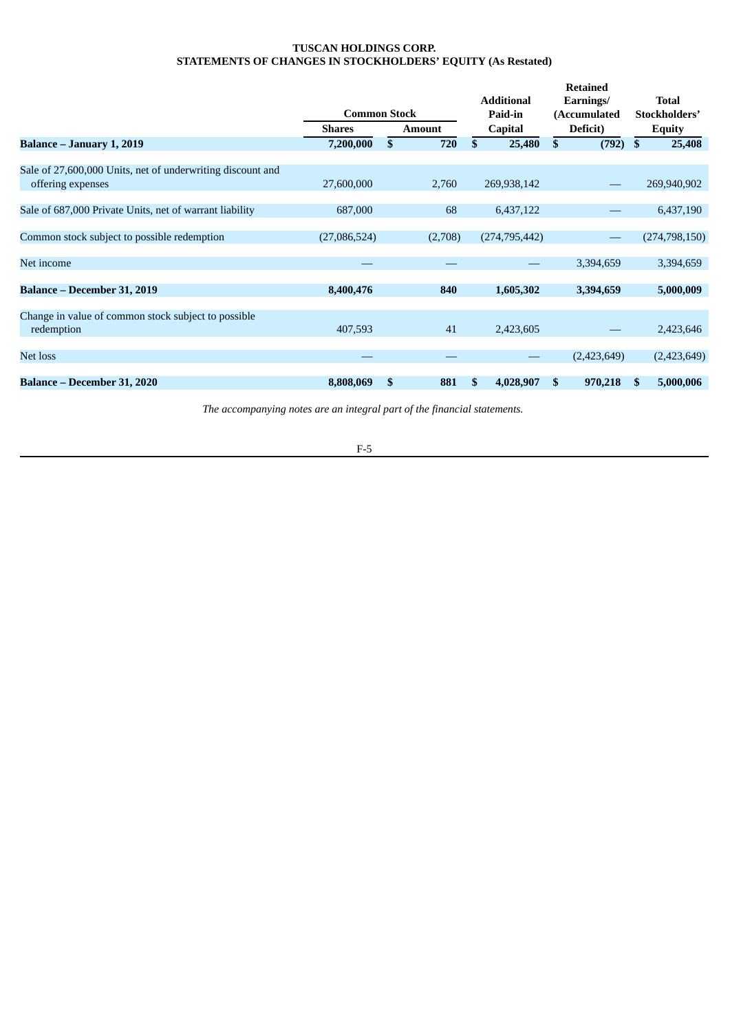## **TUSCAN HOLDINGS CORP. STATEMENTS OF CHANGES IN STOCKHOLDERS' EQUITY (As Restated)**

<span id="page-37-0"></span>

|                                                            | <b>Common Stock</b> |    |               | <b>Additional</b><br>Paid-in |                 | <b>Retained</b><br>Earnings/<br>(Accumulated |             | <b>Total</b><br>Stockholders' |                 |  |               |
|------------------------------------------------------------|---------------------|----|---------------|------------------------------|-----------------|----------------------------------------------|-------------|-------------------------------|-----------------|--|---------------|
|                                                            | <b>Shares</b>       |    | <b>Amount</b> |                              | <b>Capital</b>  |                                              | Deficit)    |                               |                 |  | <b>Equity</b> |
| Balance - January 1, 2019                                  | 7,200,000           | \$ | 720           | \$                           | 25,480          | \$                                           | (792)       | \$                            | 25,408          |  |               |
|                                                            |                     |    |               |                              |                 |                                              |             |                               |                 |  |               |
| Sale of 27,600,000 Units, net of underwriting discount and |                     |    |               |                              |                 |                                              |             |                               |                 |  |               |
| offering expenses                                          | 27,600,000          |    | 2,760         |                              | 269,938,142     |                                              |             |                               | 269,940,902     |  |               |
|                                                            |                     |    |               |                              |                 |                                              |             |                               |                 |  |               |
| Sale of 687,000 Private Units, net of warrant liability    | 687,000             |    | 68            |                              | 6,437,122       |                                              |             |                               | 6,437,190       |  |               |
|                                                            |                     |    |               |                              |                 |                                              |             |                               |                 |  |               |
| Common stock subject to possible redemption                | (27,086,524)        |    | (2,708)       |                              | (274, 795, 442) |                                              |             |                               | (274, 798, 150) |  |               |
| Net income                                                 |                     |    |               |                              |                 |                                              | 3,394,659   |                               | 3,394,659       |  |               |
|                                                            |                     |    |               |                              |                 |                                              |             |                               |                 |  |               |
| Balance - December 31, 2019                                | 8,400,476           |    | 840           |                              | 1,605,302       |                                              | 3,394,659   |                               | 5,000,009       |  |               |
|                                                            |                     |    |               |                              |                 |                                              |             |                               |                 |  |               |
| Change in value of common stock subject to possible        |                     |    |               |                              |                 |                                              |             |                               |                 |  |               |
| redemption                                                 | 407,593             |    | 41            |                              | 2,423,605       |                                              |             |                               | 2,423,646       |  |               |
|                                                            |                     |    |               |                              |                 |                                              |             |                               |                 |  |               |
| Net loss                                                   |                     |    |               |                              |                 |                                              | (2,423,649) |                               | (2,423,649)     |  |               |
|                                                            |                     |    |               |                              |                 |                                              |             |                               |                 |  |               |
| <b>Balance – December 31, 2020</b>                         | 8,808,069           | \$ | 881           | \$                           | 4,028,907       | \$                                           | 970,218     | \$                            | 5,000,006       |  |               |

*The accompanying notes are an integral part of the financial statements.*

F-5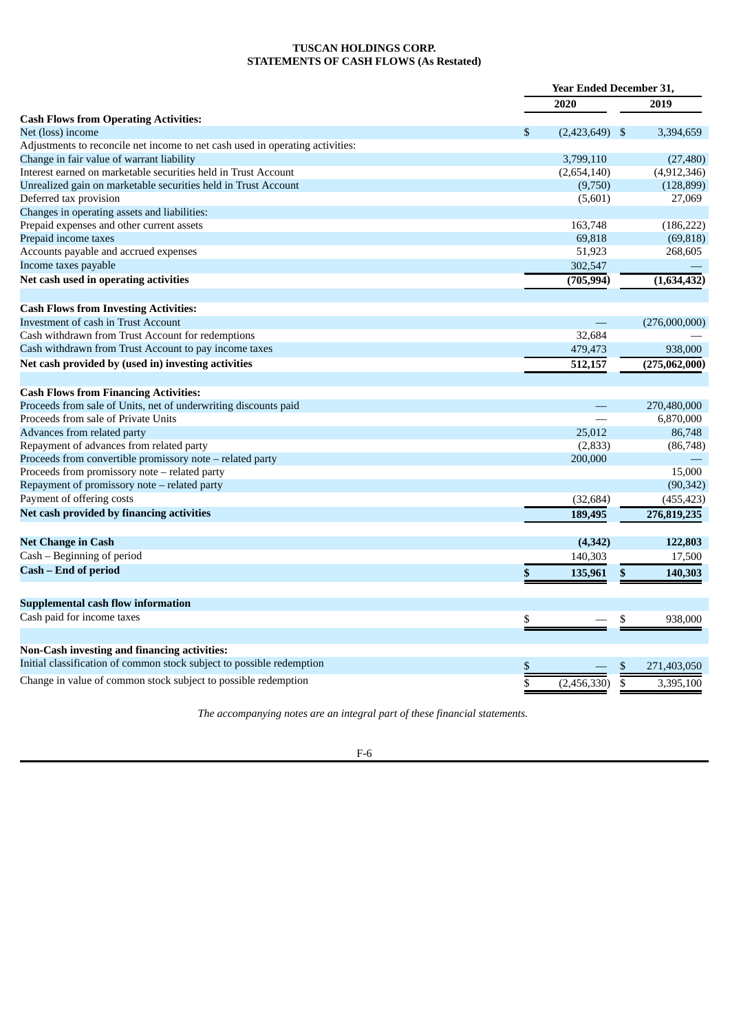## **TUSCAN HOLDINGS CORP. STATEMENTS OF CASH FLOWS (As Restated)**

<span id="page-38-0"></span>

|                                                                               | <b>Year Ended December 31,</b> |    |               |
|-------------------------------------------------------------------------------|--------------------------------|----|---------------|
|                                                                               | 2020                           |    | 2019          |
| <b>Cash Flows from Operating Activities:</b>                                  |                                |    |               |
| Net (loss) income                                                             | \$<br>$(2,423,649)$ \$         |    | 3,394,659     |
| Adjustments to reconcile net income to net cash used in operating activities: |                                |    |               |
| Change in fair value of warrant liability                                     | 3,799,110                      |    | (27, 480)     |
| Interest earned on marketable securities held in Trust Account                | (2,654,140)                    |    | (4,912,346)   |
| Unrealized gain on marketable securities held in Trust Account                | (9,750)                        |    | (128, 899)    |
| Deferred tax provision                                                        | (5,601)                        |    | 27,069        |
| Changes in operating assets and liabilities:                                  |                                |    |               |
| Prepaid expenses and other current assets                                     | 163,748                        |    | (186, 222)    |
| Prepaid income taxes                                                          | 69,818                         |    | (69, 818)     |
| Accounts payable and accrued expenses                                         | 51,923                         |    | 268,605       |
| Income taxes payable                                                          | 302,547                        |    |               |
| Net cash used in operating activities                                         | (705, 994)                     |    | (1,634,432)   |
| <b>Cash Flows from Investing Activities:</b>                                  |                                |    |               |
| <b>Investment of cash in Trust Account</b>                                    |                                |    | (276,000,000) |
| Cash withdrawn from Trust Account for redemptions                             | 32,684                         |    |               |
| Cash withdrawn from Trust Account to pay income taxes                         | 479,473                        |    | 938,000       |
| Net cash provided by (used in) investing activities                           | 512,157                        |    | (275,062,000) |
|                                                                               |                                |    |               |
| <b>Cash Flows from Financing Activities:</b>                                  |                                |    |               |
| Proceeds from sale of Units, net of underwriting discounts paid               |                                |    | 270,480,000   |
| Proceeds from sale of Private Units                                           |                                |    | 6,870,000     |
| Advances from related party                                                   | 25,012                         |    | 86,748        |
| Repayment of advances from related party                                      | (2, 833)                       |    | (86,748)      |
| Proceeds from convertible promissory note - related party                     | 200,000                        |    |               |
| Proceeds from promissory note - related party                                 |                                |    | 15,000        |
| Repayment of promissory note - related party                                  |                                |    | (90, 342)     |
| Payment of offering costs                                                     | (32, 684)                      |    | (455, 423)    |
| Net cash provided by financing activities                                     | 189,495                        |    | 276,819,235   |
| Net Change in Cash                                                            | (4, 342)                       |    | 122,803       |
| Cash - Beginning of period                                                    | 140,303                        |    | 17,500        |
| Cash – End of period                                                          | \$<br>135,961                  | \$ | 140,303       |
|                                                                               |                                |    |               |
| <b>Supplemental cash flow information</b>                                     |                                |    |               |
| Cash paid for income taxes                                                    | \$                             | \$ | 938,000       |
|                                                                               |                                |    |               |
| <b>Non-Cash investing and financing activities:</b>                           |                                |    |               |
| Initial classification of common stock subject to possible redemption         | \$                             | \$ | 271,403,050   |
| Change in value of common stock subject to possible redemption                | (2,456,330)                    | \$ | 3,395,100     |

*The accompanying notes are an integral part of these financial statements.*

F-6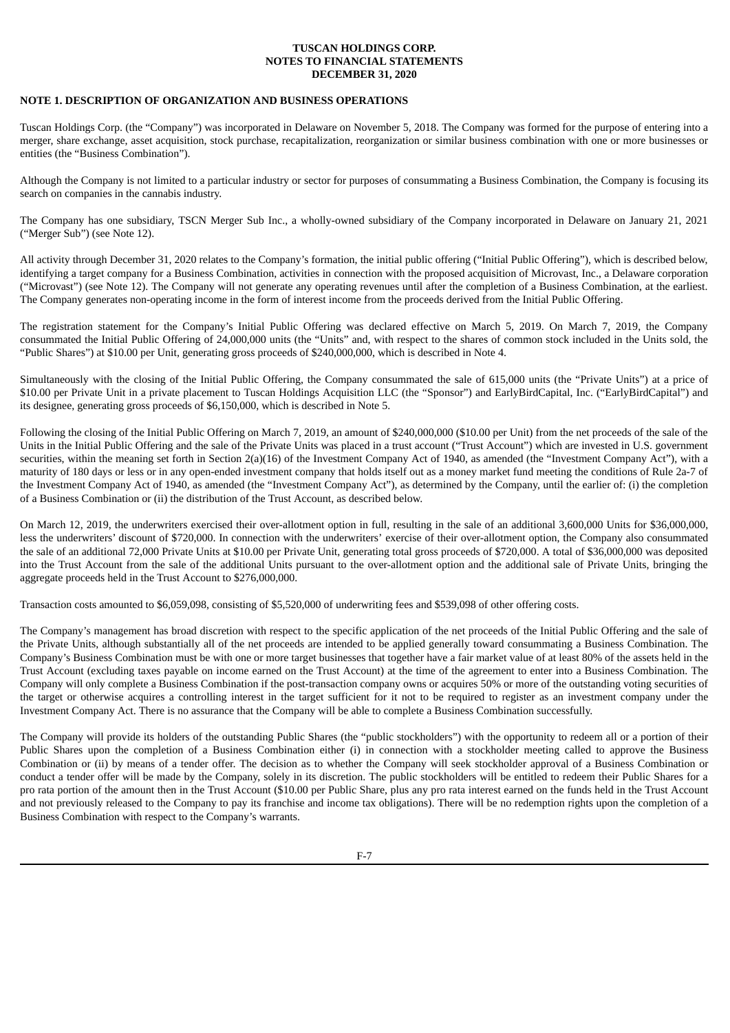## <span id="page-39-0"></span>**NOTE 1. DESCRIPTION OF ORGANIZATION AND BUSINESS OPERATIONS**

Tuscan Holdings Corp. (the "Company") was incorporated in Delaware on November 5, 2018. The Company was formed for the purpose of entering into a merger, share exchange, asset acquisition, stock purchase, recapitalization, reorganization or similar business combination with one or more businesses or entities (the "Business Combination").

Although the Company is not limited to a particular industry or sector for purposes of consummating a Business Combination, the Company is focusing its search on companies in the cannabis industry.

The Company has one subsidiary, TSCN Merger Sub Inc., a wholly-owned subsidiary of the Company incorporated in Delaware on January 21, 2021 ("Merger Sub") (see Note 12).

All activity through December 31, 2020 relates to the Company's formation, the initial public offering ("Initial Public Offering"), which is described below, identifying a target company for a Business Combination, activities in connection with the proposed acquisition of Microvast, Inc., a Delaware corporation ("Microvast") (see Note 12). The Company will not generate any operating revenues until after the completion of a Business Combination, at the earliest. The Company generates non-operating income in the form of interest income from the proceeds derived from the Initial Public Offering.

The registration statement for the Company's Initial Public Offering was declared effective on March 5, 2019. On March 7, 2019, the Company consummated the Initial Public Offering of 24,000,000 units (the "Units" and, with respect to the shares of common stock included in the Units sold, the "Public Shares") at \$10.00 per Unit, generating gross proceeds of \$240,000,000, which is described in Note 4.

Simultaneously with the closing of the Initial Public Offering, the Company consummated the sale of 615,000 units (the "Private Units") at a price of \$10.00 per Private Unit in a private placement to Tuscan Holdings Acquisition LLC (the "Sponsor") and EarlyBirdCapital, Inc. ("EarlyBirdCapital") and its designee, generating gross proceeds of \$6,150,000, which is described in Note 5.

Following the closing of the Initial Public Offering on March 7, 2019, an amount of \$240,000,000 (\$10.00 per Unit) from the net proceeds of the sale of the Units in the Initial Public Offering and the sale of the Private Units was placed in a trust account ("Trust Account") which are invested in U.S. government securities, within the meaning set forth in Section 2(a)(16) of the Investment Company Act of 1940, as amended (the "Investment Company Act"), with a maturity of 180 days or less or in any open-ended investment company that holds itself out as a money market fund meeting the conditions of Rule 2a-7 of the Investment Company Act of 1940, as amended (the "Investment Company Act"), as determined by the Company, until the earlier of: (i) the completion of a Business Combination or (ii) the distribution of the Trust Account, as described below.

On March 12, 2019, the underwriters exercised their over-allotment option in full, resulting in the sale of an additional 3,600,000 Units for \$36,000,000, less the underwriters' discount of \$720,000. In connection with the underwriters' exercise of their over-allotment option, the Company also consummated the sale of an additional 72,000 Private Units at \$10.00 per Private Unit, generating total gross proceeds of \$720,000. A total of \$36,000,000 was deposited into the Trust Account from the sale of the additional Units pursuant to the over-allotment option and the additional sale of Private Units, bringing the aggregate proceeds held in the Trust Account to \$276,000,000.

Transaction costs amounted to \$6,059,098, consisting of \$5,520,000 of underwriting fees and \$539,098 of other offering costs.

The Company's management has broad discretion with respect to the specific application of the net proceeds of the Initial Public Offering and the sale of the Private Units, although substantially all of the net proceeds are intended to be applied generally toward consummating a Business Combination. The Company's Business Combination must be with one or more target businesses that together have a fair market value of at least 80% of the assets held in the Trust Account (excluding taxes payable on income earned on the Trust Account) at the time of the agreement to enter into a Business Combination. The Company will only complete a Business Combination if the post-transaction company owns or acquires 50% or more of the outstanding voting securities of the target or otherwise acquires a controlling interest in the target sufficient for it not to be required to register as an investment company under the Investment Company Act. There is no assurance that the Company will be able to complete a Business Combination successfully.

The Company will provide its holders of the outstanding Public Shares (the "public stockholders") with the opportunity to redeem all or a portion of their Public Shares upon the completion of a Business Combination either (i) in connection with a stockholder meeting called to approve the Business Combination or (ii) by means of a tender offer. The decision as to whether the Company will seek stockholder approval of a Business Combination or conduct a tender offer will be made by the Company, solely in its discretion. The public stockholders will be entitled to redeem their Public Shares for a pro rata portion of the amount then in the Trust Account (\$10.00 per Public Share, plus any pro rata interest earned on the funds held in the Trust Account and not previously released to the Company to pay its franchise and income tax obligations). There will be no redemption rights upon the completion of a Business Combination with respect to the Company's warrants.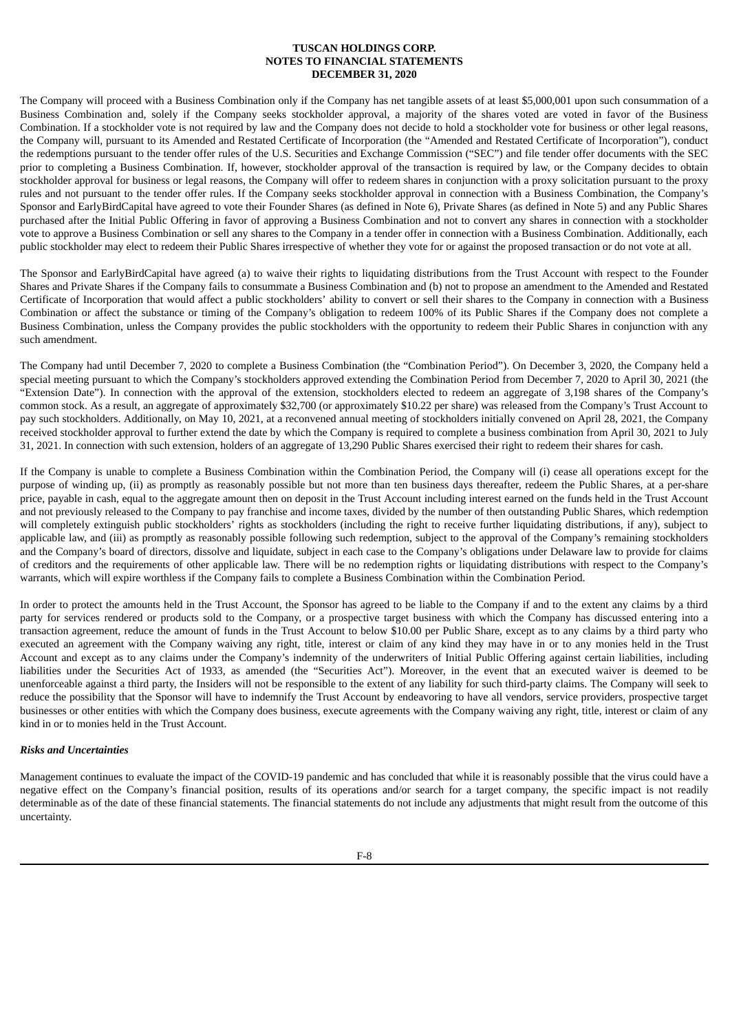The Company will proceed with a Business Combination only if the Company has net tangible assets of at least \$5,000,001 upon such consummation of a Business Combination and, solely if the Company seeks stockholder approval, a majority of the shares voted are voted in favor of the Business Combination. If a stockholder vote is not required by law and the Company does not decide to hold a stockholder vote for business or other legal reasons, the Company will, pursuant to its Amended and Restated Certificate of Incorporation (the "Amended and Restated Certificate of Incorporation"), conduct the redemptions pursuant to the tender offer rules of the U.S. Securities and Exchange Commission ("SEC") and file tender offer documents with the SEC prior to completing a Business Combination. If, however, stockholder approval of the transaction is required by law, or the Company decides to obtain stockholder approval for business or legal reasons, the Company will offer to redeem shares in conjunction with a proxy solicitation pursuant to the proxy rules and not pursuant to the tender offer rules. If the Company seeks stockholder approval in connection with a Business Combination, the Company's Sponsor and EarlyBirdCapital have agreed to vote their Founder Shares (as defined in Note 6), Private Shares (as defined in Note 5) and any Public Shares purchased after the Initial Public Offering in favor of approving a Business Combination and not to convert any shares in connection with a stockholder vote to approve a Business Combination or sell any shares to the Company in a tender offer in connection with a Business Combination. Additionally, each public stockholder may elect to redeem their Public Shares irrespective of whether they vote for or against the proposed transaction or do not vote at all.

The Sponsor and EarlyBirdCapital have agreed (a) to waive their rights to liquidating distributions from the Trust Account with respect to the Founder Shares and Private Shares if the Company fails to consummate a Business Combination and (b) not to propose an amendment to the Amended and Restated Certificate of Incorporation that would affect a public stockholders' ability to convert or sell their shares to the Company in connection with a Business Combination or affect the substance or timing of the Company's obligation to redeem 100% of its Public Shares if the Company does not complete a Business Combination, unless the Company provides the public stockholders with the opportunity to redeem their Public Shares in conjunction with any such amendment.

The Company had until December 7, 2020 to complete a Business Combination (the "Combination Period"). On December 3, 2020, the Company held a special meeting pursuant to which the Company's stockholders approved extending the Combination Period from December 7, 2020 to April 30, 2021 (the "Extension Date"). In connection with the approval of the extension, stockholders elected to redeem an aggregate of 3,198 shares of the Company's common stock. As a result, an aggregate of approximately \$32,700 (or approximately \$10.22 per share) was released from the Company's Trust Account to pay such stockholders. Additionally, on May 10, 2021, at a reconvened annual meeting of stockholders initially convened on April 28, 2021, the Company received stockholder approval to further extend the date by which the Company is required to complete a business combination from April 30, 2021 to July 31, 2021. In connection with such extension, holders of an aggregate of 13,290 Public Shares exercised their right to redeem their shares for cash.

If the Company is unable to complete a Business Combination within the Combination Period, the Company will (i) cease all operations except for the purpose of winding up, (ii) as promptly as reasonably possible but not more than ten business days thereafter, redeem the Public Shares, at a per-share price, payable in cash, equal to the aggregate amount then on deposit in the Trust Account including interest earned on the funds held in the Trust Account and not previously released to the Company to pay franchise and income taxes, divided by the number of then outstanding Public Shares, which redemption will completely extinguish public stockholders' rights as stockholders (including the right to receive further liquidating distributions, if any), subject to applicable law, and (iii) as promptly as reasonably possible following such redemption, subject to the approval of the Company's remaining stockholders and the Company's board of directors, dissolve and liquidate, subject in each case to the Company's obligations under Delaware law to provide for claims of creditors and the requirements of other applicable law. There will be no redemption rights or liquidating distributions with respect to the Company's warrants, which will expire worthless if the Company fails to complete a Business Combination within the Combination Period.

In order to protect the amounts held in the Trust Account, the Sponsor has agreed to be liable to the Company if and to the extent any claims by a third party for services rendered or products sold to the Company, or a prospective target business with which the Company has discussed entering into a transaction agreement, reduce the amount of funds in the Trust Account to below \$10.00 per Public Share, except as to any claims by a third party who executed an agreement with the Company waiving any right, title, interest or claim of any kind they may have in or to any monies held in the Trust Account and except as to any claims under the Company's indemnity of the underwriters of Initial Public Offering against certain liabilities, including liabilities under the Securities Act of 1933, as amended (the "Securities Act"). Moreover, in the event that an executed waiver is deemed to be unenforceable against a third party, the Insiders will not be responsible to the extent of any liability for such third-party claims. The Company will seek to reduce the possibility that the Sponsor will have to indemnify the Trust Account by endeavoring to have all vendors, service providers, prospective target businesses or other entities with which the Company does business, execute agreements with the Company waiving any right, title, interest or claim of any kind in or to monies held in the Trust Account.

## *Risks and Uncertainties*

Management continues to evaluate the impact of the COVID-19 pandemic and has concluded that while it is reasonably possible that the virus could have a negative effect on the Company's financial position, results of its operations and/or search for a target company, the specific impact is not readily determinable as of the date of these financial statements. The financial statements do not include any adjustments that might result from the outcome of this uncertainty.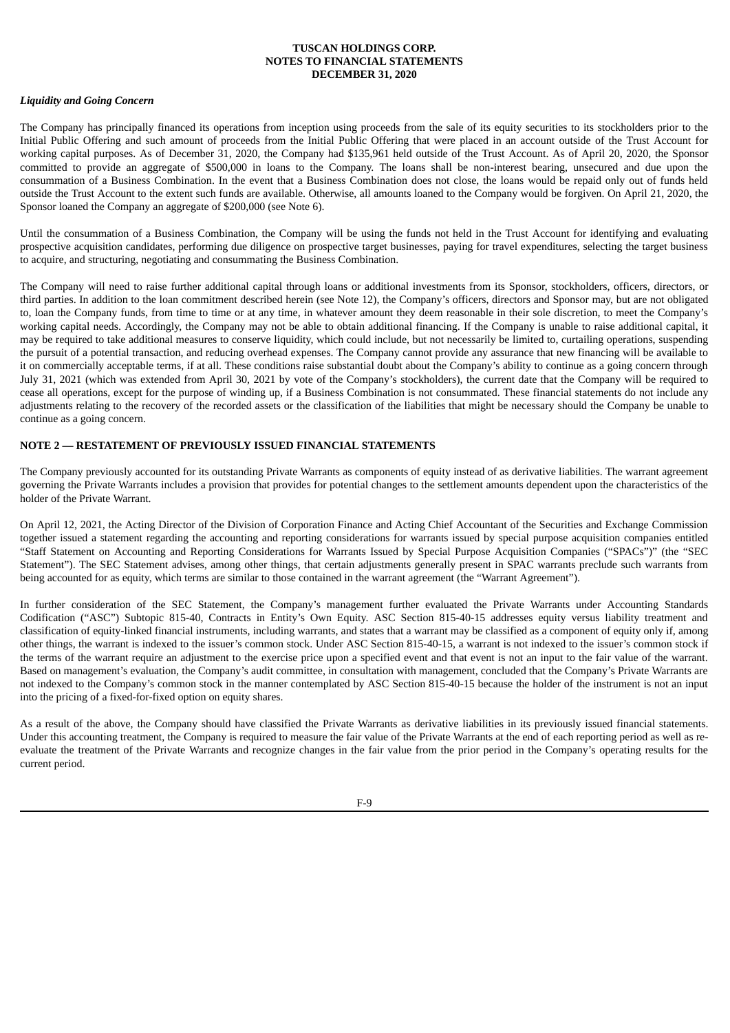## *Liquidity and Going Concern*

The Company has principally financed its operations from inception using proceeds from the sale of its equity securities to its stockholders prior to the Initial Public Offering and such amount of proceeds from the Initial Public Offering that were placed in an account outside of the Trust Account for working capital purposes. As of December 31, 2020, the Company had \$135,961 held outside of the Trust Account. As of April 20, 2020, the Sponsor committed to provide an aggregate of \$500,000 in loans to the Company. The loans shall be non-interest bearing, unsecured and due upon the consummation of a Business Combination. In the event that a Business Combination does not close, the loans would be repaid only out of funds held outside the Trust Account to the extent such funds are available. Otherwise, all amounts loaned to the Company would be forgiven. On April 21, 2020, the Sponsor loaned the Company an aggregate of \$200,000 (see Note 6).

Until the consummation of a Business Combination, the Company will be using the funds not held in the Trust Account for identifying and evaluating prospective acquisition candidates, performing due diligence on prospective target businesses, paying for travel expenditures, selecting the target business to acquire, and structuring, negotiating and consummating the Business Combination.

The Company will need to raise further additional capital through loans or additional investments from its Sponsor, stockholders, officers, directors, or third parties. In addition to the loan commitment described herein (see Note 12), the Company's officers, directors and Sponsor may, but are not obligated to, loan the Company funds, from time to time or at any time, in whatever amount they deem reasonable in their sole discretion, to meet the Company's working capital needs. Accordingly, the Company may not be able to obtain additional financing. If the Company is unable to raise additional capital, it may be required to take additional measures to conserve liquidity, which could include, but not necessarily be limited to, curtailing operations, suspending the pursuit of a potential transaction, and reducing overhead expenses. The Company cannot provide any assurance that new financing will be available to it on commercially acceptable terms, if at all. These conditions raise substantial doubt about the Company's ability to continue as a going concern through July 31, 2021 (which was extended from April 30, 2021 by vote of the Company's stockholders), the current date that the Company will be required to cease all operations, except for the purpose of winding up, if a Business Combination is not consummated. These financial statements do not include any adjustments relating to the recovery of the recorded assets or the classification of the liabilities that might be necessary should the Company be unable to continue as a going concern.

## **NOTE 2 — RESTATEMENT OF PREVIOUSLY ISSUED FINANCIAL STATEMENTS**

The Company previously accounted for its outstanding Private Warrants as components of equity instead of as derivative liabilities. The warrant agreement governing the Private Warrants includes a provision that provides for potential changes to the settlement amounts dependent upon the characteristics of the holder of the Private Warrant.

On April 12, 2021, the Acting Director of the Division of Corporation Finance and Acting Chief Accountant of the Securities and Exchange Commission together issued a statement regarding the accounting and reporting considerations for warrants issued by special purpose acquisition companies entitled "Staff Statement on Accounting and Reporting Considerations for Warrants Issued by Special Purpose Acquisition Companies ("SPACs")" (the "SEC Statement"). The SEC Statement advises, among other things, that certain adjustments generally present in SPAC warrants preclude such warrants from being accounted for as equity, which terms are similar to those contained in the warrant agreement (the "Warrant Agreement").

In further consideration of the SEC Statement, the Company's management further evaluated the Private Warrants under Accounting Standards Codification ("ASC") Subtopic 815-40, Contracts in Entity's Own Equity. ASC Section 815-40-15 addresses equity versus liability treatment and classification of equity-linked financial instruments, including warrants, and states that a warrant may be classified as a component of equity only if, among other things, the warrant is indexed to the issuer's common stock. Under ASC Section 815-40-15, a warrant is not indexed to the issuer's common stock if the terms of the warrant require an adjustment to the exercise price upon a specified event and that event is not an input to the fair value of the warrant. Based on management's evaluation, the Company's audit committee, in consultation with management, concluded that the Company's Private Warrants are not indexed to the Company's common stock in the manner contemplated by ASC Section 815-40-15 because the holder of the instrument is not an input into the pricing of a fixed-for-fixed option on equity shares.

As a result of the above, the Company should have classified the Private Warrants as derivative liabilities in its previously issued financial statements. Under this accounting treatment, the Company is required to measure the fair value of the Private Warrants at the end of each reporting period as well as reevaluate the treatment of the Private Warrants and recognize changes in the fair value from the prior period in the Company's operating results for the current period.

 $F_0$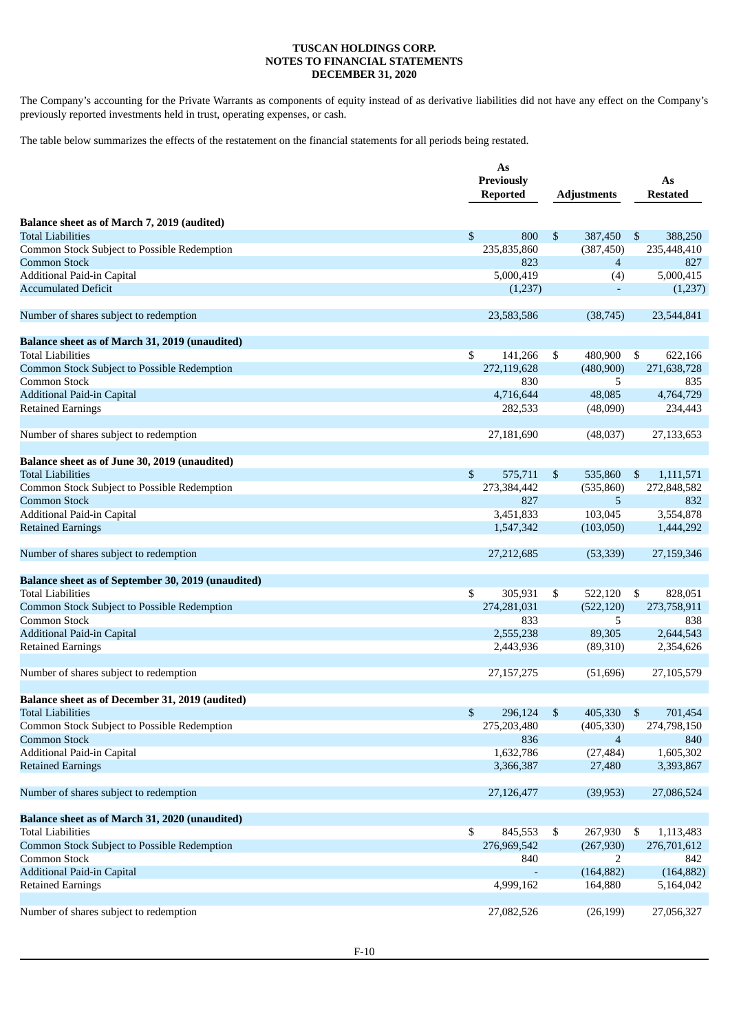The Company's accounting for the Private Warrants as components of equity instead of as derivative liabilities did not have any effect on the Company's previously reported investments held in trust, operating expenses, or cash.

The table below summarizes the effects of the restatement on the financial statements for all periods being restated.

|                                                    | As<br><b>Previously</b><br><b>Reported</b> |             | <b>Adjustments</b> |                |     | As<br><b>Restated</b> |
|----------------------------------------------------|--------------------------------------------|-------------|--------------------|----------------|-----|-----------------------|
| Balance sheet as of March 7, 2019 (audited)        |                                            |             |                    |                |     |                       |
| <b>Total Liabilities</b>                           | \$                                         | 800         | \$                 | 387,450        | -\$ | 388,250               |
| Common Stock Subject to Possible Redemption        |                                            | 235,835,860 |                    | (387, 450)     |     | 235,448,410           |
| <b>Common Stock</b>                                |                                            | 823         |                    | $\overline{4}$ |     | 827                   |
| Additional Paid-in Capital                         |                                            | 5,000,419   |                    | (4)            |     | 5,000,415             |
| <b>Accumulated Deficit</b>                         |                                            | (1,237)     |                    | $\blacksquare$ |     | (1,237)               |
| Number of shares subject to redemption             |                                            | 23,583,586  |                    | (38, 745)      |     | 23,544,841            |
| Balance sheet as of March 31, 2019 (unaudited)     |                                            |             |                    |                |     |                       |
| <b>Total Liabilities</b>                           | \$                                         | 141,266     | \$                 | 480,900        | \$  | 622,166               |
| Common Stock Subject to Possible Redemption        |                                            | 272,119,628 |                    | (480,900)      |     | 271,638,728           |
| Common Stock                                       |                                            | 830         |                    | 5              |     | 835                   |
| <b>Additional Paid-in Capital</b>                  |                                            | 4,716,644   |                    | 48,085         |     | 4,764,729             |
| <b>Retained Earnings</b>                           |                                            | 282,533     |                    | (48,090)       |     | 234,443               |
| Number of shares subject to redemption             |                                            | 27,181,690  |                    | (48,037)       |     | 27,133,653            |
| Balance sheet as of June 30, 2019 (unaudited)      |                                            |             |                    |                |     |                       |
| <b>Total Liabilities</b>                           | \$                                         | 575,711     | $\mathbb{S}$       | 535,860        | \$  | 1,111,571             |
| Common Stock Subject to Possible Redemption        |                                            | 273,384,442 |                    | (535, 860)     |     | 272,848,582           |
| <b>Common Stock</b>                                |                                            | 827         |                    | 5              |     | 832                   |
| Additional Paid-in Capital                         |                                            | 3,451,833   |                    | 103,045        |     | 3,554,878             |
| <b>Retained Earnings</b>                           |                                            | 1,547,342   |                    | (103,050)      |     | 1,444,292             |
| Number of shares subject to redemption             |                                            | 27,212,685  |                    | (53, 339)      |     | 27,159,346            |
| Balance sheet as of September 30, 2019 (unaudited) |                                            |             |                    |                |     |                       |
| <b>Total Liabilities</b>                           | \$                                         | 305,931     | \$                 | 522,120        | \$  | 828,051               |
| Common Stock Subject to Possible Redemption        |                                            | 274,281,031 |                    | (522, 120)     |     | 273,758,911           |
| Common Stock                                       |                                            | 833         |                    | 5              |     | 838                   |
| <b>Additional Paid-in Capital</b>                  |                                            | 2,555,238   |                    | 89,305         |     | 2,644,543             |
| <b>Retained Earnings</b>                           |                                            | 2,443,936   |                    | (89,310)       |     | 2,354,626             |
| Number of shares subject to redemption             |                                            | 27,157,275  |                    | (51,696)       |     | 27,105,579            |
| Balance sheet as of December 31, 2019 (audited)    |                                            |             |                    |                |     |                       |
| <b>Total Liabilities</b>                           | \$                                         | 296,124     |                    | 405,330        |     | 701,454               |
| Common Stock Subject to Possible Redemption        |                                            | 275,203,480 |                    | (405, 330)     |     | 274,798,150           |
| <b>Common Stock</b>                                |                                            | 836         |                    | $\overline{4}$ |     | 840                   |
| Additional Paid-in Capital                         |                                            | 1,632,786   |                    | (27, 484)      |     | 1,605,302             |
| <b>Retained Earnings</b>                           |                                            | 3,366,387   |                    | 27,480         |     | 3,393,867             |
| Number of shares subject to redemption             |                                            | 27,126,477  |                    | (39, 953)      |     | 27,086,524            |
| Balance sheet as of March 31, 2020 (unaudited)     |                                            |             |                    |                |     |                       |
| <b>Total Liabilities</b>                           | \$                                         | 845,553     | \$                 | 267,930        | \$  | 1,113,483             |
| Common Stock Subject to Possible Redemption        |                                            | 276,969,542 |                    | (267, 930)     |     | 276,701,612           |
| Common Stock                                       |                                            | 840         |                    | 2              |     | 842                   |
| <b>Additional Paid-in Capital</b>                  |                                            |             |                    | (164, 882)     |     | (164, 882)            |
| <b>Retained Earnings</b>                           |                                            | 4,999,162   |                    | 164,880        |     | 5,164,042             |
| Number of shares subject to redemption             |                                            | 27,082,526  |                    | (26, 199)      |     | 27,056,327            |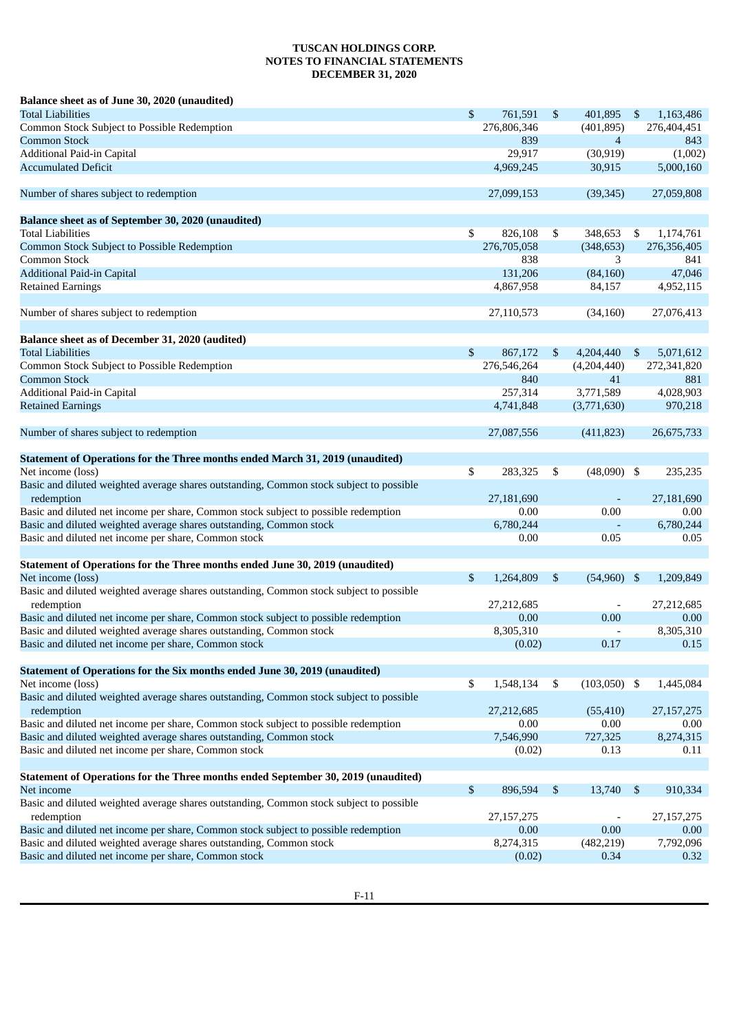| Balance sheet as of June 30, 2020 (unaudited)                                                         |                 |      |                          |                           |              |
|-------------------------------------------------------------------------------------------------------|-----------------|------|--------------------------|---------------------------|--------------|
| Total Liabilities                                                                                     | \$<br>761,591   | \$   | 401,895                  | \$                        | 1,163,486    |
| Common Stock Subject to Possible Redemption                                                           | 276,806,346     |      | (401, 895)               |                           | 276,404,451  |
| <b>Common Stock</b>                                                                                   | 839             |      | 4                        |                           | 843          |
| Additional Paid-in Capital                                                                            | 29,917          |      | (30, 919)                |                           | (1,002)      |
| <b>Accumulated Deficit</b>                                                                            | 4,969,245       |      | 30,915                   |                           | 5,000,160    |
| Number of shares subject to redemption                                                                | 27,099,153      |      | (39, 345)                |                           | 27,059,808   |
| Balance sheet as of September 30, 2020 (unaudited)                                                    |                 |      |                          |                           |              |
| <b>Total Liabilities</b>                                                                              | \$<br>826,108   | \$   | 348,653                  | \$                        | 1,174,761    |
| Common Stock Subject to Possible Redemption                                                           | 276,705,058     |      | (348, 653)               |                           | 276,356,405  |
| Common Stock                                                                                          | 838             |      | 3                        |                           | 841          |
| <b>Additional Paid-in Capital</b>                                                                     | 131,206         |      | (84, 160)                |                           | 47,046       |
| <b>Retained Earnings</b>                                                                              | 4,867,958       |      | 84,157                   |                           | 4,952,115    |
| Number of shares subject to redemption                                                                | 27,110,573      |      | (34, 160)                |                           | 27,076,413   |
| Balance sheet as of December 31, 2020 (audited)                                                       |                 |      |                          |                           |              |
| <b>Total Liabilities</b>                                                                              | \$<br>867,172   | \$   | 4,204,440                | \$                        | 5,071,612    |
| Common Stock Subject to Possible Redemption                                                           | 276,546,264     |      | (4,204,440)              |                           | 272,341,820  |
| <b>Common Stock</b>                                                                                   | 840             |      | 41                       |                           | 881          |
| Additional Paid-in Capital                                                                            | 257,314         |      | 3,771,589                |                           | 4,028,903    |
| <b>Retained Earnings</b>                                                                              | 4,741,848       |      | (3,771,630)              |                           | 970,218      |
| Number of shares subject to redemption                                                                | 27,087,556      |      | (411, 823)               |                           | 26,675,733   |
|                                                                                                       |                 |      |                          |                           |              |
| Statement of Operations for the Three months ended March 31, 2019 (unaudited)                         |                 |      |                          |                           |              |
| Net income (loss)                                                                                     | \$<br>283,325   | \$   | $(48,090)$ \$            |                           | 235,235      |
| Basic and diluted weighted average shares outstanding, Common stock subject to possible<br>redemption | 27,181,690      |      |                          |                           | 27,181,690   |
| Basic and diluted net income per share, Common stock subject to possible redemption                   | 0.00            |      | 0.00                     |                           | 0.00         |
| Basic and diluted weighted average shares outstanding, Common stock                                   | 6,780,244       |      | $\blacksquare$           |                           | 6,780,244    |
| Basic and diluted net income per share, Common stock                                                  | 0.00            |      | 0.05                     |                           | 0.05         |
| Statement of Operations for the Three months ended June 30, 2019 (unaudited)                          |                 |      |                          |                           |              |
| Net income (loss)                                                                                     | \$<br>1,264,809 | \$   | $(54,960)$ \$            |                           | 1,209,849    |
| Basic and diluted weighted average shares outstanding, Common stock subject to possible<br>redemption | 27,212,685      |      | $\overline{\phantom{a}}$ |                           | 27,212,685   |
| Basic and diluted net income per share, Common stock subject to possible redemption                   | 0.00            |      | 0.00                     |                           | 0.00         |
| Basic and diluted weighted average shares outstanding, Common stock                                   | 8,305,310       |      | $\overline{\phantom{a}}$ |                           | 8,305,310    |
| Basic and diluted net income per share, Common stock                                                  | (0.02)          |      | $0.17\,$                 |                           | 0.15         |
|                                                                                                       |                 |      |                          |                           |              |
| Statement of Operations for the Six months ended June 30, 2019 (unaudited)                            |                 |      |                          |                           |              |
| Net income (loss)                                                                                     | \$<br>1,548,134 | $\$$ | $(103,050)$ \$           |                           | 1,445,084    |
| Basic and diluted weighted average shares outstanding, Common stock subject to possible<br>redemption | 27,212,685      |      | (55, 410)                |                           | 27, 157, 275 |
| Basic and diluted net income per share, Common stock subject to possible redemption                   | 0.00            |      | 0.00                     |                           | 0.00         |
| Basic and diluted weighted average shares outstanding, Common stock                                   | 7,546,990       |      | 727,325                  |                           | 8,274,315    |
| Basic and diluted net income per share, Common stock                                                  | (0.02)          |      | 0.13                     |                           | 0.11         |
|                                                                                                       |                 |      |                          |                           |              |
| Statement of Operations for the Three months ended September 30, 2019 (unaudited)                     |                 |      |                          |                           |              |
| Net income                                                                                            | \$<br>896,594   | \$   | 13,740                   | $\boldsymbol{\mathsf{S}}$ | 910,334      |
| Basic and diluted weighted average shares outstanding, Common stock subject to possible               |                 |      |                          |                           |              |
| redemption                                                                                            | 27, 157, 275    |      |                          |                           | 27, 157, 275 |
| Basic and diluted net income per share, Common stock subject to possible redemption                   | 0.00            |      | 0.00                     |                           | 0.00         |
| Basic and diluted weighted average shares outstanding, Common stock                                   | 8,274,315       |      | (482, 219)               |                           | 7,792,096    |
| Basic and diluted net income per share, Common stock                                                  | (0.02)          |      | 0.34                     |                           | 0.32         |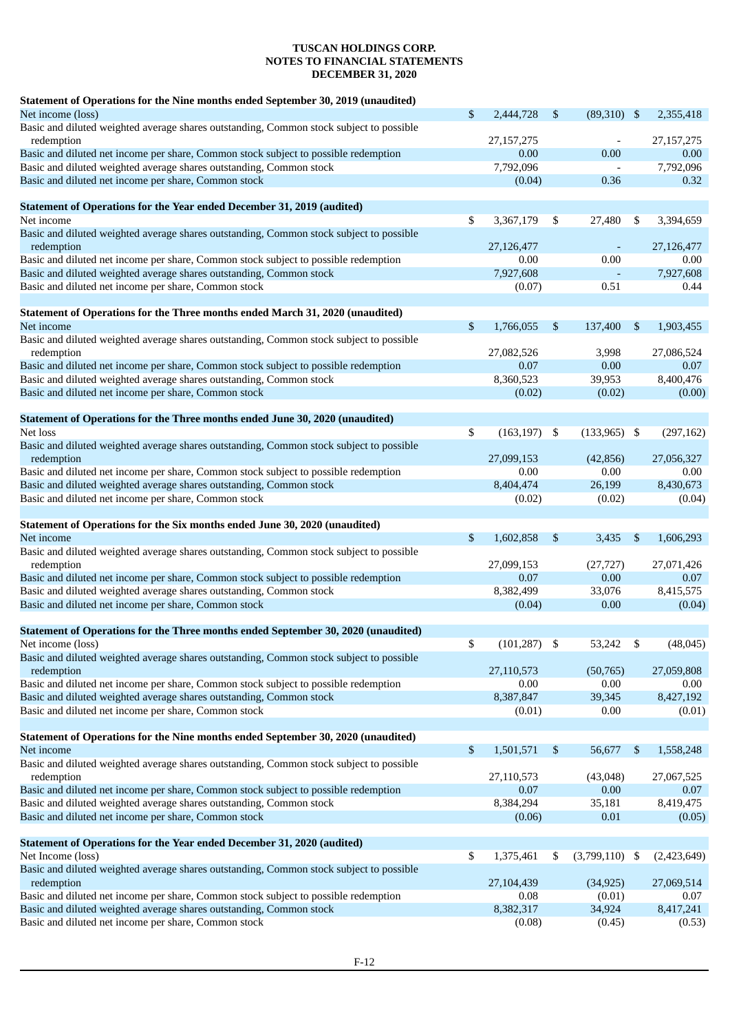| Statement of Operations for the Nine months ended September 30, 2019 (unaudited)                                            |              |              |                          |     |              |
|-----------------------------------------------------------------------------------------------------------------------------|--------------|--------------|--------------------------|-----|--------------|
| Net income (loss)                                                                                                           | \$           | 2,444,728    | \$<br>$(89,310)$ \$      |     | 2,355,418    |
| Basic and diluted weighted average shares outstanding, Common stock subject to possible                                     |              |              |                          |     |              |
| redemption                                                                                                                  |              | 27, 157, 275 | $\overline{\phantom{a}}$ |     | 27, 157, 275 |
| Basic and diluted net income per share, Common stock subject to possible redemption                                         |              | 0.00         | 0.00                     |     | 0.00         |
| Basic and diluted weighted average shares outstanding, Common stock                                                         |              | 7,792,096    | $\overline{\phantom{a}}$ |     | 7,792,096    |
| Basic and diluted net income per share, Common stock                                                                        |              | (0.04)       | 0.36                     |     | 0.32         |
| <b>Statement of Operations for the Year ended December 31, 2019 (audited)</b>                                               |              |              |                          |     |              |
| Net income                                                                                                                  | \$           | 3,367,179    | \$<br>27,480             | \$  | 3,394,659    |
| Basic and diluted weighted average shares outstanding, Common stock subject to possible                                     |              |              |                          |     |              |
| redemption                                                                                                                  |              | 27,126,477   |                          |     | 27,126,477   |
| Basic and diluted net income per share, Common stock subject to possible redemption                                         |              | 0.00         | 0.00                     |     | 0.00         |
| Basic and diluted weighted average shares outstanding, Common stock                                                         |              | 7,927,608    |                          |     | 7,927,608    |
| Basic and diluted net income per share, Common stock                                                                        |              | (0.07)       | 0.51                     |     | 0.44         |
|                                                                                                                             |              |              |                          |     |              |
| Statement of Operations for the Three months ended March 31, 2020 (unaudited)<br>Net income                                 | \$           | 1,766,055    | \$<br>137,400            | \$  | 1,903,455    |
| Basic and diluted weighted average shares outstanding, Common stock subject to possible                                     |              |              |                          |     |              |
| redemption                                                                                                                  |              | 27,082,526   | 3,998                    |     | 27,086,524   |
| Basic and diluted net income per share, Common stock subject to possible redemption                                         |              | 0.07         | 0.00                     |     | 0.07         |
| Basic and diluted weighted average shares outstanding, Common stock                                                         |              | 8,360,523    | 39,953                   |     | 8,400,476    |
| Basic and diluted net income per share, Common stock                                                                        |              | (0.02)       | (0.02)                   |     | (0.00)       |
|                                                                                                                             |              |              |                          |     |              |
| Statement of Operations for the Three months ended June 30, 2020 (unaudited)                                                |              |              |                          |     |              |
| Net loss                                                                                                                    | \$           | (163, 197)   | \$<br>$(133,965)$ \$     |     | (297, 162)   |
| Basic and diluted weighted average shares outstanding, Common stock subject to possible                                     |              |              |                          |     |              |
| redemption                                                                                                                  |              | 27,099,153   | (42, 856)                |     | 27,056,327   |
| Basic and diluted net income per share, Common stock subject to possible redemption                                         |              | 0.00         | 0.00                     |     | 0.00         |
| Basic and diluted weighted average shares outstanding, Common stock<br>Basic and diluted net income per share, Common stock |              | 8,404,474    | 26,199                   |     | 8,430,673    |
|                                                                                                                             |              | (0.02)       | (0.02)                   |     | (0.04)       |
| Statement of Operations for the Six months ended June 30, 2020 (unaudited)                                                  |              |              |                          |     |              |
| Net income                                                                                                                  | \$           | 1,602,858    | \$<br>3,435              | \$  | 1,606,293    |
| Basic and diluted weighted average shares outstanding, Common stock subject to possible                                     |              |              |                          |     |              |
| redemption                                                                                                                  |              | 27,099,153   | (27, 727)                |     | 27,071,426   |
| Basic and diluted net income per share, Common stock subject to possible redemption                                         |              | 0.07         | 0.00                     |     | 0.07         |
| Basic and diluted weighted average shares outstanding, Common stock                                                         |              | 8,382,499    | 33,076                   |     | 8,415,575    |
| Basic and diluted net income per share, Common stock                                                                        |              | (0.04)       | 0.00                     |     | (0.04)       |
|                                                                                                                             |              |              |                          |     |              |
| Statement of Operations for the Three months ended September 30, 2020 (unaudited)<br>Net income (loss)                      | \$           | (101, 287)   | 53,242                   |     | (48, 045)    |
| Basic and diluted weighted average shares outstanding, Common stock subject to possible                                     |              |              |                          |     |              |
| redemption                                                                                                                  |              | 27,110,573   | (50, 765)                |     | 27,059,808   |
| Basic and diluted net income per share, Common stock subject to possible redemption                                         |              | 0.00         | 0.00                     |     | 0.00         |
| Basic and diluted weighted average shares outstanding, Common stock                                                         |              | 8,387,847    | 39,345                   |     | 8,427,192    |
| Basic and diluted net income per share, Common stock                                                                        |              | (0.01)       | 0.00                     |     | (0.01)       |
|                                                                                                                             |              |              |                          |     |              |
| Statement of Operations for the Nine months ended September 30, 2020 (unaudited)                                            |              |              |                          |     |              |
| Net income                                                                                                                  | $\mathbb{S}$ | 1,501,571    | \$<br>56,677             | \$  | 1,558,248    |
| Basic and diluted weighted average shares outstanding, Common stock subject to possible                                     |              |              |                          |     |              |
| redemption                                                                                                                  |              | 27,110,573   | (43,048)                 |     | 27,067,525   |
| Basic and diluted net income per share, Common stock subject to possible redemption                                         |              | 0.07         | 0.00                     |     | 0.07         |
| Basic and diluted weighted average shares outstanding, Common stock                                                         |              | 8,384,294    | 35,181                   |     | 8,419,475    |
| Basic and diluted net income per share, Common stock                                                                        |              | (0.06)       | 0.01                     |     | (0.05)       |
| Statement of Operations for the Year ended December 31, 2020 (audited)                                                      |              |              |                          |     |              |
| Net Income (loss)                                                                                                           | \$           | 1,375,461    | \$<br>(3,799,110)        | -\$ | (2,423,649)  |
| Basic and diluted weighted average shares outstanding, Common stock subject to possible                                     |              |              |                          |     |              |
| redemption                                                                                                                  |              | 27,104,439   | (34, 925)                |     | 27,069,514   |
| Basic and diluted net income per share, Common stock subject to possible redemption                                         |              | 0.08         | (0.01)                   |     | 0.07         |
| Basic and diluted weighted average shares outstanding, Common stock                                                         |              | 8,382,317    | 34,924                   |     | 8,417,241    |
| Basic and diluted net income per share, Common stock                                                                        |              | (0.08)       | (0.45)                   |     | (0.53)       |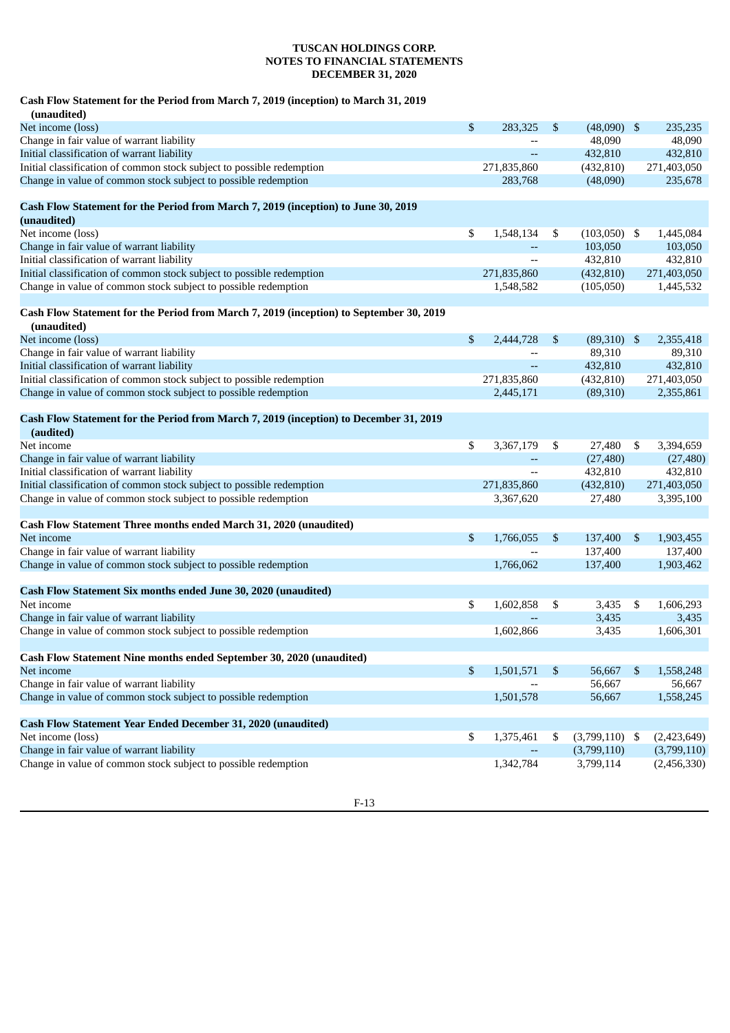### **Cash Flow Statement for the Period from March 7, 2019 (inception) to March 31, 2019**

| (unaudited)                                                                                            |                 |    |                  |     |             |
|--------------------------------------------------------------------------------------------------------|-----------------|----|------------------|-----|-------------|
| Net income (loss)                                                                                      | \$<br>283,325   | \$ | (48,090)         | -\$ | 235,235     |
| Change in fair value of warrant liability                                                              |                 |    | 48,090           |     | 48,090      |
| Initial classification of warrant liability                                                            |                 |    | 432,810          |     | 432,810     |
| Initial classification of common stock subject to possible redemption                                  | 271,835,860     |    | (432, 810)       |     | 271,403,050 |
| Change in value of common stock subject to possible redemption                                         | 283,768         |    | (48,090)         |     | 235,678     |
| Cash Flow Statement for the Period from March 7, 2019 (inception) to June 30, 2019                     |                 |    |                  |     |             |
| (unaudited)                                                                                            |                 |    |                  |     |             |
| Net income (loss)                                                                                      | \$<br>1,548,134 | \$ | $(103,050)$ \$   |     | 1,445,084   |
| Change in fair value of warrant liability                                                              |                 |    | 103,050          |     | 103,050     |
| Initial classification of warrant liability                                                            |                 |    | 432,810          |     | 432,810     |
| Initial classification of common stock subject to possible redemption                                  | 271,835,860     |    | (432, 810)       |     | 271,403,050 |
| Change in value of common stock subject to possible redemption                                         | 1,548,582       |    | (105,050)        |     | 1,445,532   |
| Cash Flow Statement for the Period from March 7, 2019 (inception) to September 30, 2019<br>(unaudited) |                 |    |                  |     |             |
| Net income (loss)                                                                                      | \$<br>2,444,728 | \$ | (89,310)         | -\$ | 2,355,418   |
| Change in fair value of warrant liability                                                              |                 |    | 89,310           |     | 89,310      |
| Initial classification of warrant liability                                                            |                 |    | 432,810          |     | 432,810     |
| Initial classification of common stock subject to possible redemption                                  | 271,835,860     |    | (432, 810)       |     | 271,403,050 |
| Change in value of common stock subject to possible redemption                                         | 2,445,171       |    | (89,310)         |     | 2,355,861   |
| Cash Flow Statement for the Period from March 7, 2019 (inception) to December 31, 2019<br>(audited)    |                 |    |                  |     |             |
| Net income                                                                                             | \$<br>3,367,179 | \$ | 27,480           | \$  | 3,394,659   |
| Change in fair value of warrant liability                                                              |                 |    | (27, 480)        |     | (27, 480)   |
| Initial classification of warrant liability                                                            |                 |    | 432,810          |     | 432,810     |
| Initial classification of common stock subject to possible redemption                                  | 271,835,860     |    | (432, 810)       |     | 271,403,050 |
| Change in value of common stock subject to possible redemption                                         | 3,367,620       |    | 27,480           |     | 3,395,100   |
| Cash Flow Statement Three months ended March 31, 2020 (unaudited)                                      |                 |    |                  |     |             |
| Net income                                                                                             | \$<br>1,766,055 | \$ | 137,400          | \$  | 1,903,455   |
| Change in fair value of warrant liability                                                              |                 |    | 137,400          |     | 137,400     |
| Change in value of common stock subject to possible redemption                                         | 1,766,062       |    | 137,400          |     | 1,903,462   |
| Cash Flow Statement Six months ended June 30, 2020 (unaudited)                                         |                 |    |                  |     |             |
| Net income                                                                                             | \$<br>1,602,858 | \$ | 3,435            | \$  | 1,606,293   |
| Change in fair value of warrant liability                                                              |                 |    | 3,435            |     | 3,435       |
| Change in value of common stock subject to possible redemption                                         | 1,602,866       |    | 3,435            |     | 1,606,301   |
| Cash Flow Statement Nine months ended September 30, 2020 (unaudited)                                   |                 |    |                  |     |             |
| Net income                                                                                             | \$<br>1,501,571 | \$ | 56,667           | \$  | 1,558,248   |
| Change in fair value of warrant liability                                                              |                 |    | 56,667           |     | 56,667      |
| Change in value of common stock subject to possible redemption                                         | 1,501,578       |    | 56,667           |     | 1,558,245   |
|                                                                                                        |                 |    |                  |     |             |
| <b>Cash Flow Statement Year Ended December 31, 2020 (unaudited)</b>                                    |                 |    |                  |     |             |
| Net income (loss)                                                                                      | \$<br>1,375,461 | S  | $(3,799,110)$ \$ |     | (2,423,649) |
| Change in fair value of warrant liability                                                              |                 |    | (3,799,110)      |     | (3,799,110) |
| Change in value of common stock subject to possible redemption                                         | 1,342,784       |    | 3,799,114        |     | (2,456,330) |

F-13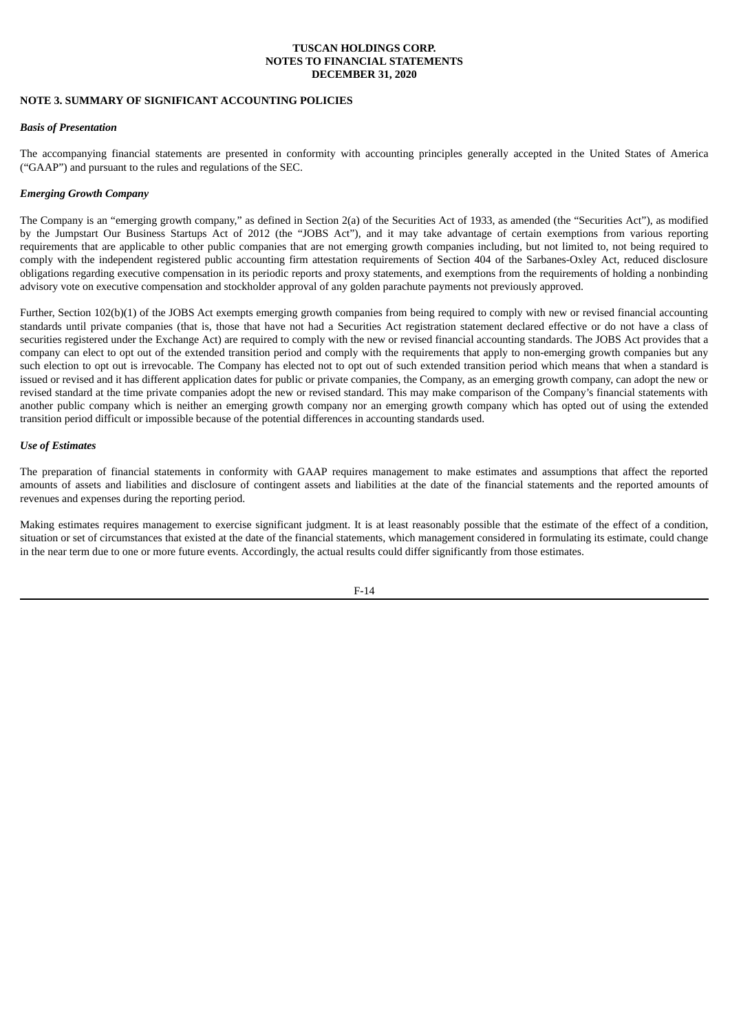## **NOTE 3. SUMMARY OF SIGNIFICANT ACCOUNTING POLICIES**

### *Basis of Presentation*

The accompanying financial statements are presented in conformity with accounting principles generally accepted in the United States of America ("GAAP") and pursuant to the rules and regulations of the SEC.

## *Emerging Growth Company*

The Company is an "emerging growth company," as defined in Section 2(a) of the Securities Act of 1933, as amended (the "Securities Act"), as modified by the Jumpstart Our Business Startups Act of 2012 (the "JOBS Act"), and it may take advantage of certain exemptions from various reporting requirements that are applicable to other public companies that are not emerging growth companies including, but not limited to, not being required to comply with the independent registered public accounting firm attestation requirements of Section 404 of the Sarbanes-Oxley Act, reduced disclosure obligations regarding executive compensation in its periodic reports and proxy statements, and exemptions from the requirements of holding a nonbinding advisory vote on executive compensation and stockholder approval of any golden parachute payments not previously approved.

Further, Section 102(b)(1) of the JOBS Act exempts emerging growth companies from being required to comply with new or revised financial accounting standards until private companies (that is, those that have not had a Securities Act registration statement declared effective or do not have a class of securities registered under the Exchange Act) are required to comply with the new or revised financial accounting standards. The JOBS Act provides that a company can elect to opt out of the extended transition period and comply with the requirements that apply to non-emerging growth companies but any such election to opt out is irrevocable. The Company has elected not to opt out of such extended transition period which means that when a standard is issued or revised and it has different application dates for public or private companies, the Company, as an emerging growth company, can adopt the new or revised standard at the time private companies adopt the new or revised standard. This may make comparison of the Company's financial statements with another public company which is neither an emerging growth company nor an emerging growth company which has opted out of using the extended transition period difficult or impossible because of the potential differences in accounting standards used.

### *Use of Estimates*

The preparation of financial statements in conformity with GAAP requires management to make estimates and assumptions that affect the reported amounts of assets and liabilities and disclosure of contingent assets and liabilities at the date of the financial statements and the reported amounts of revenues and expenses during the reporting period.

Making estimates requires management to exercise significant judgment. It is at least reasonably possible that the estimate of the effect of a condition, situation or set of circumstances that existed at the date of the financial statements, which management considered in formulating its estimate, could change in the near term due to one or more future events. Accordingly, the actual results could differ significantly from those estimates.

F-14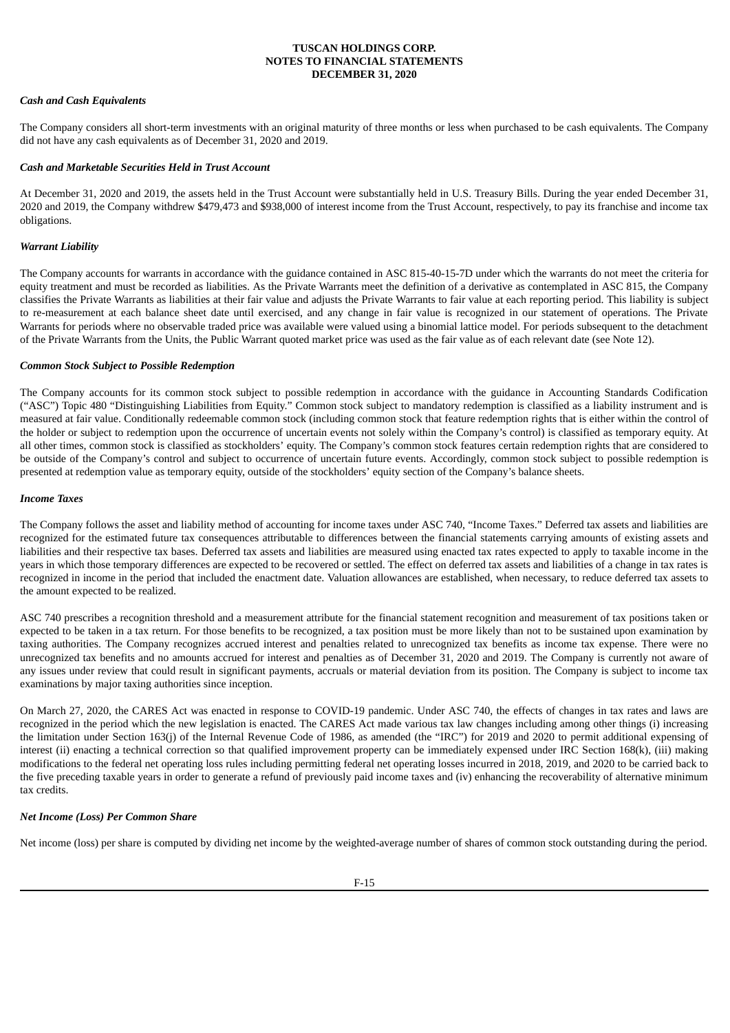## *Cash and Cash Equivalents*

The Company considers all short-term investments with an original maturity of three months or less when purchased to be cash equivalents. The Company did not have any cash equivalents as of December 31, 2020 and 2019.

### *Cash and Marketable Securities Held in Trust Account*

At December 31, 2020 and 2019, the assets held in the Trust Account were substantially held in U.S. Treasury Bills. During the year ended December 31, 2020 and 2019, the Company withdrew \$479,473 and \$938,000 of interest income from the Trust Account, respectively, to pay its franchise and income tax obligations.

### *Warrant Liability*

The Company accounts for warrants in accordance with the guidance contained in ASC 815-40-15-7D under which the warrants do not meet the criteria for equity treatment and must be recorded as liabilities. As the Private Warrants meet the definition of a derivative as contemplated in ASC 815, the Company classifies the Private Warrants as liabilities at their fair value and adjusts the Private Warrants to fair value at each reporting period. This liability is subject to re-measurement at each balance sheet date until exercised, and any change in fair value is recognized in our statement of operations. The Private Warrants for periods where no observable traded price was available were valued using a binomial lattice model. For periods subsequent to the detachment of the Private Warrants from the Units, the Public Warrant quoted market price was used as the fair value as of each relevant date (see Note 12).

### *Common Stock Subject to Possible Redemption*

The Company accounts for its common stock subject to possible redemption in accordance with the guidance in Accounting Standards Codification ("ASC") Topic 480 "Distinguishing Liabilities from Equity." Common stock subject to mandatory redemption is classified as a liability instrument and is measured at fair value. Conditionally redeemable common stock (including common stock that feature redemption rights that is either within the control of the holder or subject to redemption upon the occurrence of uncertain events not solely within the Company's control) is classified as temporary equity. At all other times, common stock is classified as stockholders' equity. The Company's common stock features certain redemption rights that are considered to be outside of the Company's control and subject to occurrence of uncertain future events. Accordingly, common stock subject to possible redemption is presented at redemption value as temporary equity, outside of the stockholders' equity section of the Company's balance sheets.

#### *Income Taxes*

The Company follows the asset and liability method of accounting for income taxes under ASC 740, "Income Taxes." Deferred tax assets and liabilities are recognized for the estimated future tax consequences attributable to differences between the financial statements carrying amounts of existing assets and liabilities and their respective tax bases. Deferred tax assets and liabilities are measured using enacted tax rates expected to apply to taxable income in the years in which those temporary differences are expected to be recovered or settled. The effect on deferred tax assets and liabilities of a change in tax rates is recognized in income in the period that included the enactment date. Valuation allowances are established, when necessary, to reduce deferred tax assets to the amount expected to be realized.

ASC 740 prescribes a recognition threshold and a measurement attribute for the financial statement recognition and measurement of tax positions taken or expected to be taken in a tax return. For those benefits to be recognized, a tax position must be more likely than not to be sustained upon examination by taxing authorities. The Company recognizes accrued interest and penalties related to unrecognized tax benefits as income tax expense. There were no unrecognized tax benefits and no amounts accrued for interest and penalties as of December 31, 2020 and 2019. The Company is currently not aware of any issues under review that could result in significant payments, accruals or material deviation from its position. The Company is subject to income tax examinations by major taxing authorities since inception.

On March 27, 2020, the CARES Act was enacted in response to COVID-19 pandemic. Under ASC 740, the effects of changes in tax rates and laws are recognized in the period which the new legislation is enacted. The CARES Act made various tax law changes including among other things (i) increasing the limitation under Section 163(j) of the Internal Revenue Code of 1986, as amended (the "IRC") for 2019 and 2020 to permit additional expensing of interest (ii) enacting a technical correction so that qualified improvement property can be immediately expensed under IRC Section 168(k), (iii) making modifications to the federal net operating loss rules including permitting federal net operating losses incurred in 2018, 2019, and 2020 to be carried back to the five preceding taxable years in order to generate a refund of previously paid income taxes and (iv) enhancing the recoverability of alternative minimum tax credits.

## *Net Income (Loss) Per Common Share*

Net income (loss) per share is computed by dividing net income by the weighted-average number of shares of common stock outstanding during the period.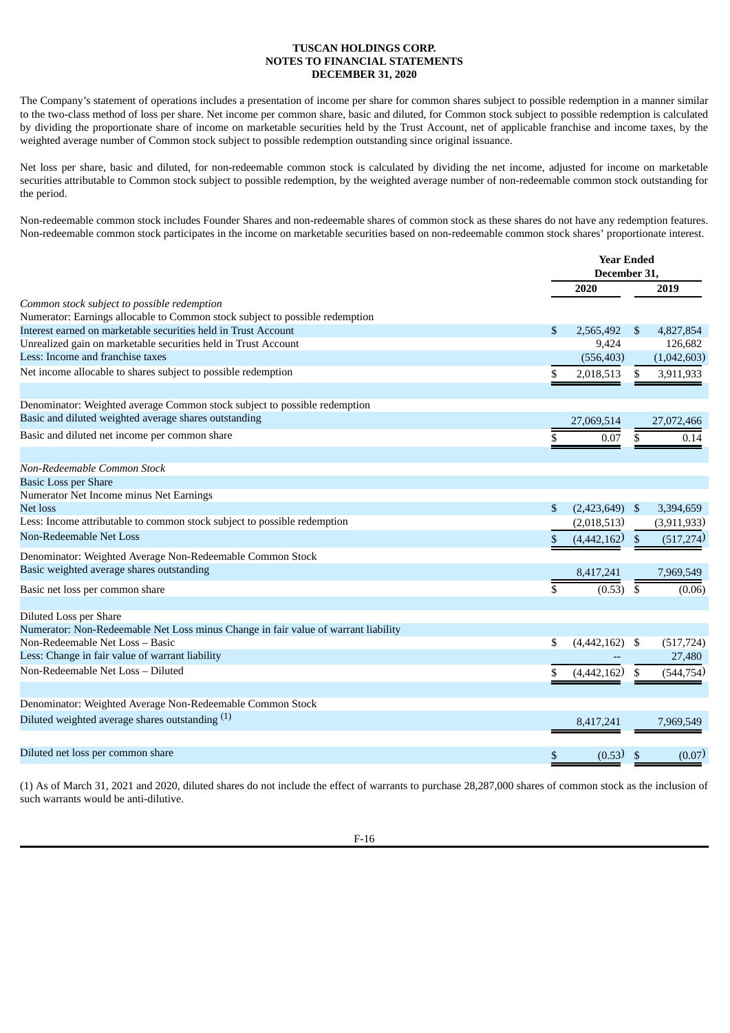The Company's statement of operations includes a presentation of income per share for common shares subject to possible redemption in a manner similar to the two-class method of loss per share. Net income per common share, basic and diluted, for Common stock subject to possible redemption is calculated by dividing the proportionate share of income on marketable securities held by the Trust Account, net of applicable franchise and income taxes, by the weighted average number of Common stock subject to possible redemption outstanding since original issuance.

Net loss per share, basic and diluted, for non-redeemable common stock is calculated by dividing the net income, adjusted for income on marketable securities attributable to Common stock subject to possible redemption, by the weighted average number of non-redeemable common stock outstanding for the period.

Non-redeemable common stock includes Founder Shares and non-redeemable shares of common stock as these shares do not have any redemption features. Non-redeemable common stock participates in the income on marketable securities based on non-redeemable common stock shares' proportionate interest.

|                                                                                    | <b>Year Ended</b><br>December 31, |     |             |
|------------------------------------------------------------------------------------|-----------------------------------|-----|-------------|
|                                                                                    | 2020                              |     | 2019        |
| Common stock subject to possible redemption                                        |                                   |     |             |
| Numerator: Earnings allocable to Common stock subject to possible redemption       |                                   |     |             |
| Interest earned on marketable securities held in Trust Account                     | \$<br>2,565,492                   | \$. | 4,827,854   |
| Unrealized gain on marketable securities held in Trust Account                     | 9,424                             |     | 126,682     |
| Less: Income and franchise taxes                                                   | (556, 403)                        |     | (1,042,603) |
| Net income allocable to shares subject to possible redemption                      | \$<br>2,018,513                   | \$  | 3,911,933   |
| Denominator: Weighted average Common stock subject to possible redemption          |                                   |     |             |
| Basic and diluted weighted average shares outstanding                              | 27,069,514                        |     | 27,072,466  |
| Basic and diluted net income per common share                                      | \$<br>0.07                        | \$  | 0.14        |
| Non-Redeemable Common Stock                                                        |                                   |     |             |
| <b>Basic Loss per Share</b>                                                        |                                   |     |             |
| Numerator Net Income minus Net Earnings                                            |                                   |     |             |
| Net loss                                                                           | \$<br>$(2,423,649)$ \$            |     | 3,394,659   |
| Less: Income attributable to common stock subject to possible redemption           | (2,018,513)                       |     | (3,911,933) |
| Non-Redeemable Net Loss                                                            | \$<br>(4,442,162)                 |     | (517, 274)  |
| Denominator: Weighted Average Non-Redeemable Common Stock                          |                                   |     |             |
| Basic weighted average shares outstanding                                          | 8,417,241                         |     | 7,969,549   |
| Basic net loss per common share                                                    | (0.53)                            | \$  | (0.06)      |
| Diluted Loss per Share                                                             |                                   |     |             |
| Numerator: Non-Redeemable Net Loss minus Change in fair value of warrant liability |                                   |     |             |
| Non-Redeemable Net Loss - Basic                                                    | \$<br>$(4,442,162)$ \$            |     | (517, 724)  |
| Less: Change in fair value of warrant liability                                    |                                   |     | 27,480      |
| Non-Redeemable Net Loss - Diluted                                                  | \$<br>(4,442,162)                 |     | (544, 754)  |
| Denominator: Weighted Average Non-Redeemable Common Stock                          |                                   |     |             |
| Diluted weighted average shares outstanding (1)                                    | 8,417,241                         |     | 7,969,549   |
| Diluted net loss per common share                                                  | \$<br>(0.53)                      | \$  | (0.07)      |
|                                                                                    |                                   |     |             |

(1) As of March 31, 2021 and 2020, diluted shares do not include the effect of warrants to purchase 28,287,000 shares of common stock as the inclusion of such warrants would be anti-dilutive.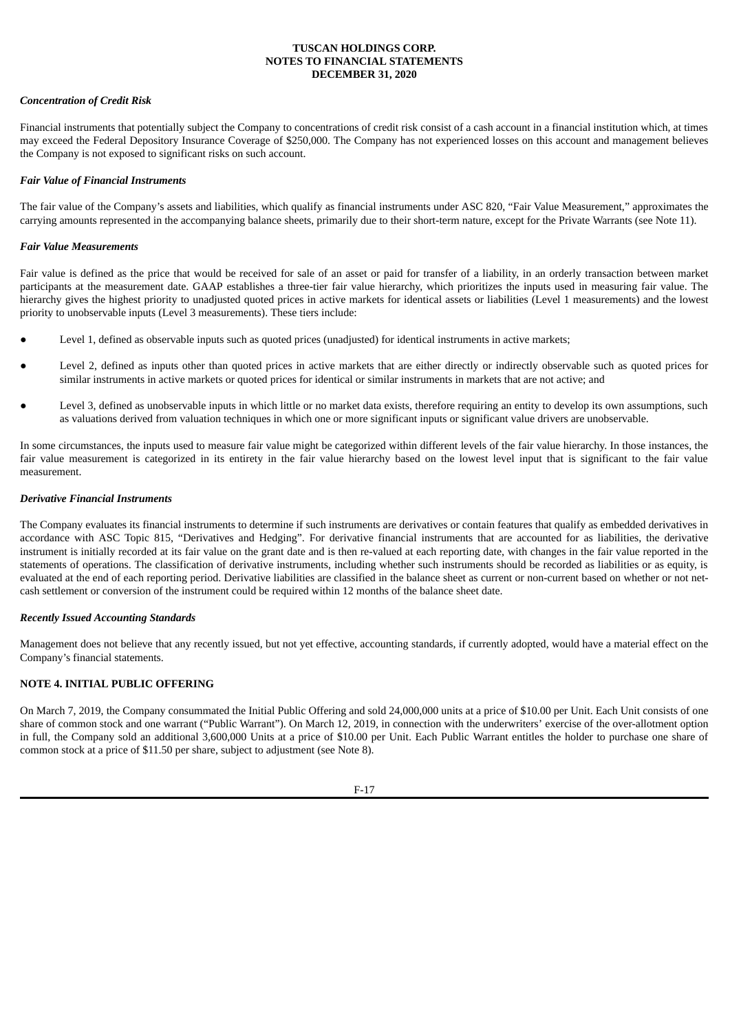## *Concentration of Credit Risk*

Financial instruments that potentially subject the Company to concentrations of credit risk consist of a cash account in a financial institution which, at times may exceed the Federal Depository Insurance Coverage of \$250,000. The Company has not experienced losses on this account and management believes the Company is not exposed to significant risks on such account.

## *Fair Value of Financial Instruments*

The fair value of the Company's assets and liabilities, which qualify as financial instruments under ASC 820, "Fair Value Measurement," approximates the carrying amounts represented in the accompanying balance sheets, primarily due to their short-term nature, except for the Private Warrants (see Note 11).

## *Fair Value Measurements*

Fair value is defined as the price that would be received for sale of an asset or paid for transfer of a liability, in an orderly transaction between market participants at the measurement date. GAAP establishes a three-tier fair value hierarchy, which prioritizes the inputs used in measuring fair value. The hierarchy gives the highest priority to unadjusted quoted prices in active markets for identical assets or liabilities (Level 1 measurements) and the lowest priority to unobservable inputs (Level 3 measurements). These tiers include:

- Level 1, defined as observable inputs such as quoted prices (unadjusted) for identical instruments in active markets;
- Level 2, defined as inputs other than quoted prices in active markets that are either directly or indirectly observable such as quoted prices for similar instruments in active markets or quoted prices for identical or similar instruments in markets that are not active; and
- Level 3, defined as unobservable inputs in which little or no market data exists, therefore requiring an entity to develop its own assumptions, such as valuations derived from valuation techniques in which one or more significant inputs or significant value drivers are unobservable.

In some circumstances, the inputs used to measure fair value might be categorized within different levels of the fair value hierarchy. In those instances, the fair value measurement is categorized in its entirety in the fair value hierarchy based on the lowest level input that is significant to the fair value measurement.

## *Derivative Financial Instruments*

The Company evaluates its financial instruments to determine if such instruments are derivatives or contain features that qualify as embedded derivatives in accordance with ASC Topic 815, "Derivatives and Hedging". For derivative financial instruments that are accounted for as liabilities, the derivative instrument is initially recorded at its fair value on the grant date and is then re-valued at each reporting date, with changes in the fair value reported in the statements of operations. The classification of derivative instruments, including whether such instruments should be recorded as liabilities or as equity, is evaluated at the end of each reporting period. Derivative liabilities are classified in the balance sheet as current or non-current based on whether or not netcash settlement or conversion of the instrument could be required within 12 months of the balance sheet date.

## *Recently Issued Accounting Standards*

Management does not believe that any recently issued, but not yet effective, accounting standards, if currently adopted, would have a material effect on the Company's financial statements.

## **NOTE 4. INITIAL PUBLIC OFFERING**

On March 7, 2019, the Company consummated the Initial Public Offering and sold 24,000,000 units at a price of \$10.00 per Unit. Each Unit consists of one share of common stock and one warrant ("Public Warrant"). On March 12, 2019, in connection with the underwriters' exercise of the over-allotment option in full, the Company sold an additional 3,600,000 Units at a price of \$10.00 per Unit. Each Public Warrant entitles the holder to purchase one share of common stock at a price of \$11.50 per share, subject to adjustment (see Note 8).

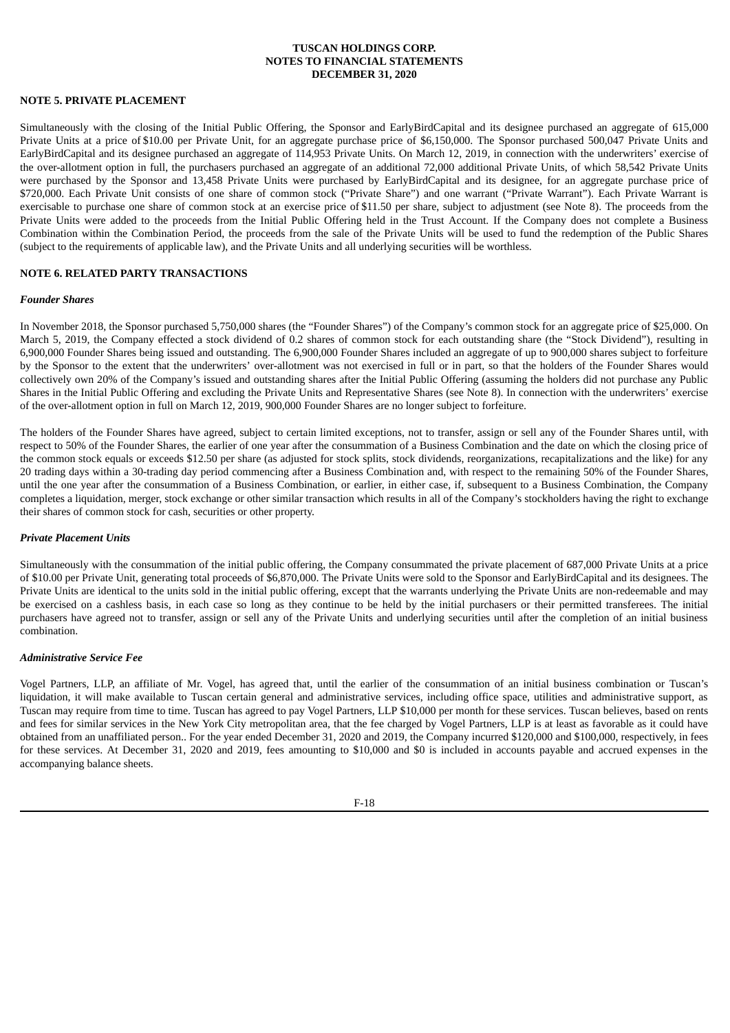## **NOTE 5. PRIVATE PLACEMENT**

Simultaneously with the closing of the Initial Public Offering, the Sponsor and EarlyBirdCapital and its designee purchased an aggregate of 615,000 Private Units at a price of \$10.00 per Private Unit, for an aggregate purchase price of \$6,150,000. The Sponsor purchased 500,047 Private Units and EarlyBirdCapital and its designee purchased an aggregate of 114,953 Private Units. On March 12, 2019, in connection with the underwriters' exercise of the over-allotment option in full, the purchasers purchased an aggregate of an additional 72,000 additional Private Units, of which 58,542 Private Units were purchased by the Sponsor and 13,458 Private Units were purchased by EarlyBirdCapital and its designee, for an aggregate purchase price of \$720,000. Each Private Unit consists of one share of common stock ("Private Share") and one warrant ("Private Warrant"). Each Private Warrant is exercisable to purchase one share of common stock at an exercise price of \$11.50 per share, subject to adjustment (see Note 8). The proceeds from the Private Units were added to the proceeds from the Initial Public Offering held in the Trust Account. If the Company does not complete a Business Combination within the Combination Period, the proceeds from the sale of the Private Units will be used to fund the redemption of the Public Shares (subject to the requirements of applicable law), and the Private Units and all underlying securities will be worthless.

## **NOTE 6. RELATED PARTY TRANSACTIONS**

#### *Founder Shares*

In November 2018, the Sponsor purchased 5,750,000 shares (the "Founder Shares") of the Company's common stock for an aggregate price of \$25,000. On March 5, 2019, the Company effected a stock dividend of 0.2 shares of common stock for each outstanding share (the "Stock Dividend"), resulting in 6,900,000 Founder Shares being issued and outstanding. The 6,900,000 Founder Shares included an aggregate of up to 900,000 shares subject to forfeiture by the Sponsor to the extent that the underwriters' over-allotment was not exercised in full or in part, so that the holders of the Founder Shares would collectively own 20% of the Company's issued and outstanding shares after the Initial Public Offering (assuming the holders did not purchase any Public Shares in the Initial Public Offering and excluding the Private Units and Representative Shares (see Note 8). In connection with the underwriters' exercise of the over-allotment option in full on March 12, 2019, 900,000 Founder Shares are no longer subject to forfeiture.

The holders of the Founder Shares have agreed, subject to certain limited exceptions, not to transfer, assign or sell any of the Founder Shares until, with respect to 50% of the Founder Shares, the earlier of one year after the consummation of a Business Combination and the date on which the closing price of the common stock equals or exceeds \$12.50 per share (as adjusted for stock splits, stock dividends, reorganizations, recapitalizations and the like) for any 20 trading days within a 30-trading day period commencing after a Business Combination and, with respect to the remaining 50% of the Founder Shares, until the one year after the consummation of a Business Combination, or earlier, in either case, if, subsequent to a Business Combination, the Company completes a liquidation, merger, stock exchange or other similar transaction which results in all of the Company's stockholders having the right to exchange their shares of common stock for cash, securities or other property.

### *Private Placement Units*

Simultaneously with the consummation of the initial public offering, the Company consummated the private placement of 687,000 Private Units at a price of \$10.00 per Private Unit, generating total proceeds of \$6,870,000. The Private Units were sold to the Sponsor and EarlyBirdCapital and its designees. The Private Units are identical to the units sold in the initial public offering, except that the warrants underlying the Private Units are non-redeemable and may be exercised on a cashless basis, in each case so long as they continue to be held by the initial purchasers or their permitted transferees. The initial purchasers have agreed not to transfer, assign or sell any of the Private Units and underlying securities until after the completion of an initial business combination.

## *Administrative Service Fee*

Vogel Partners, LLP, an affiliate of Mr. Vogel, has agreed that, until the earlier of the consummation of an initial business combination or Tuscan's liquidation, it will make available to Tuscan certain general and administrative services, including office space, utilities and administrative support, as Tuscan may require from time to time. Tuscan has agreed to pay Vogel Partners, LLP \$10,000 per month for these services. Tuscan believes, based on rents and fees for similar services in the New York City metropolitan area, that the fee charged by Vogel Partners, LLP is at least as favorable as it could have obtained from an unaffiliated person.. For the year ended December 31, 2020 and 2019, the Company incurred \$120,000 and \$100,000, respectively, in fees for these services. At December 31, 2020 and 2019, fees amounting to \$10,000 and \$0 is included in accounts payable and accrued expenses in the accompanying balance sheets.

F-18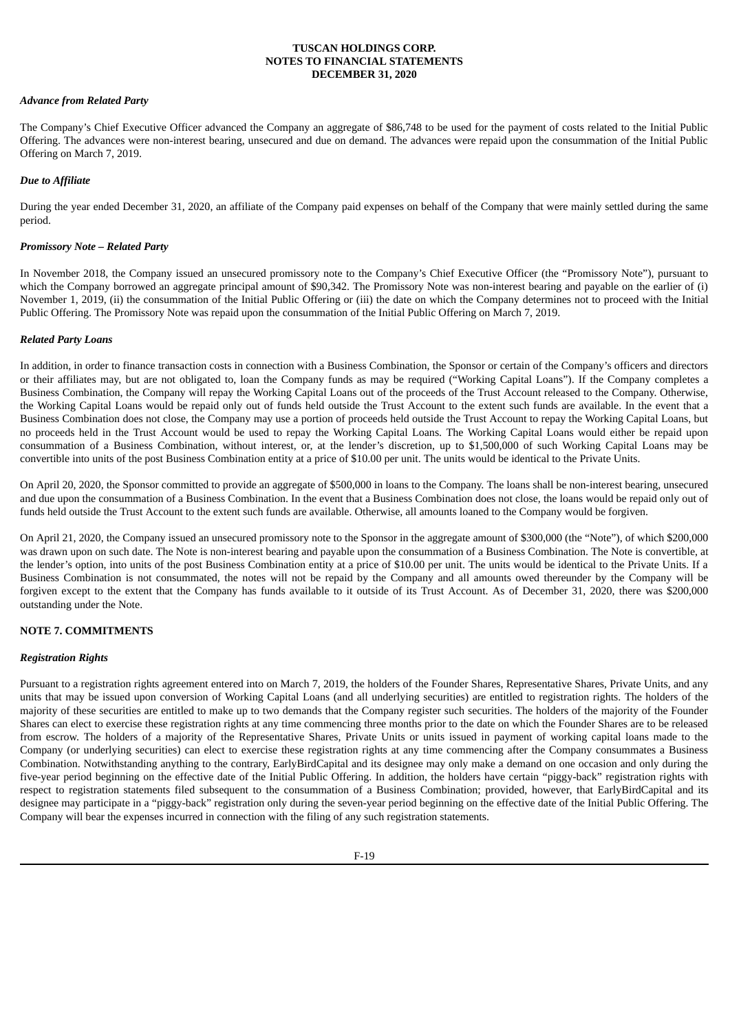## *Advance from Related Party*

The Company's Chief Executive Officer advanced the Company an aggregate of \$86,748 to be used for the payment of costs related to the Initial Public Offering. The advances were non-interest bearing, unsecured and due on demand. The advances were repaid upon the consummation of the Initial Public Offering on March 7, 2019.

## *Due to Affiliate*

During the year ended December 31, 2020, an affiliate of the Company paid expenses on behalf of the Company that were mainly settled during the same period.

## *Promissory Note – Related Party*

In November 2018, the Company issued an unsecured promissory note to the Company's Chief Executive Officer (the "Promissory Note"), pursuant to which the Company borrowed an aggregate principal amount of \$90,342. The Promissory Note was non-interest bearing and payable on the earlier of (i) November 1, 2019, (ii) the consummation of the Initial Public Offering or (iii) the date on which the Company determines not to proceed with the Initial Public Offering. The Promissory Note was repaid upon the consummation of the Initial Public Offering on March 7, 2019.

## *Related Party Loans*

In addition, in order to finance transaction costs in connection with a Business Combination, the Sponsor or certain of the Company's officers and directors or their affiliates may, but are not obligated to, loan the Company funds as may be required ("Working Capital Loans"). If the Company completes a Business Combination, the Company will repay the Working Capital Loans out of the proceeds of the Trust Account released to the Company. Otherwise, the Working Capital Loans would be repaid only out of funds held outside the Trust Account to the extent such funds are available. In the event that a Business Combination does not close, the Company may use a portion of proceeds held outside the Trust Account to repay the Working Capital Loans, but no proceeds held in the Trust Account would be used to repay the Working Capital Loans. The Working Capital Loans would either be repaid upon consummation of a Business Combination, without interest, or, at the lender's discretion, up to \$1,500,000 of such Working Capital Loans may be convertible into units of the post Business Combination entity at a price of \$10.00 per unit. The units would be identical to the Private Units.

On April 20, 2020, the Sponsor committed to provide an aggregate of \$500,000 in loans to the Company. The loans shall be non-interest bearing, unsecured and due upon the consummation of a Business Combination. In the event that a Business Combination does not close, the loans would be repaid only out of funds held outside the Trust Account to the extent such funds are available. Otherwise, all amounts loaned to the Company would be forgiven.

On April 21, 2020, the Company issued an unsecured promissory note to the Sponsor in the aggregate amount of \$300,000 (the "Note"), of which \$200,000 was drawn upon on such date. The Note is non-interest bearing and payable upon the consummation of a Business Combination. The Note is convertible, at the lender's option, into units of the post Business Combination entity at a price of \$10.00 per unit. The units would be identical to the Private Units. If a Business Combination is not consummated, the notes will not be repaid by the Company and all amounts owed thereunder by the Company will be forgiven except to the extent that the Company has funds available to it outside of its Trust Account. As of December 31, 2020, there was \$200,000 outstanding under the Note.

## **NOTE 7. COMMITMENTS**

## *Registration Rights*

Pursuant to a registration rights agreement entered into on March 7, 2019, the holders of the Founder Shares, Representative Shares, Private Units, and any units that may be issued upon conversion of Working Capital Loans (and all underlying securities) are entitled to registration rights. The holders of the majority of these securities are entitled to make up to two demands that the Company register such securities. The holders of the majority of the Founder Shares can elect to exercise these registration rights at any time commencing three months prior to the date on which the Founder Shares are to be released from escrow. The holders of a majority of the Representative Shares, Private Units or units issued in payment of working capital loans made to the Company (or underlying securities) can elect to exercise these registration rights at any time commencing after the Company consummates a Business Combination. Notwithstanding anything to the contrary, EarlyBirdCapital and its designee may only make a demand on one occasion and only during the five-year period beginning on the effective date of the Initial Public Offering. In addition, the holders have certain "piggy-back" registration rights with respect to registration statements filed subsequent to the consummation of a Business Combination; provided, however, that EarlyBirdCapital and its designee may participate in a "piggy-back" registration only during the seven-year period beginning on the effective date of the Initial Public Offering. The Company will bear the expenses incurred in connection with the filing of any such registration statements.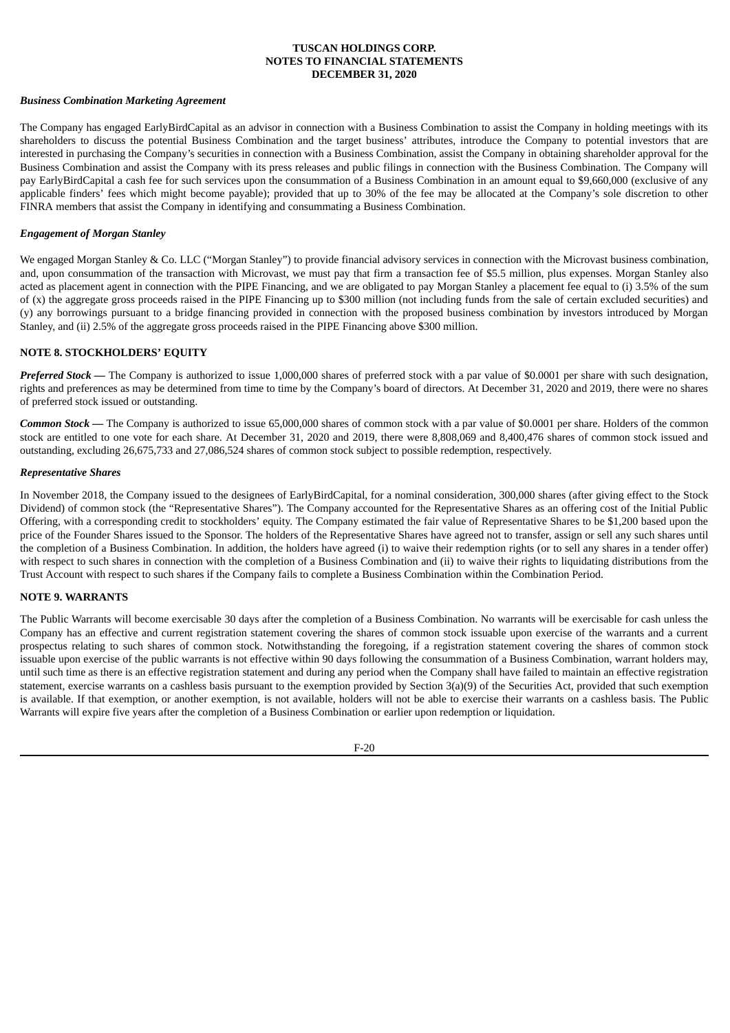### *Business Combination Marketing Agreement*

The Company has engaged EarlyBirdCapital as an advisor in connection with a Business Combination to assist the Company in holding meetings with its shareholders to discuss the potential Business Combination and the target business' attributes, introduce the Company to potential investors that are interested in purchasing the Company's securities in connection with a Business Combination, assist the Company in obtaining shareholder approval for the Business Combination and assist the Company with its press releases and public filings in connection with the Business Combination. The Company will pay EarlyBirdCapital a cash fee for such services upon the consummation of a Business Combination in an amount equal to \$9,660,000 (exclusive of any applicable finders' fees which might become payable); provided that up to 30% of the fee may be allocated at the Company's sole discretion to other FINRA members that assist the Company in identifying and consummating a Business Combination.

## *Engagement of Morgan Stanley*

We engaged Morgan Stanley & Co. LLC ("Morgan Stanley") to provide financial advisory services in connection with the Microvast business combination, and, upon consummation of the transaction with Microvast, we must pay that firm a transaction fee of \$5.5 million, plus expenses. Morgan Stanley also acted as placement agent in connection with the PIPE Financing, and we are obligated to pay Morgan Stanley a placement fee equal to (i) 3.5% of the sum of (x) the aggregate gross proceeds raised in the PIPE Financing up to \$300 million (not including funds from the sale of certain excluded securities) and (y) any borrowings pursuant to a bridge financing provided in connection with the proposed business combination by investors introduced by Morgan Stanley, and (ii) 2.5% of the aggregate gross proceeds raised in the PIPE Financing above \$300 million.

## **NOTE 8. STOCKHOLDERS' EQUITY**

*Preferred Stock* — The Company is authorized to issue 1,000,000 shares of preferred stock with a par value of \$0.0001 per share with such designation, rights and preferences as may be determined from time to time by the Company's board of directors. At December 31, 2020 and 2019, there were no shares of preferred stock issued or outstanding.

*Common Stock —* The Company is authorized to issue 65,000,000 shares of common stock with a par value of \$0.0001 per share. Holders of the common stock are entitled to one vote for each share. At December 31, 2020 and 2019, there were 8,808,069 and 8,400,476 shares of common stock issued and outstanding, excluding 26,675,733 and 27,086,524 shares of common stock subject to possible redemption, respectively.

### *Representative Shares*

In November 2018, the Company issued to the designees of EarlyBirdCapital, for a nominal consideration, 300,000 shares (after giving effect to the Stock Dividend) of common stock (the "Representative Shares"). The Company accounted for the Representative Shares as an offering cost of the Initial Public Offering, with a corresponding credit to stockholders' equity. The Company estimated the fair value of Representative Shares to be \$1,200 based upon the price of the Founder Shares issued to the Sponsor. The holders of the Representative Shares have agreed not to transfer, assign or sell any such shares until the completion of a Business Combination. In addition, the holders have agreed (i) to waive their redemption rights (or to sell any shares in a tender offer) with respect to such shares in connection with the completion of a Business Combination and (ii) to waive their rights to liquidating distributions from the Trust Account with respect to such shares if the Company fails to complete a Business Combination within the Combination Period.

## **NOTE 9. WARRANTS**

The Public Warrants will become exercisable 30 days after the completion of a Business Combination. No warrants will be exercisable for cash unless the Company has an effective and current registration statement covering the shares of common stock issuable upon exercise of the warrants and a current prospectus relating to such shares of common stock. Notwithstanding the foregoing, if a registration statement covering the shares of common stock issuable upon exercise of the public warrants is not effective within 90 days following the consummation of a Business Combination, warrant holders may, until such time as there is an effective registration statement and during any period when the Company shall have failed to maintain an effective registration statement, exercise warrants on a cashless basis pursuant to the exemption provided by Section 3(a)(9) of the Securities Act, provided that such exemption is available. If that exemption, or another exemption, is not available, holders will not be able to exercise their warrants on a cashless basis. The Public Warrants will expire five years after the completion of a Business Combination or earlier upon redemption or liquidation.

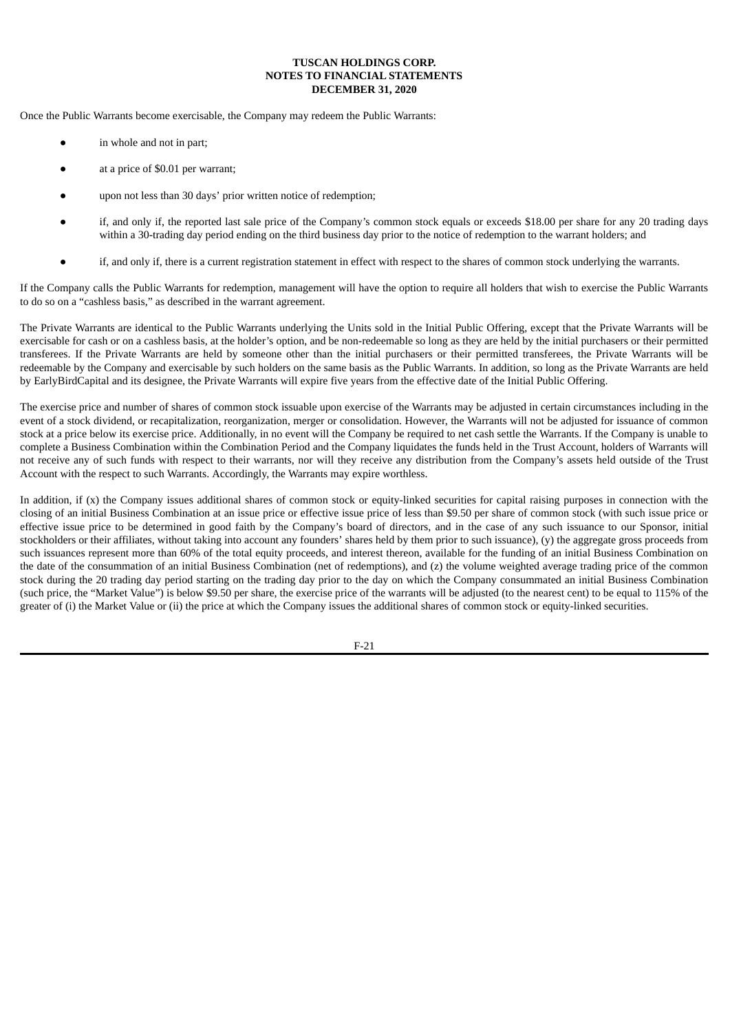Once the Public Warrants become exercisable, the Company may redeem the Public Warrants:

- in whole and not in part;
- at a price of \$0.01 per warrant;
- upon not less than 30 days' prior written notice of redemption;
- if, and only if, the reported last sale price of the Company's common stock equals or exceeds \$18.00 per share for any 20 trading days within a 30-trading day period ending on the third business day prior to the notice of redemption to the warrant holders; and
- if, and only if, there is a current registration statement in effect with respect to the shares of common stock underlying the warrants.

If the Company calls the Public Warrants for redemption, management will have the option to require all holders that wish to exercise the Public Warrants to do so on a "cashless basis," as described in the warrant agreement.

The Private Warrants are identical to the Public Warrants underlying the Units sold in the Initial Public Offering, except that the Private Warrants will be exercisable for cash or on a cashless basis, at the holder's option, and be non-redeemable so long as they are held by the initial purchasers or their permitted transferees. If the Private Warrants are held by someone other than the initial purchasers or their permitted transferees, the Private Warrants will be redeemable by the Company and exercisable by such holders on the same basis as the Public Warrants. In addition, so long as the Private Warrants are held by EarlyBirdCapital and its designee, the Private Warrants will expire five years from the effective date of the Initial Public Offering.

The exercise price and number of shares of common stock issuable upon exercise of the Warrants may be adjusted in certain circumstances including in the event of a stock dividend, or recapitalization, reorganization, merger or consolidation. However, the Warrants will not be adjusted for issuance of common stock at a price below its exercise price. Additionally, in no event will the Company be required to net cash settle the Warrants. If the Company is unable to complete a Business Combination within the Combination Period and the Company liquidates the funds held in the Trust Account, holders of Warrants will not receive any of such funds with respect to their warrants, nor will they receive any distribution from the Company's assets held outside of the Trust Account with the respect to such Warrants. Accordingly, the Warrants may expire worthless.

In addition, if (x) the Company issues additional shares of common stock or equity-linked securities for capital raising purposes in connection with the closing of an initial Business Combination at an issue price or effective issue price of less than \$9.50 per share of common stock (with such issue price or effective issue price to be determined in good faith by the Company's board of directors, and in the case of any such issuance to our Sponsor, initial stockholders or their affiliates, without taking into account any founders' shares held by them prior to such issuance), (y) the aggregate gross proceeds from such issuances represent more than 60% of the total equity proceeds, and interest thereon, available for the funding of an initial Business Combination on the date of the consummation of an initial Business Combination (net of redemptions), and (z) the volume weighted average trading price of the common stock during the 20 trading day period starting on the trading day prior to the day on which the Company consummated an initial Business Combination (such price, the "Market Value") is below \$9.50 per share, the exercise price of the warrants will be adjusted (to the nearest cent) to be equal to 115% of the greater of (i) the Market Value or (ii) the price at which the Company issues the additional shares of common stock or equity-linked securities.

F-21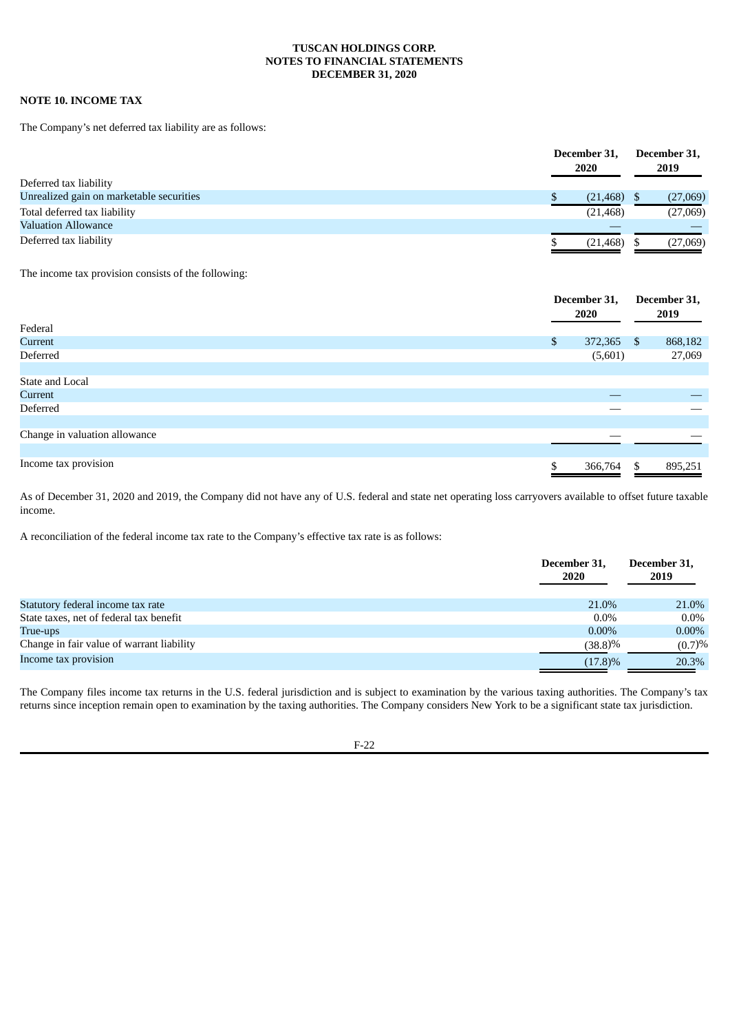## **NOTE 10. INCOME TAX**

The Company's net deferred tax liability are as follows:

| Deferred tax liability                   | December 31,<br>2020 | December 31,<br>2019 |
|------------------------------------------|----------------------|----------------------|
|                                          |                      |                      |
| Unrealized gain on marketable securities | (21, 468)            | (27,069)             |
| Total deferred tax liability             | (21, 468)            | (27,069)             |
| <b>Valuation Allowance</b>               |                      |                      |
| Deferred tax liability                   | (21, 468)            | (27,069)             |

The income tax provision consists of the following:

| Federal                       | December 31,<br>2020 | December 31,<br>2019 |
|-------------------------------|----------------------|----------------------|
|                               |                      |                      |
| Current                       | \$<br>372,365 \$     | 868,182              |
| Deferred                      | (5,601)              | 27,069               |
|                               |                      |                      |
| State and Local               |                      |                      |
| Current                       |                      |                      |
| Deferred                      |                      |                      |
|                               |                      |                      |
| Change in valuation allowance |                      |                      |
|                               |                      |                      |
| Income tax provision          | \$<br>366,764        | \$<br>895,251        |

As of December 31, 2020 and 2019, the Company did not have any of U.S. federal and state net operating loss carryovers available to offset future taxable income.

A reconciliation of the federal income tax rate to the Company's effective tax rate is as follows:

|                                           | December 31,<br><b>2020</b> | December 31.<br>2019 |
|-------------------------------------------|-----------------------------|----------------------|
| Statutory federal income tax rate         | 21.0%                       | 21.0%                |
| State taxes, net of federal tax benefit   | $0.0\%$                     | $0.0\%$              |
| True-ups                                  | $0.00\%$                    | $0.00\%$             |
| Change in fair value of warrant liability | (38.8)%                     | (0.7)%               |
| Income tax provision                      | $(17.8)\%$                  | 20.3%                |

The Company files income tax returns in the U.S. federal jurisdiction and is subject to examination by the various taxing authorities. The Company's tax returns since inception remain open to examination by the taxing authorities. The Company considers New York to be a significant state tax jurisdiction.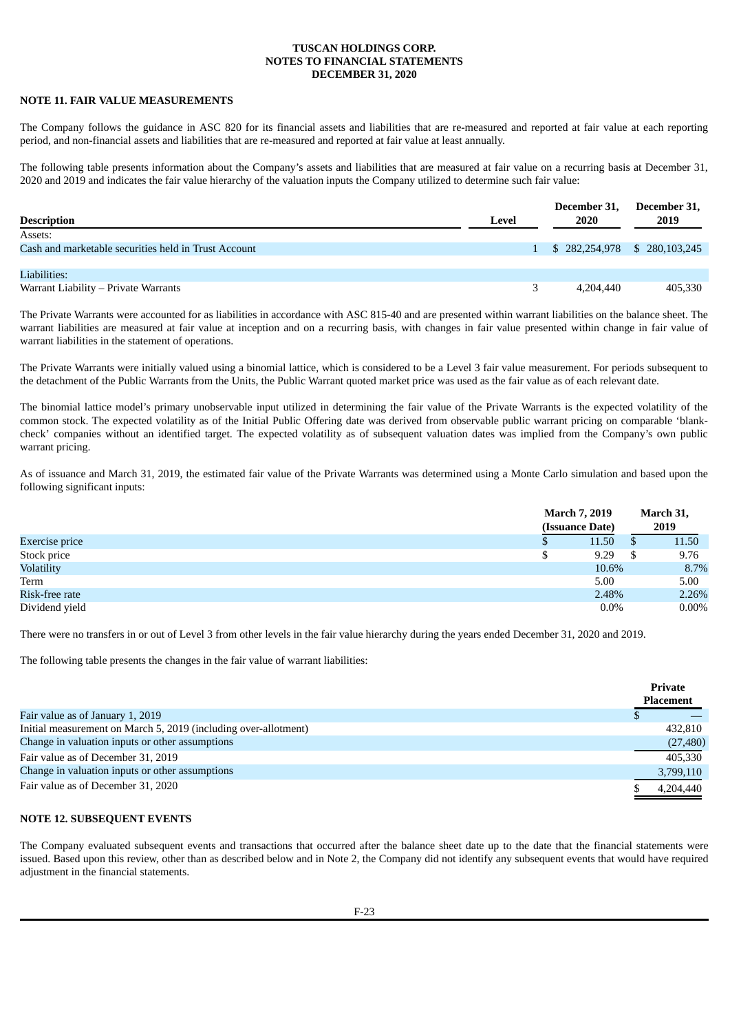## **NOTE 11. FAIR VALUE MEASUREMENTS**

The Company follows the guidance in ASC 820 for its financial assets and liabilities that are re-measured and reported at fair value at each reporting period, and non-financial assets and liabilities that are re-measured and reported at fair value at least annually.

The following table presents information about the Company's assets and liabilities that are measured at fair value on a recurring basis at December 31, 2020 and 2019 and indicates the fair value hierarchy of the valuation inputs the Company utilized to determine such fair value:

|                                                      |       | December 31, | December 31,                  |
|------------------------------------------------------|-------|--------------|-------------------------------|
| <b>Description</b>                                   | Level | 2020         | 2019                          |
| Assets:                                              |       |              |                               |
| Cash and marketable securities held in Trust Account |       |              | $$282,254,978$ $$280,103,245$ |
|                                                      |       |              |                               |
| Liabilities:                                         |       |              |                               |
| Warrant Liability – Private Warrants                 | 3     | 4.204.440    | 405,330                       |

The Private Warrants were accounted for as liabilities in accordance with ASC 815-40 and are presented within warrant liabilities on the balance sheet. The warrant liabilities are measured at fair value at inception and on a recurring basis, with changes in fair value presented within change in fair value of warrant liabilities in the statement of operations.

The Private Warrants were initially valued using a binomial lattice, which is considered to be a Level 3 fair value measurement. For periods subsequent to the detachment of the Public Warrants from the Units, the Public Warrant quoted market price was used as the fair value as of each relevant date.

The binomial lattice model's primary unobservable input utilized in determining the fair value of the Private Warrants is the expected volatility of the common stock. The expected volatility as of the Initial Public Offering date was derived from observable public warrant pricing on comparable 'blankcheck' companies without an identified target. The expected volatility as of subsequent valuation dates was implied from the Company's own public warrant pricing.

As of issuance and March 31, 2019, the estimated fair value of the Private Warrants was determined using a Monte Carlo simulation and based upon the following significant inputs:

|                   | <b>March 7, 2019</b> |         | March 31,              |  |
|-------------------|----------------------|---------|------------------------|--|
|                   | (Issuance Date)      |         | 2019                   |  |
| Exercise price    | 11.50<br>D           |         | 11.50<br><sup>\$</sup> |  |
| Stock price       | 9.29<br>╜            |         | 9.76<br>S              |  |
| <b>Volatility</b> |                      | 10.6%   | 8.7%                   |  |
| Term              | 5.00                 |         | 5.00                   |  |
| Risk-free rate    |                      | 2.48%   | 2.26%                  |  |
| Dividend yield    |                      | $0.0\%$ | $0.00\%$               |  |

There were no transfers in or out of Level 3 from other levels in the fair value hierarchy during the years ended December 31, 2020 and 2019.

The following table presents the changes in the fair value of warrant liabilities:

|                                                                 | Private   |
|-----------------------------------------------------------------|-----------|
|                                                                 | Placement |
| Fair value as of January 1, 2019                                |           |
| Initial measurement on March 5, 2019 (including over-allotment) | 432,810   |
| Change in valuation inputs or other assumptions                 | (27, 480) |
| Fair value as of December 31, 2019                              | 405.330   |
| Change in valuation inputs or other assumptions                 | 3,799,110 |
| Fair value as of December 31, 2020                              | 4.204.440 |

**Private**

## **NOTE 12. SUBSEQUENT EVENTS**

The Company evaluated subsequent events and transactions that occurred after the balance sheet date up to the date that the financial statements were issued. Based upon this review, other than as described below and in Note 2, the Company did not identify any subsequent events that would have required adjustment in the financial statements.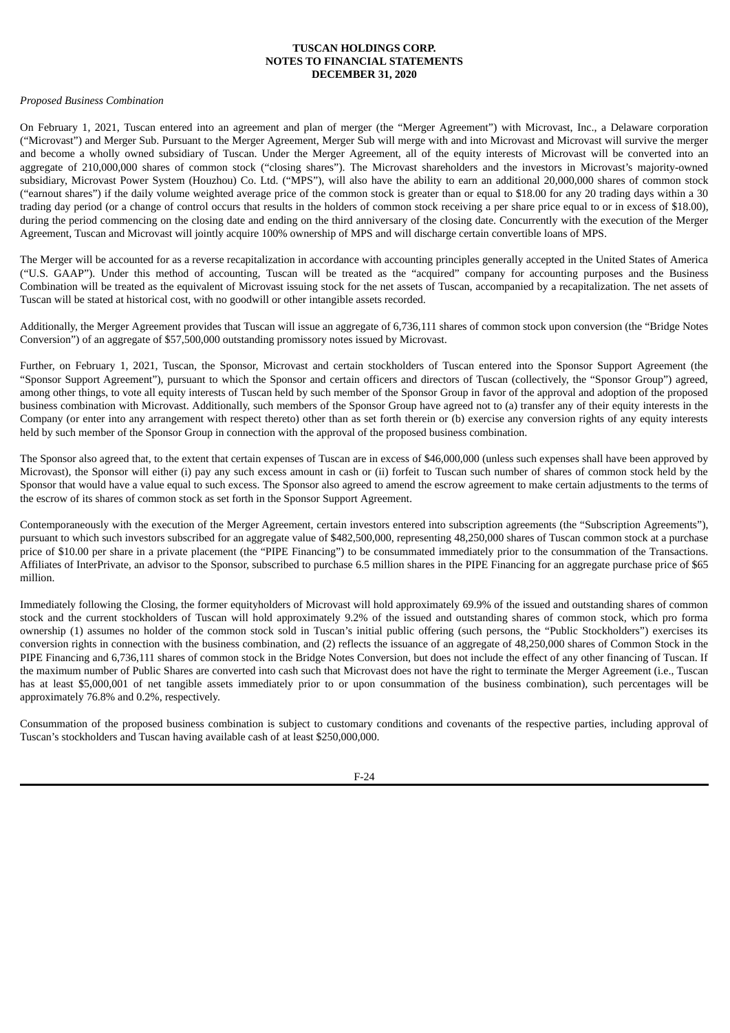#### *Proposed Business Combination*

On February 1, 2021, Tuscan entered into an agreement and plan of merger (the "Merger Agreement") with Microvast, Inc., a Delaware corporation ("Microvast") and Merger Sub. Pursuant to the Merger Agreement, Merger Sub will merge with and into Microvast and Microvast will survive the merger and become a wholly owned subsidiary of Tuscan. Under the Merger Agreement, all of the equity interests of Microvast will be converted into an aggregate of 210,000,000 shares of common stock ("closing shares"). The Microvast shareholders and the investors in Microvast's majority-owned subsidiary, Microvast Power System (Houzhou) Co. Ltd. ("MPS"), will also have the ability to earn an additional 20,000,000 shares of common stock ("earnout shares") if the daily volume weighted average price of the common stock is greater than or equal to \$18.00 for any 20 trading days within a 30 trading day period (or a change of control occurs that results in the holders of common stock receiving a per share price equal to or in excess of \$18.00), during the period commencing on the closing date and ending on the third anniversary of the closing date. Concurrently with the execution of the Merger Agreement, Tuscan and Microvast will jointly acquire 100% ownership of MPS and will discharge certain convertible loans of MPS.

The Merger will be accounted for as a reverse recapitalization in accordance with accounting principles generally accepted in the United States of America ("U.S. GAAP"). Under this method of accounting, Tuscan will be treated as the "acquired" company for accounting purposes and the Business Combination will be treated as the equivalent of Microvast issuing stock for the net assets of Tuscan, accompanied by a recapitalization. The net assets of Tuscan will be stated at historical cost, with no goodwill or other intangible assets recorded.

Additionally, the Merger Agreement provides that Tuscan will issue an aggregate of 6,736,111 shares of common stock upon conversion (the "Bridge Notes Conversion") of an aggregate of \$57,500,000 outstanding promissory notes issued by Microvast.

Further, on February 1, 2021, Tuscan, the Sponsor, Microvast and certain stockholders of Tuscan entered into the Sponsor Support Agreement (the "Sponsor Support Agreement"), pursuant to which the Sponsor and certain officers and directors of Tuscan (collectively, the "Sponsor Group") agreed, among other things, to vote all equity interests of Tuscan held by such member of the Sponsor Group in favor of the approval and adoption of the proposed business combination with Microvast. Additionally, such members of the Sponsor Group have agreed not to (a) transfer any of their equity interests in the Company (or enter into any arrangement with respect thereto) other than as set forth therein or (b) exercise any conversion rights of any equity interests held by such member of the Sponsor Group in connection with the approval of the proposed business combination.

The Sponsor also agreed that, to the extent that certain expenses of Tuscan are in excess of \$46,000,000 (unless such expenses shall have been approved by Microvast), the Sponsor will either (i) pay any such excess amount in cash or (ii) forfeit to Tuscan such number of shares of common stock held by the Sponsor that would have a value equal to such excess. The Sponsor also agreed to amend the escrow agreement to make certain adjustments to the terms of the escrow of its shares of common stock as set forth in the Sponsor Support Agreement.

Contemporaneously with the execution of the Merger Agreement, certain investors entered into subscription agreements (the "Subscription Agreements"), pursuant to which such investors subscribed for an aggregate value of \$482,500,000, representing 48,250,000 shares of Tuscan common stock at a purchase price of \$10.00 per share in a private placement (the "PIPE Financing") to be consummated immediately prior to the consummation of the Transactions. Affiliates of InterPrivate, an advisor to the Sponsor, subscribed to purchase 6.5 million shares in the PIPE Financing for an aggregate purchase price of \$65 million.

Immediately following the Closing, the former equityholders of Microvast will hold approximately 69.9% of the issued and outstanding shares of common stock and the current stockholders of Tuscan will hold approximately 9.2% of the issued and outstanding shares of common stock, which pro forma ownership (1) assumes no holder of the common stock sold in Tuscan's initial public offering (such persons, the "Public Stockholders") exercises its conversion rights in connection with the business combination, and (2) reflects the issuance of an aggregate of 48,250,000 shares of Common Stock in the PIPE Financing and 6,736,111 shares of common stock in the Bridge Notes Conversion, but does not include the effect of any other financing of Tuscan. If the maximum number of Public Shares are converted into cash such that Microvast does not have the right to terminate the Merger Agreement (i.e., Tuscan has at least \$5,000,001 of net tangible assets immediately prior to or upon consummation of the business combination), such percentages will be approximately 76.8% and 0.2%, respectively.

Consummation of the proposed business combination is subject to customary conditions and covenants of the respective parties, including approval of Tuscan's stockholders and Tuscan having available cash of at least \$250,000,000.

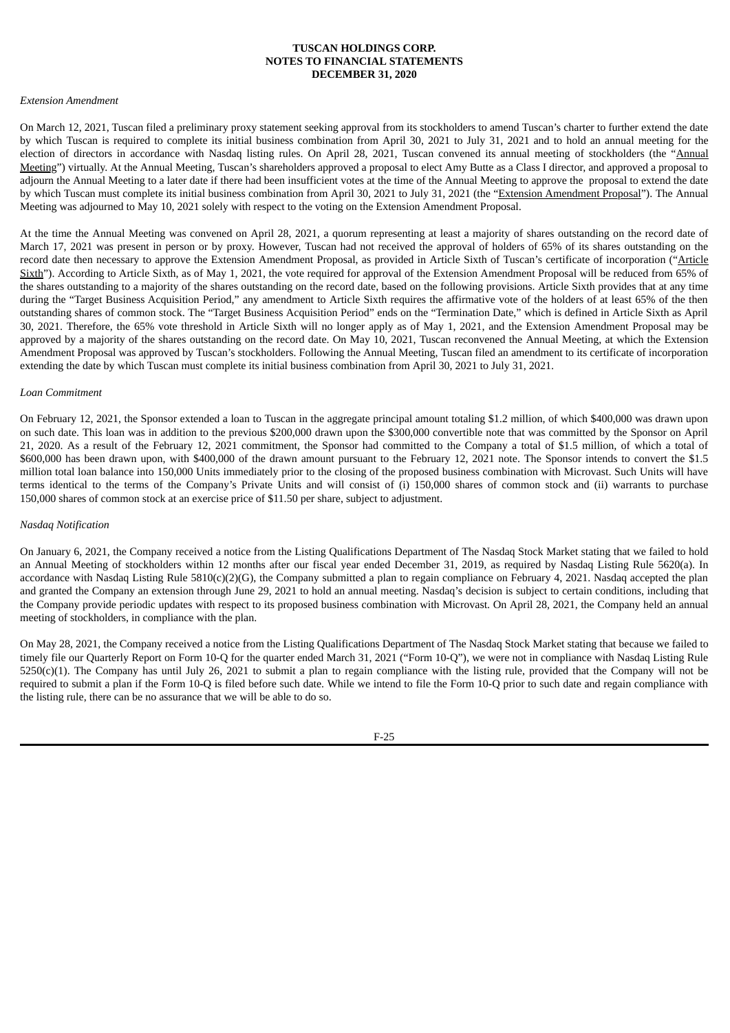#### *Extension Amendment*

On March 12, 2021, Tuscan filed a preliminary proxy statement seeking approval from its stockholders to amend Tuscan's charter to further extend the date by which Tuscan is required to complete its initial business combination from April 30, 2021 to July 31, 2021 and to hold an annual meeting for the election of directors in accordance with Nasdaq listing rules. On April 28, 2021, Tuscan convened its annual meeting of stockholders (the "Annual Meeting") virtually. At the Annual Meeting, Tuscan's shareholders approved a proposal to elect Amy Butte as a Class I director, and approved a proposal to adjourn the Annual Meeting to a later date if there had been insufficient votes at the time of the Annual Meeting to approve the proposal to extend the date by which Tuscan must complete its initial business combination from April 30, 2021 to July 31, 2021 (the "Extension Amendment Proposal"). The Annual Meeting was adjourned to May 10, 2021 solely with respect to the voting on the Extension Amendment Proposal.

At the time the Annual Meeting was convened on April 28, 2021, a quorum representing at least a majority of shares outstanding on the record date of March 17, 2021 was present in person or by proxy. However, Tuscan had not received the approval of holders of 65% of its shares outstanding on the record date then necessary to approve the Extension Amendment Proposal, as provided in Article Sixth of Tuscan's certificate of incorporation ("Article Sixth"). According to Article Sixth, as of May 1, 2021, the vote required for approval of the Extension Amendment Proposal will be reduced from 65% of the shares outstanding to a majority of the shares outstanding on the record date, based on the following provisions. Article Sixth provides that at any time during the "Target Business Acquisition Period," any amendment to Article Sixth requires the affirmative vote of the holders of at least 65% of the then outstanding shares of common stock. The "Target Business Acquisition Period" ends on the "Termination Date," which is defined in Article Sixth as April 30, 2021. Therefore, the 65% vote threshold in Article Sixth will no longer apply as of May 1, 2021, and the Extension Amendment Proposal may be approved by a majority of the shares outstanding on the record date. On May 10, 2021, Tuscan reconvened the Annual Meeting, at which the Extension Amendment Proposal was approved by Tuscan's stockholders. Following the Annual Meeting, Tuscan filed an amendment to its certificate of incorporation extending the date by which Tuscan must complete its initial business combination from April 30, 2021 to July 31, 2021.

#### *Loan Commitment*

On February 12, 2021, the Sponsor extended a loan to Tuscan in the aggregate principal amount totaling \$1.2 million, of which \$400,000 was drawn upon on such date. This loan was in addition to the previous \$200,000 drawn upon the \$300,000 convertible note that was committed by the Sponsor on April 21, 2020. As a result of the February 12, 2021 commitment, the Sponsor had committed to the Company a total of \$1.5 million, of which a total of \$600,000 has been drawn upon, with \$400,000 of the drawn amount pursuant to the February 12, 2021 note. The Sponsor intends to convert the \$1.5 million total loan balance into 150,000 Units immediately prior to the closing of the proposed business combination with Microvast. Such Units will have terms identical to the terms of the Company's Private Units and will consist of (i) 150,000 shares of common stock and (ii) warrants to purchase 150,000 shares of common stock at an exercise price of \$11.50 per share, subject to adjustment.

#### *Nasdaq Notification*

On January 6, 2021, the Company received a notice from the Listing Qualifications Department of The Nasdaq Stock Market stating that we failed to hold an Annual Meeting of stockholders within 12 months after our fiscal year ended December 31, 2019, as required by Nasdaq Listing Rule 5620(a). In accordance with Nasdaq Listing Rule  $5810(c)(2)(G)$ , the Company submitted a plan to regain compliance on February 4, 2021. Nasdaq accepted the plan and granted the Company an extension through June 29, 2021 to hold an annual meeting. Nasdaq's decision is subject to certain conditions, including that the Company provide periodic updates with respect to its proposed business combination with Microvast. On April 28, 2021, the Company held an annual meeting of stockholders, in compliance with the plan.

On May 28, 2021, the Company received a notice from the Listing Qualifications Department of The Nasdaq Stock Market stating that because we failed to timely file our Quarterly Report on Form 10-Q for the quarter ended March 31, 2021 ("Form 10-Q"), we were not in compliance with Nasdaq Listing Rule 5250(c)(1). The Company has until July 26, 2021 to submit a plan to regain compliance with the listing rule, provided that the Company will not be required to submit a plan if the Form 10-Q is filed before such date. While we intend to file the Form 10-Q prior to such date and regain compliance with the listing rule, there can be no assurance that we will be able to do so.

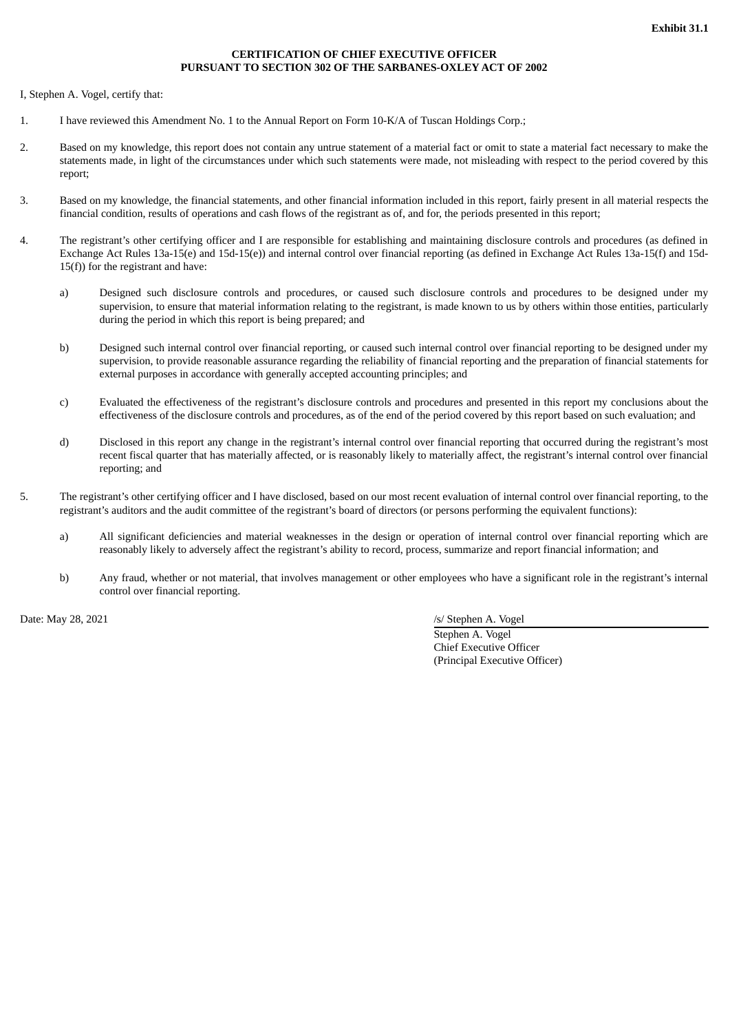## **CERTIFICATION OF CHIEF EXECUTIVE OFFICER PURSUANT TO SECTION 302 OF THE SARBANES-OXLEY ACT OF 2002**

<span id="page-58-0"></span>I, Stephen A. Vogel, certify that:

- 1. I have reviewed this Amendment No. 1 to the Annual Report on Form 10-K/A of Tuscan Holdings Corp.;
- 2. Based on my knowledge, this report does not contain any untrue statement of a material fact or omit to state a material fact necessary to make the statements made, in light of the circumstances under which such statements were made, not misleading with respect to the period covered by this report;
- 3. Based on my knowledge, the financial statements, and other financial information included in this report, fairly present in all material respects the financial condition, results of operations and cash flows of the registrant as of, and for, the periods presented in this report;
- 4. The registrant's other certifying officer and I are responsible for establishing and maintaining disclosure controls and procedures (as defined in Exchange Act Rules 13a-15(e) and 15d-15(e)) and internal control over financial reporting (as defined in Exchange Act Rules 13a-15(f) and 15d-15(f)) for the registrant and have:
	- a) Designed such disclosure controls and procedures, or caused such disclosure controls and procedures to be designed under my supervision, to ensure that material information relating to the registrant, is made known to us by others within those entities, particularly during the period in which this report is being prepared; and
	- b) Designed such internal control over financial reporting, or caused such internal control over financial reporting to be designed under my supervision, to provide reasonable assurance regarding the reliability of financial reporting and the preparation of financial statements for external purposes in accordance with generally accepted accounting principles; and
	- c) Evaluated the effectiveness of the registrant's disclosure controls and procedures and presented in this report my conclusions about the effectiveness of the disclosure controls and procedures, as of the end of the period covered by this report based on such evaluation; and
	- d) Disclosed in this report any change in the registrant's internal control over financial reporting that occurred during the registrant's most recent fiscal quarter that has materially affected, or is reasonably likely to materially affect, the registrant's internal control over financial reporting; and
- 5. The registrant's other certifying officer and I have disclosed, based on our most recent evaluation of internal control over financial reporting, to the registrant's auditors and the audit committee of the registrant's board of directors (or persons performing the equivalent functions):
	- a) All significant deficiencies and material weaknesses in the design or operation of internal control over financial reporting which are reasonably likely to adversely affect the registrant's ability to record, process, summarize and report financial information; and
	- b) Any fraud, whether or not material, that involves management or other employees who have a significant role in the registrant's internal control over financial reporting.

Date: May 28, 2021 /s/ Stephen A. Vogel

Stephen A. Vogel Chief Executive Officer (Principal Executive Officer)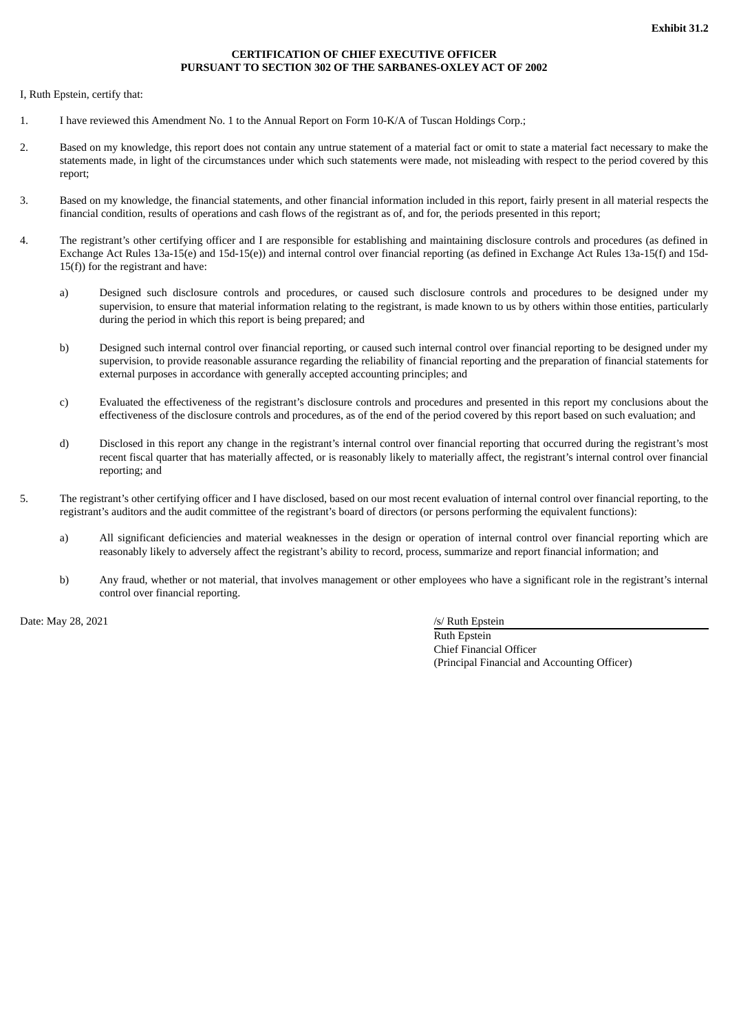## **CERTIFICATION OF CHIEF EXECUTIVE OFFICER PURSUANT TO SECTION 302 OF THE SARBANES-OXLEY ACT OF 2002**

<span id="page-59-0"></span>I, Ruth Epstein, certify that:

- 1. I have reviewed this Amendment No. 1 to the Annual Report on Form 10-K/A of Tuscan Holdings Corp.;
- 2. Based on my knowledge, this report does not contain any untrue statement of a material fact or omit to state a material fact necessary to make the statements made, in light of the circumstances under which such statements were made, not misleading with respect to the period covered by this report;
- 3. Based on my knowledge, the financial statements, and other financial information included in this report, fairly present in all material respects the financial condition, results of operations and cash flows of the registrant as of, and for, the periods presented in this report;
- 4. The registrant's other certifying officer and I are responsible for establishing and maintaining disclosure controls and procedures (as defined in Exchange Act Rules 13a-15(e) and 15d-15(e)) and internal control over financial reporting (as defined in Exchange Act Rules 13a-15(f) and 15d-15(f)) for the registrant and have:
	- a) Designed such disclosure controls and procedures, or caused such disclosure controls and procedures to be designed under my supervision, to ensure that material information relating to the registrant, is made known to us by others within those entities, particularly during the period in which this report is being prepared; and
	- b) Designed such internal control over financial reporting, or caused such internal control over financial reporting to be designed under my supervision, to provide reasonable assurance regarding the reliability of financial reporting and the preparation of financial statements for external purposes in accordance with generally accepted accounting principles; and
	- c) Evaluated the effectiveness of the registrant's disclosure controls and procedures and presented in this report my conclusions about the effectiveness of the disclosure controls and procedures, as of the end of the period covered by this report based on such evaluation; and
	- d) Disclosed in this report any change in the registrant's internal control over financial reporting that occurred during the registrant's most recent fiscal quarter that has materially affected, or is reasonably likely to materially affect, the registrant's internal control over financial reporting; and
- 5. The registrant's other certifying officer and I have disclosed, based on our most recent evaluation of internal control over financial reporting, to the registrant's auditors and the audit committee of the registrant's board of directors (or persons performing the equivalent functions):
	- a) All significant deficiencies and material weaknesses in the design or operation of internal control over financial reporting which are reasonably likely to adversely affect the registrant's ability to record, process, summarize and report financial information; and
	- b) Any fraud, whether or not material, that involves management or other employees who have a significant role in the registrant's internal control over financial reporting.

Date: May 28, 2021 /s/ Ruth Epstein

Ruth Epstein Chief Financial Officer (Principal Financial and Accounting Officer)